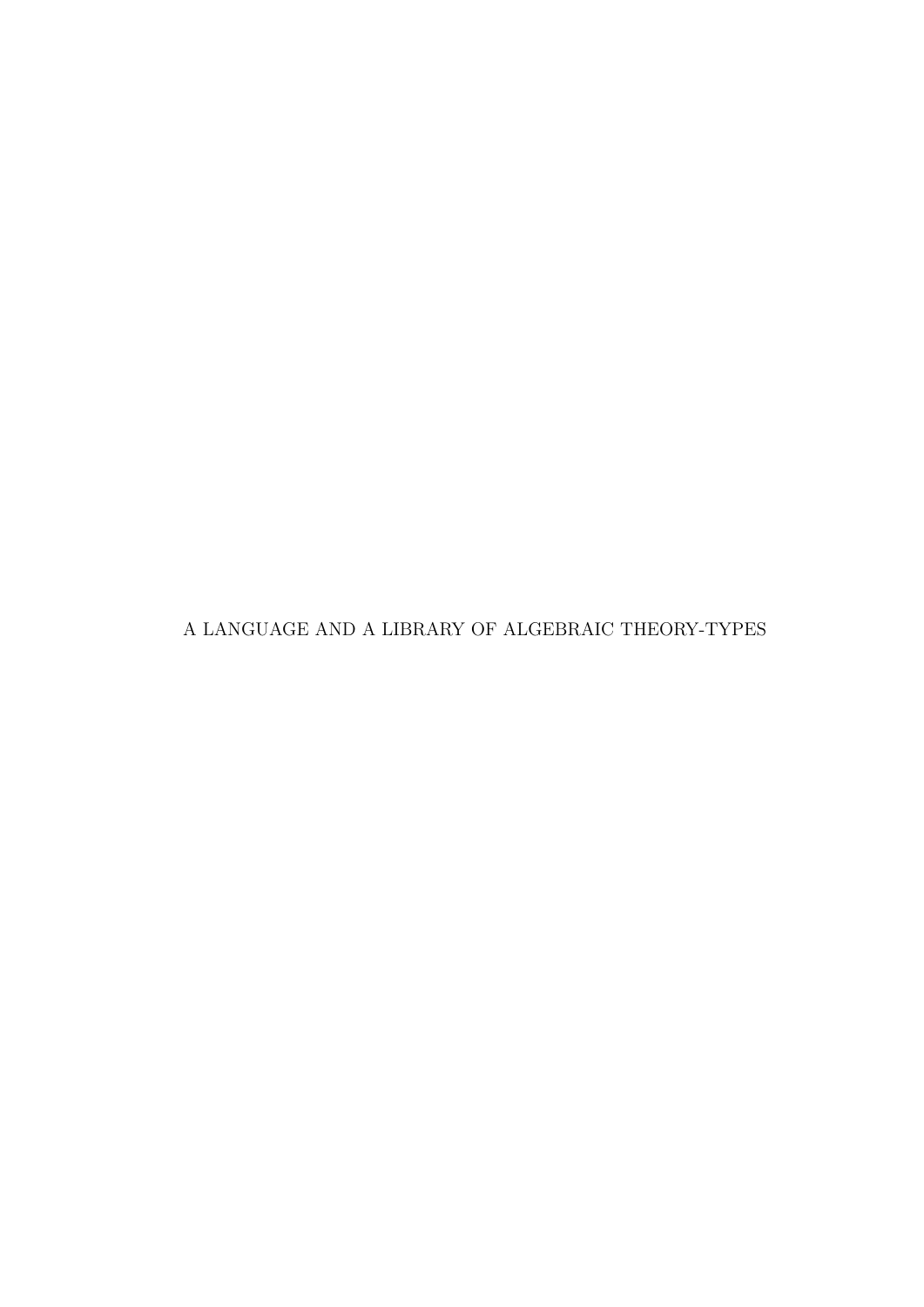A LANGUAGE AND A LIBRARY OF ALGEBRAIC THEORY-TYPES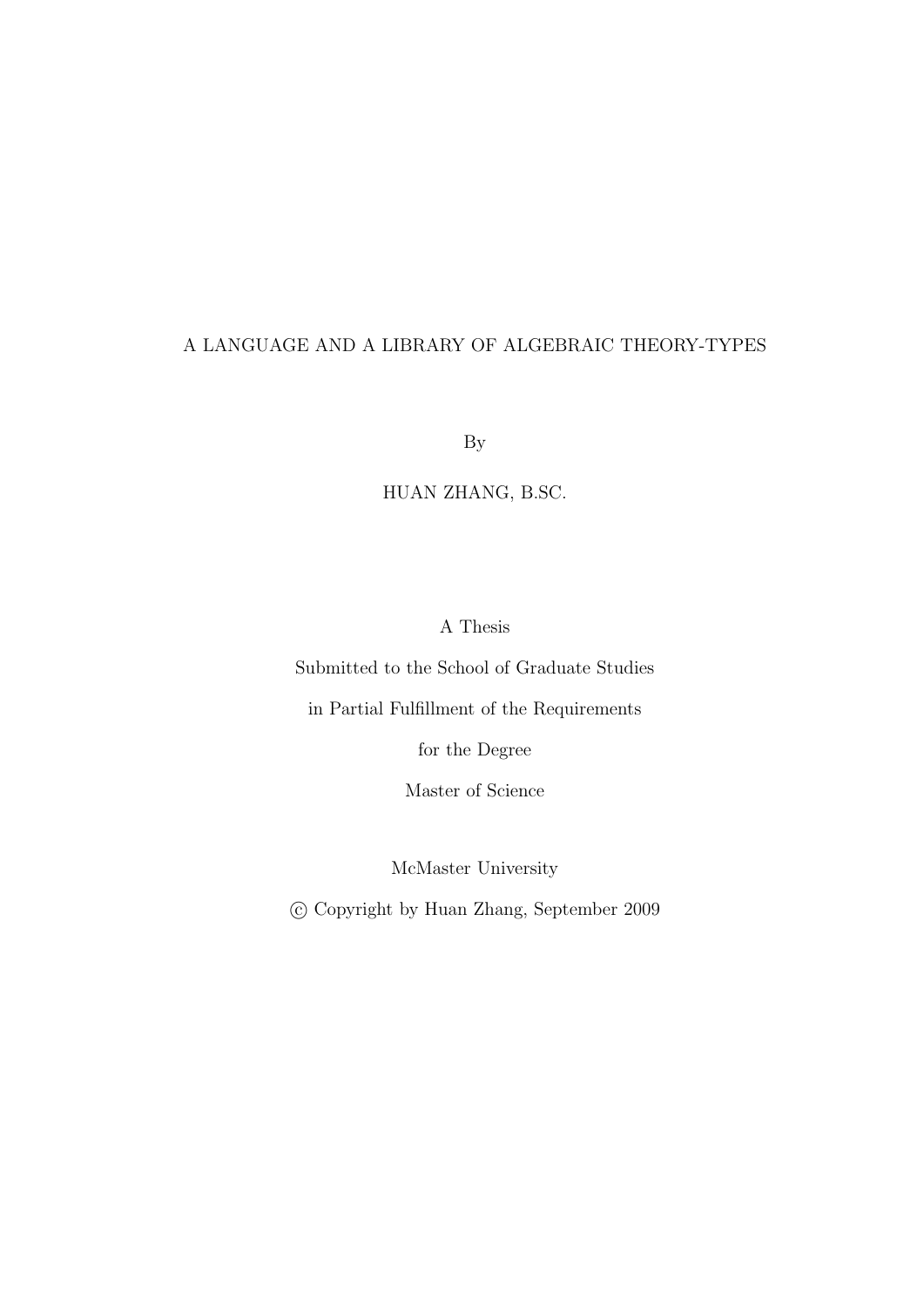#### A LANGUAGE AND A LIBRARY OF ALGEBRAIC THEORY-TYPES

By

HUAN ZHANG, B.SC.

A Thesis

Submitted to the School of Graduate Studies

in Partial Fulfillment of the Requirements

for the Degree

Master of Science

McMaster University

c Copyright by Huan Zhang, September 2009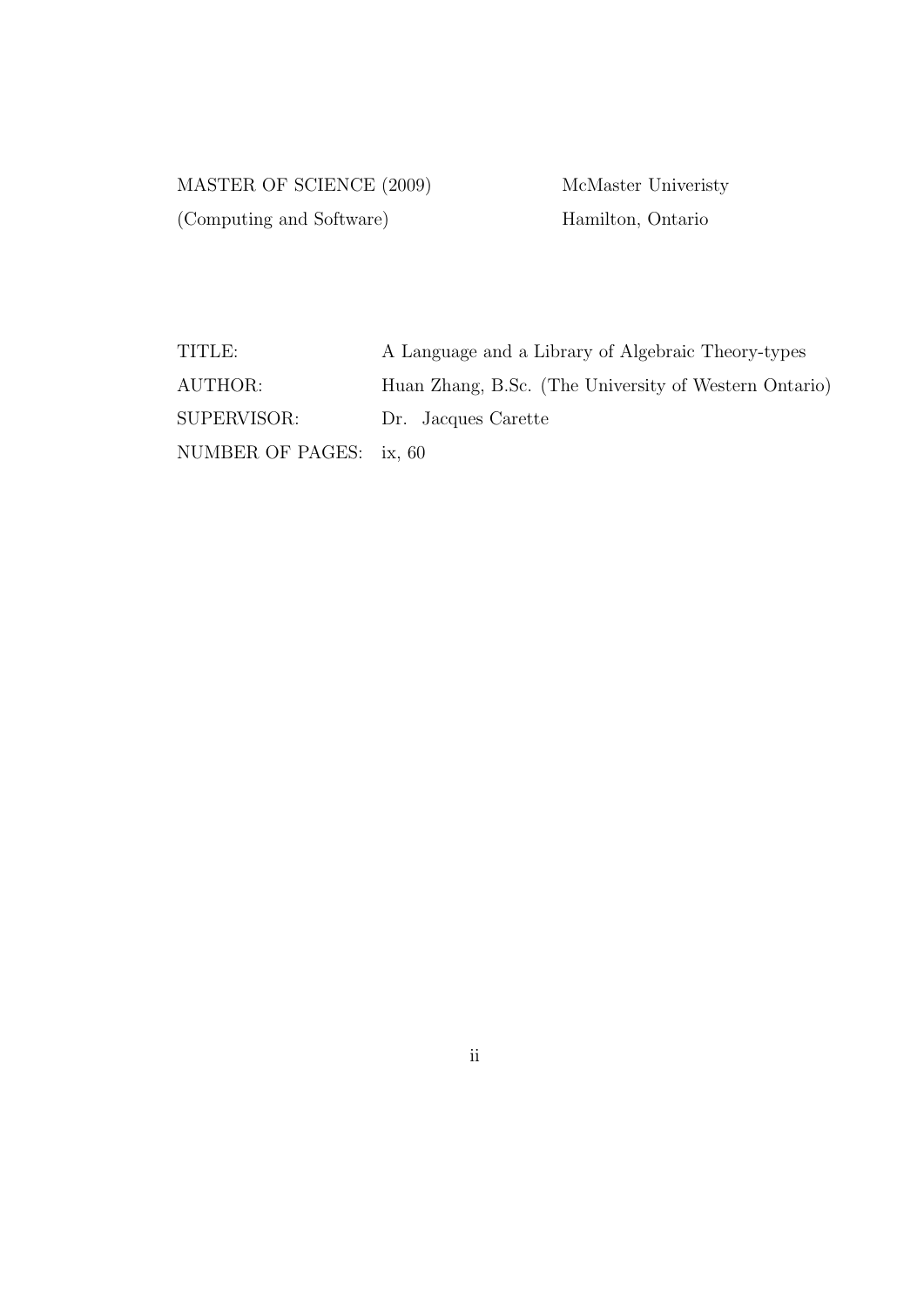MASTER OF SCIENCE (2009) McMaster University (Computing and Software) Hamilton, Ontario

| TITLE:                  | A Language and a Library of Algebraic Theory-types    |
|-------------------------|-------------------------------------------------------|
| AUTHOR:                 | Huan Zhang, B.Sc. (The University of Western Ontario) |
| SUPERVISOR:             | Dr. Jacques Carette                                   |
| NUMBER OF PAGES: ix, 60 |                                                       |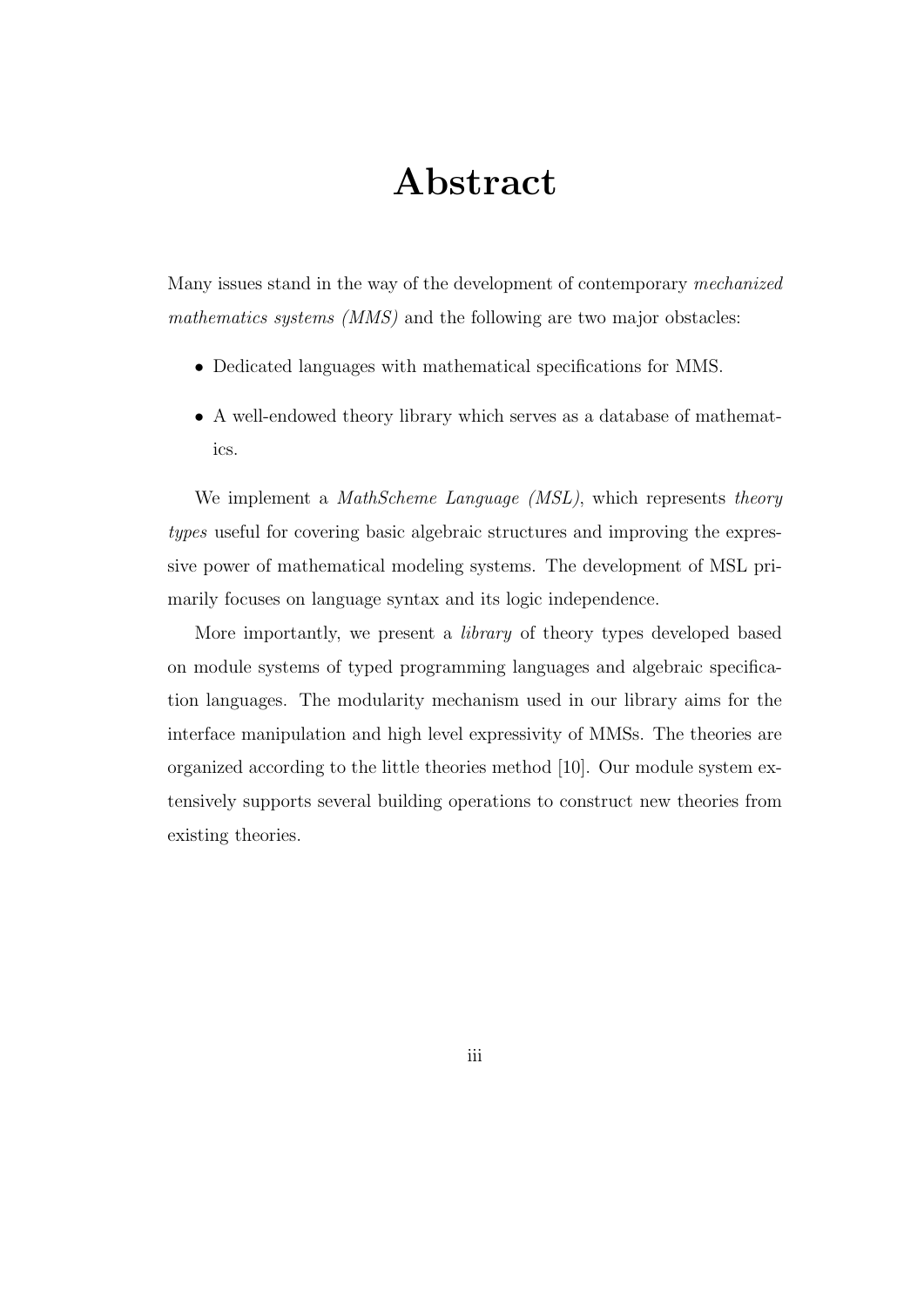# Abstract

Many issues stand in the way of the development of contemporary mechanized mathematics systems (MMS) and the following are two major obstacles:

- Dedicated languages with mathematical specifications for MMS.
- A well-endowed theory library which serves as a database of mathematics.

We implement a *MathScheme Language (MSL)*, which represents *theory* types useful for covering basic algebraic structures and improving the expressive power of mathematical modeling systems. The development of MSL primarily focuses on language syntax and its logic independence.

More importantly, we present a library of theory types developed based on module systems of typed programming languages and algebraic specification languages. The modularity mechanism used in our library aims for the interface manipulation and high level expressivity of MMSs. The theories are organized according to the little theories method [10]. Our module system extensively supports several building operations to construct new theories from existing theories.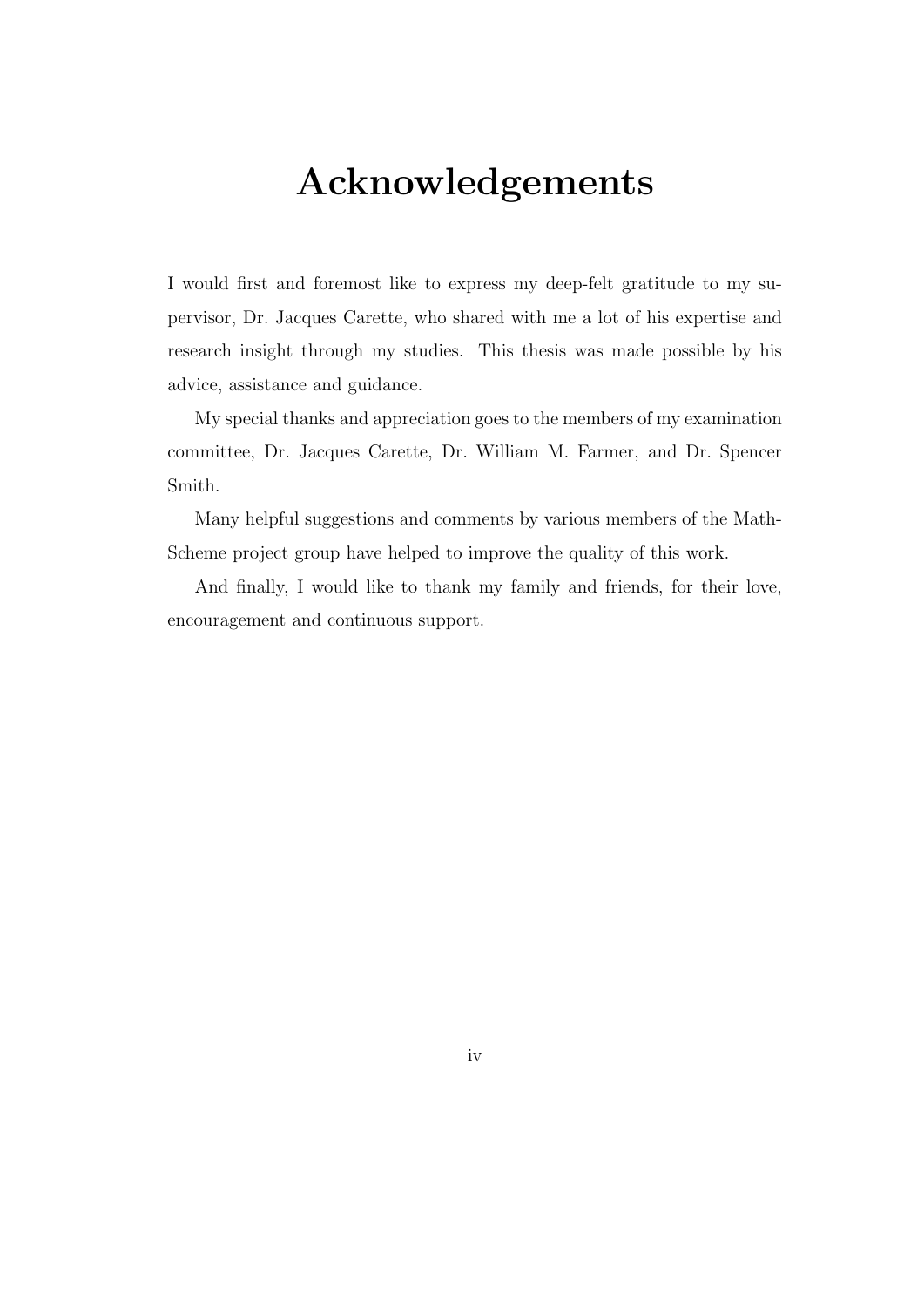# Acknowledgements

I would first and foremost like to express my deep-felt gratitude to my supervisor, Dr. Jacques Carette, who shared with me a lot of his expertise and research insight through my studies. This thesis was made possible by his advice, assistance and guidance.

My special thanks and appreciation goes to the members of my examination committee, Dr. Jacques Carette, Dr. William M. Farmer, and Dr. Spencer Smith.

Many helpful suggestions and comments by various members of the Math-Scheme project group have helped to improve the quality of this work.

And finally, I would like to thank my family and friends, for their love, encouragement and continuous support.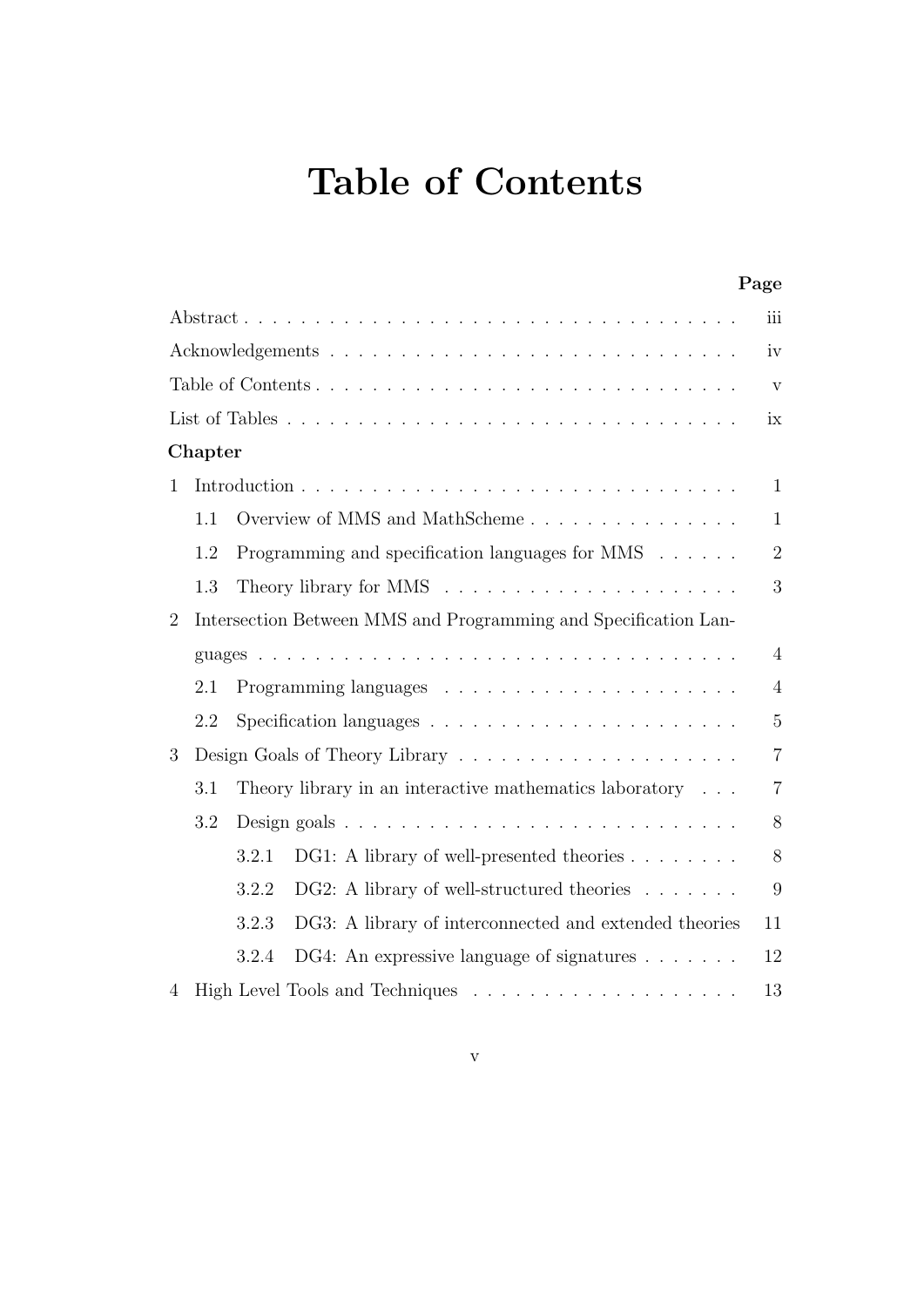# Table of Contents

|   |         |                                                                           | Page                    |
|---|---------|---------------------------------------------------------------------------|-------------------------|
|   |         |                                                                           | iii                     |
|   |         |                                                                           | iv                      |
|   |         |                                                                           | $\overline{\mathrm{V}}$ |
|   |         |                                                                           | ix                      |
|   | Chapter |                                                                           |                         |
| 1 |         |                                                                           | $\mathbf{1}$            |
|   | 1.1     |                                                                           | $\mathbf{1}$            |
|   | 1.2     | Programming and specification languages for MMS                           | $\overline{2}$          |
|   | 1.3     | Theory library for MMS $\ldots \ldots \ldots \ldots \ldots \ldots \ldots$ | 3                       |
| 2 |         | Intersection Between MMS and Programming and Specification Lan-           |                         |
|   |         |                                                                           | $\overline{4}$          |
|   | 2.1     |                                                                           | $\overline{4}$          |
|   | 2.2     |                                                                           | $\overline{5}$          |
| 3 |         |                                                                           | $\overline{7}$          |
|   | 3.1     | Theory library in an interactive mathematics laboratory $\ldots$          | $\overline{7}$          |
|   | 3.2     |                                                                           | 8                       |
|   |         | DG1: A library of well-presented theories<br>3.2.1                        | 8                       |
|   |         | DG2: A library of well-structured theories<br>3.2.2                       | 9                       |
|   |         | 3.2.3<br>DG3: A library of interconnected and extended theories           | 11                      |
|   |         | DG4: An expressive language of signatures $\dots \dots$<br>3.2.4          | 12                      |
| 4 |         |                                                                           | 13                      |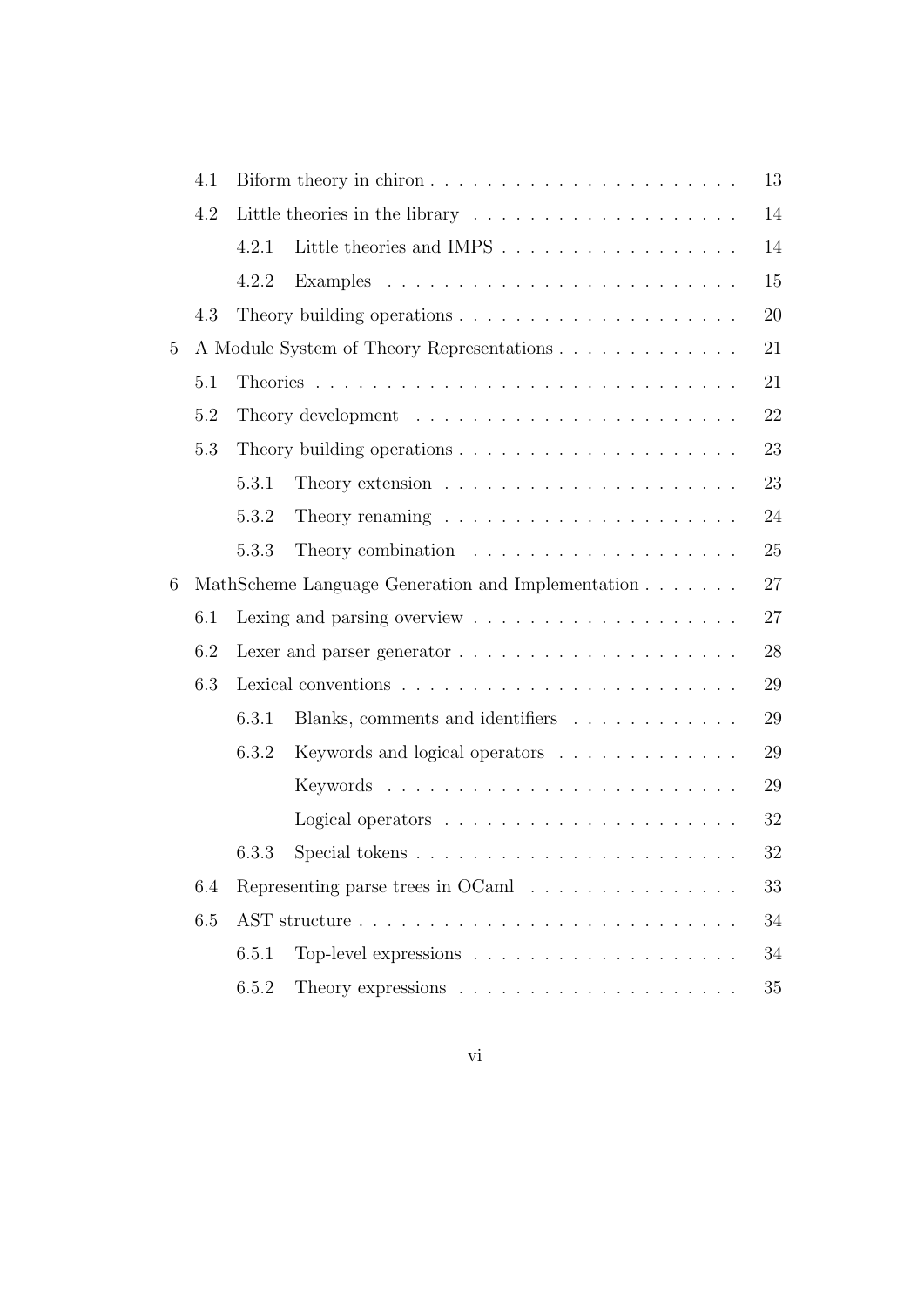|   | 4.1 |       | Biform theory in chiron                                                       | 13 |
|---|-----|-------|-------------------------------------------------------------------------------|----|
|   | 4.2 |       |                                                                               | 14 |
|   |     | 4.2.1 |                                                                               | 14 |
|   |     | 4.2.2 |                                                                               | 15 |
|   | 4.3 |       |                                                                               | 20 |
| 5 |     |       | A Module System of Theory Representations                                     | 21 |
|   | 5.1 |       |                                                                               | 21 |
|   | 5.2 |       |                                                                               | 22 |
|   | 5.3 |       |                                                                               | 23 |
|   |     | 5.3.1 |                                                                               | 23 |
|   |     | 5.3.2 |                                                                               | 24 |
|   |     | 5.3.3 |                                                                               | 25 |
| 6 |     |       | MathScheme Language Generation and Implementation                             | 27 |
|   | 6.1 |       |                                                                               | 27 |
|   | 6.2 |       | Lexer and parser generator $\ldots \ldots \ldots \ldots \ldots \ldots \ldots$ | 28 |
|   | 6.3 |       |                                                                               | 29 |
|   |     | 6.3.1 | Blanks, comments and identifiers                                              | 29 |
|   |     | 6.3.2 | Keywords and logical operators                                                | 29 |
|   |     |       |                                                                               | 29 |
|   |     |       |                                                                               | 32 |
|   |     | 6.3.3 | Special tokens $\dots \dots \dots \dots \dots \dots \dots \dots \dots$        | 32 |
|   | 6.4 |       | Representing parse trees in OCaml $\ldots \ldots \ldots \ldots \ldots$        | 33 |
|   | 6.5 |       |                                                                               | 34 |
|   |     | 6.5.1 |                                                                               | 34 |
|   |     | 6.5.2 |                                                                               | 35 |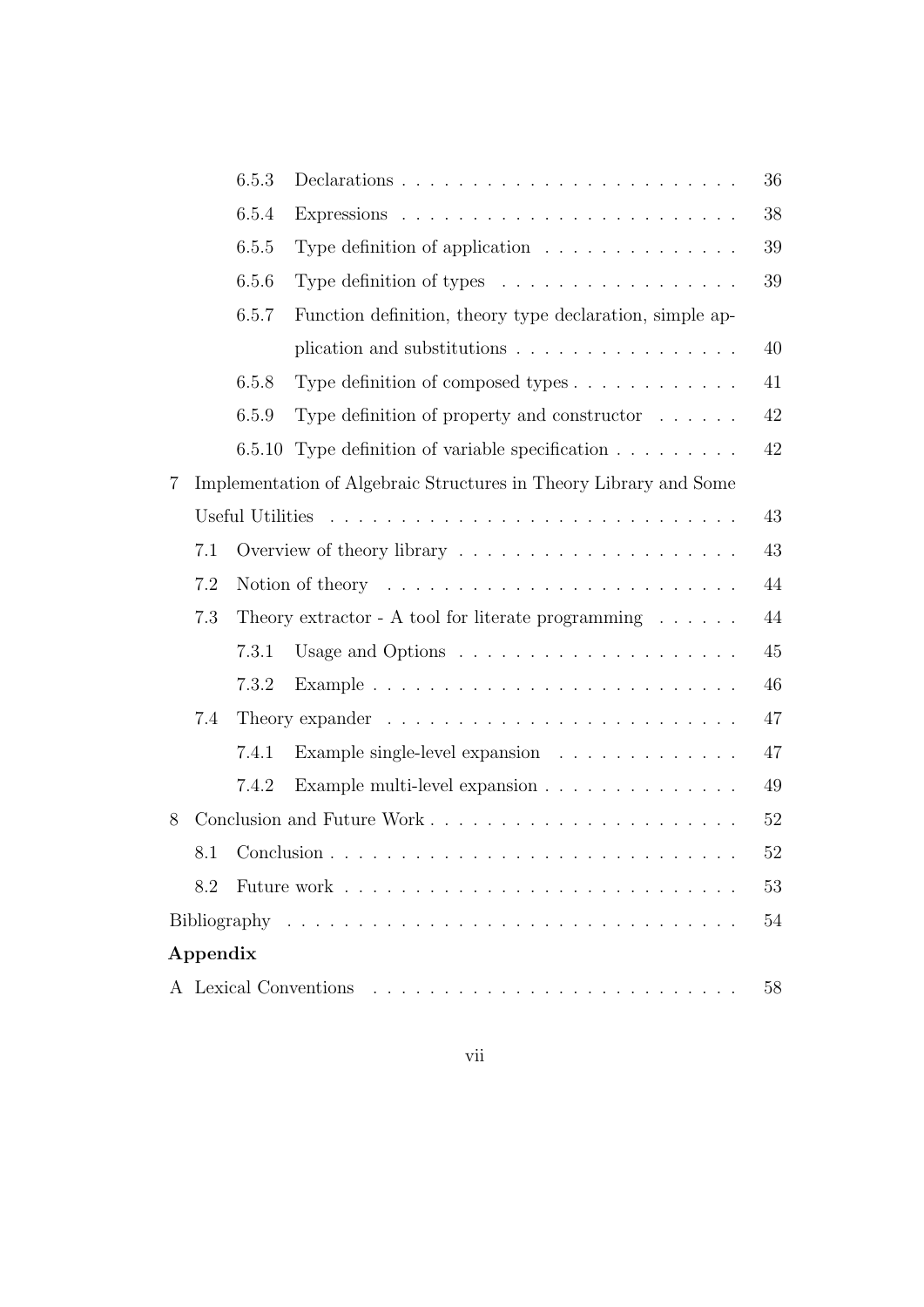|                |          | 6.5.3  |                                                                                | 36     |
|----------------|----------|--------|--------------------------------------------------------------------------------|--------|
|                |          | 6.5.4  |                                                                                | 38     |
|                |          | 6.5.5  | Type definition of application $\ldots \ldots \ldots \ldots$                   | 39     |
|                |          | 6.5.6  | Type definition of types $\dots \dots \dots \dots \dots \dots$                 | $39\,$ |
|                |          | 6.5.7  | Function definition, theory type declaration, simple ap-                       |        |
|                |          |        | plication and substitutions $\ldots \ldots \ldots \ldots \ldots$               | 40     |
|                |          | 6.5.8  | Type definition of composed types $\dots \dots \dots \dots$                    | 41     |
|                |          | 6.5.9  | Type definition of property and constructor $\ldots \ldots$                    | 42     |
|                |          | 6.5.10 | Type definition of variable specification                                      | $42\,$ |
| $\overline{7}$ |          |        | Implementation of Algebraic Structures in Theory Library and Some              |        |
|                |          |        |                                                                                | 43     |
|                | 7.1      |        |                                                                                | 43     |
|                | 7.2      |        | Notion of theory $\dots \dots \dots \dots \dots \dots \dots \dots \dots \dots$ | 44     |
|                | 7.3      |        | Theory extractor - A tool for literate programming $\dots \dots$               | 44     |
|                |          | 7.3.1  |                                                                                | 45     |
|                |          | 7.3.2  |                                                                                | 46     |
|                | 7.4      |        |                                                                                | 47     |
|                |          | 7.4.1  | Example single-level expansion                                                 | 47     |
|                |          | 7.4.2  | Example multi-level expansion                                                  | 49     |
| 8              |          |        |                                                                                | $52\,$ |
|                | 8.1      |        |                                                                                | $52\,$ |
|                | 8.2      |        |                                                                                | 53     |
|                |          |        |                                                                                | 54     |
|                | Appendix |        |                                                                                |        |
|                |          |        |                                                                                | 58     |
|                |          |        |                                                                                |        |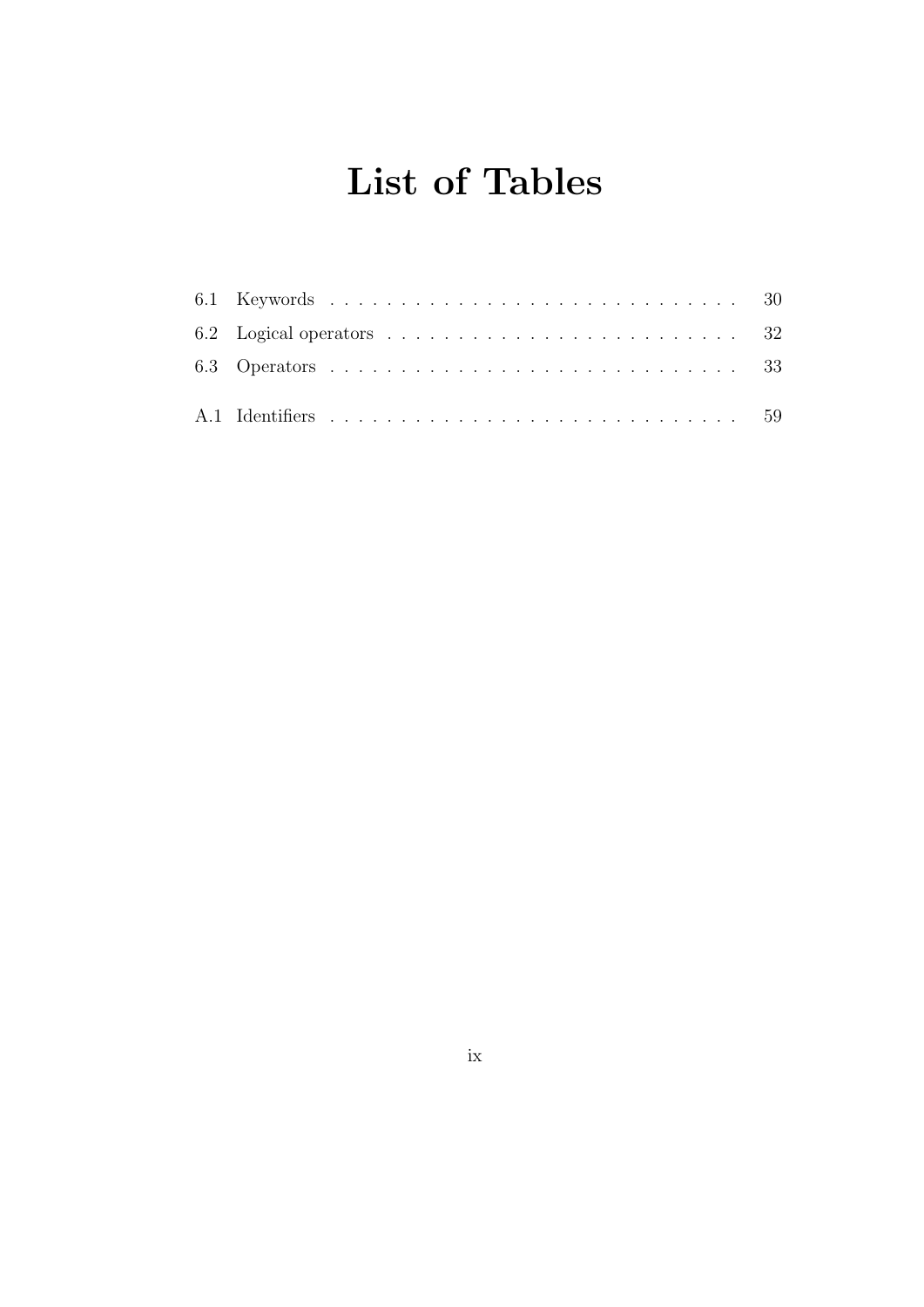# List of Tables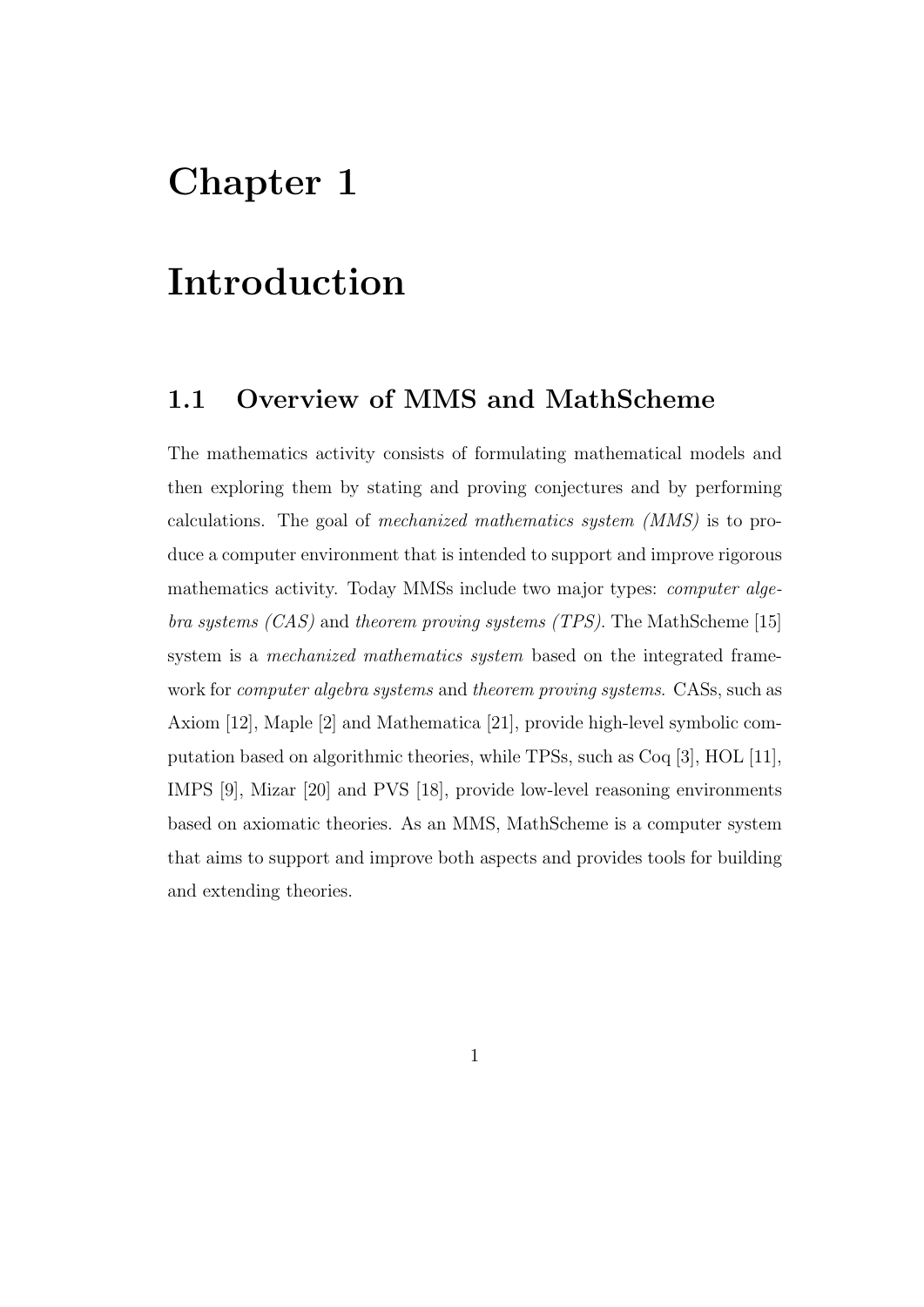# Chapter 1

# Introduction

## 1.1 Overview of MMS and MathScheme

The mathematics activity consists of formulating mathematical models and then exploring them by stating and proving conjectures and by performing calculations. The goal of mechanized mathematics system (MMS) is to produce a computer environment that is intended to support and improve rigorous mathematics activity. Today MMSs include two major types: computer algebra systems  $(CAS)$  and theorem proving systems  $(TPS)$ . The MathScheme [15] system is a mechanized mathematics system based on the integrated framework for computer algebra systems and theorem proving systems. CASs, such as Axiom [12], Maple [2] and Mathematica [21], provide high-level symbolic computation based on algorithmic theories, while TPSs, such as Coq [3], HOL [11], IMPS [9], Mizar [20] and PVS [18], provide low-level reasoning environments based on axiomatic theories. As an MMS, MathScheme is a computer system that aims to support and improve both aspects and provides tools for building and extending theories.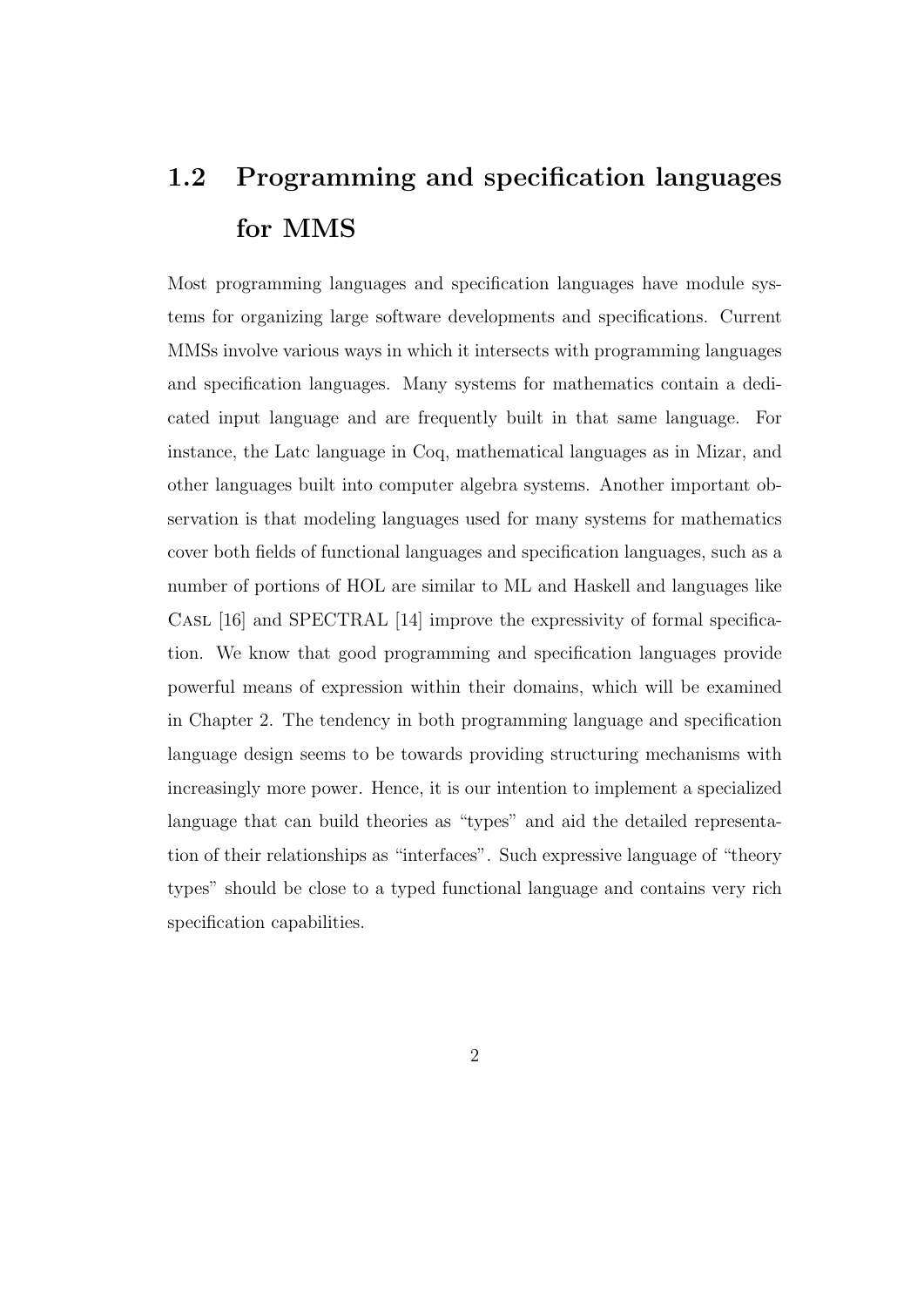# 1.2 Programming and specification languages for MMS

Most programming languages and specification languages have module systems for organizing large software developments and specifications. Current MMSs involve various ways in which it intersects with programming languages and specification languages. Many systems for mathematics contain a dedicated input language and are frequently built in that same language. For instance, the Latc language in Coq, mathematical languages as in Mizar, and other languages built into computer algebra systems. Another important observation is that modeling languages used for many systems for mathematics cover both fields of functional languages and specification languages, such as a number of portions of HOL are similar to ML and Haskell and languages like Casl [16] and SPECTRAL [14] improve the expressivity of formal specification. We know that good programming and specification languages provide powerful means of expression within their domains, which will be examined in Chapter 2. The tendency in both programming language and specification language design seems to be towards providing structuring mechanisms with increasingly more power. Hence, it is our intention to implement a specialized language that can build theories as "types" and aid the detailed representation of their relationships as "interfaces". Such expressive language of "theory types" should be close to a typed functional language and contains very rich specification capabilities.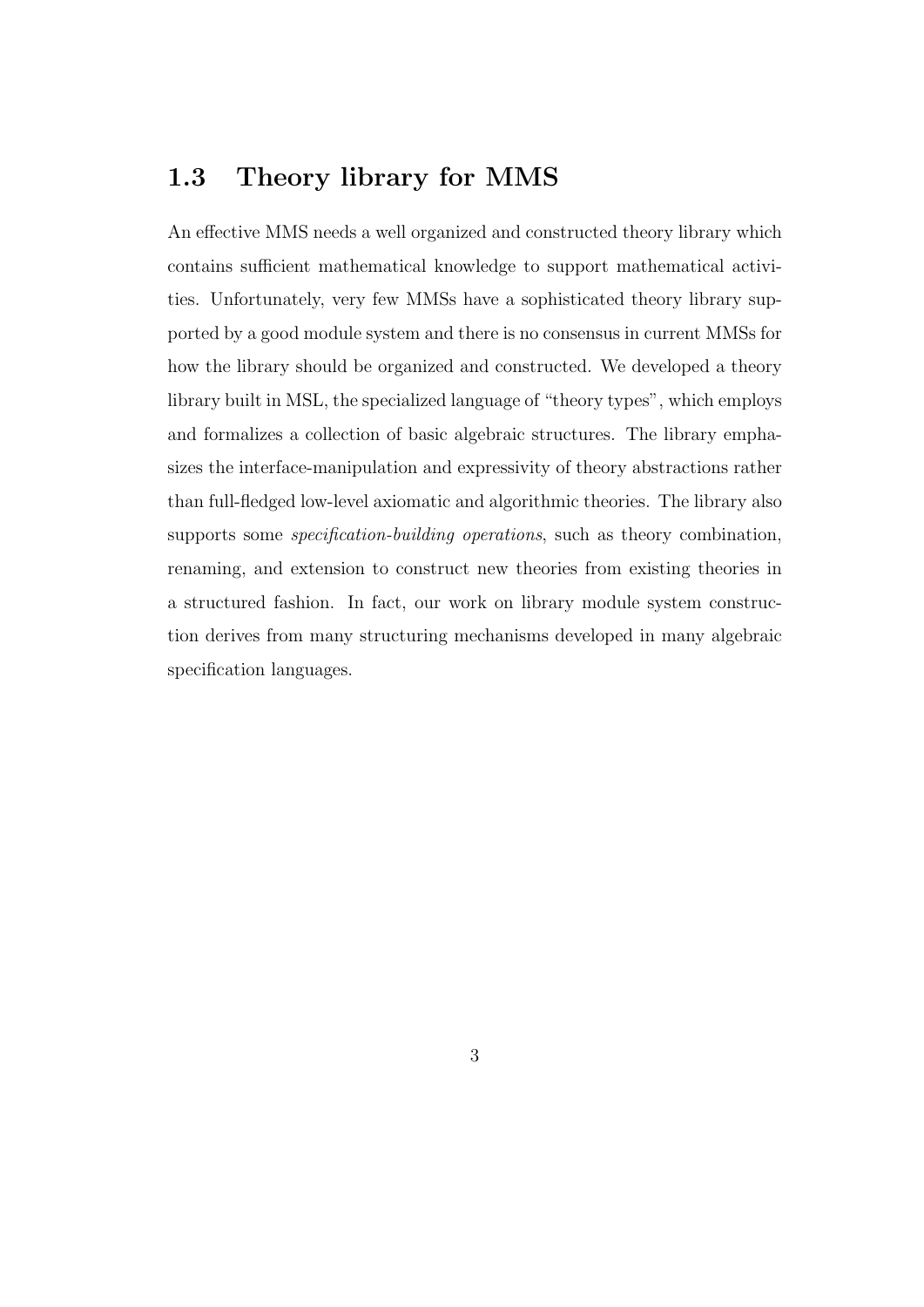## 1.3 Theory library for MMS

An effective MMS needs a well organized and constructed theory library which contains sufficient mathematical knowledge to support mathematical activities. Unfortunately, very few MMSs have a sophisticated theory library supported by a good module system and there is no consensus in current MMSs for how the library should be organized and constructed. We developed a theory library built in MSL, the specialized language of "theory types", which employs and formalizes a collection of basic algebraic structures. The library emphasizes the interface-manipulation and expressivity of theory abstractions rather than full-fledged low-level axiomatic and algorithmic theories. The library also supports some *specification-building operations*, such as theory combination, renaming, and extension to construct new theories from existing theories in a structured fashion. In fact, our work on library module system construction derives from many structuring mechanisms developed in many algebraic specification languages.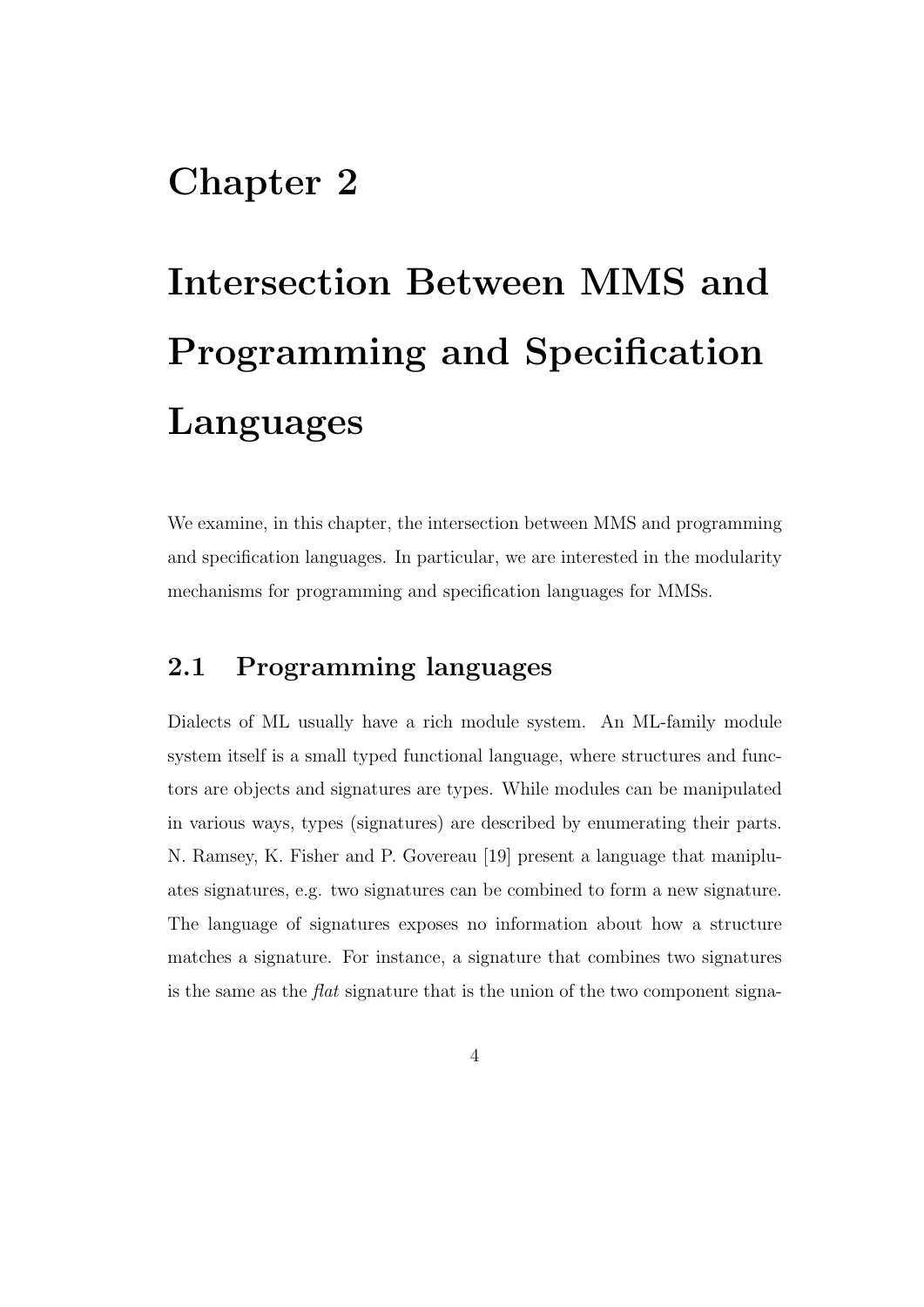# Chapter 2

# Intersection Between MMS and Programming and Specification Languages

We examine, in this chapter, the intersection between MMS and programming and specification languages. In particular, we are interested in the modularity mechanisms for programming and specification languages for MMSs.

## 2.1 Programming languages

Dialects of ML usually have a rich module system. An ML-family module system itself is a small typed functional language, where structures and functors are objects and signatures are types. While modules can be manipulated in various ways, types (signatures) are described by enumerating their parts. N. Ramsey, K. Fisher and P. Govereau [19] present a language that manipluates signatures, e.g. two signatures can be combined to form a new signature. The language of signatures exposes no information about how a structure matches a signature. For instance, a signature that combines two signatures is the same as the flat signature that is the union of the two component signa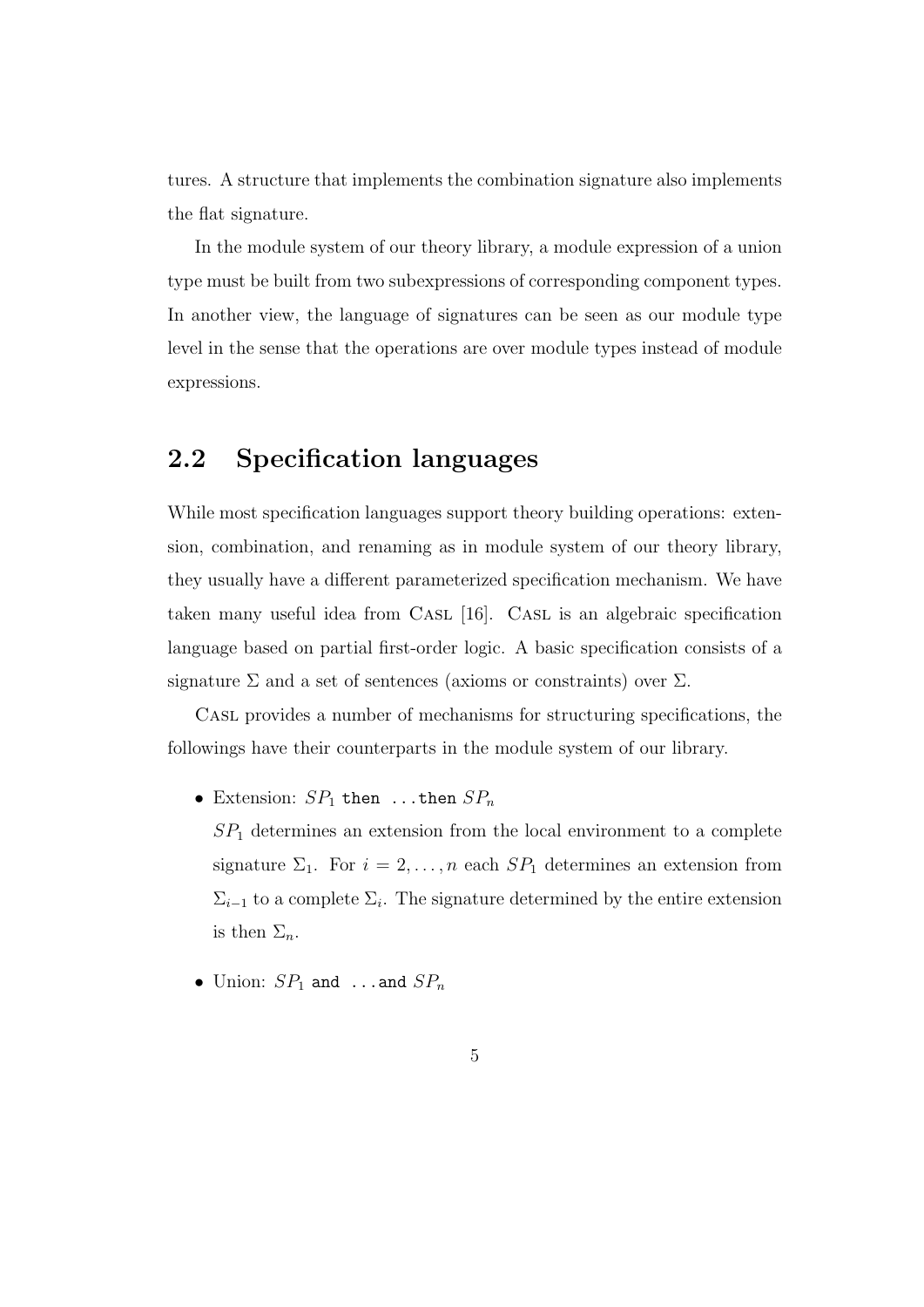tures. A structure that implements the combination signature also implements the flat signature.

In the module system of our theory library, a module expression of a union type must be built from two subexpressions of corresponding component types. In another view, the language of signatures can be seen as our module type level in the sense that the operations are over module types instead of module expressions.

## 2.2 Specification languages

While most specification languages support theory building operations: extension, combination, and renaming as in module system of our theory library, they usually have a different parameterized specification mechanism. We have taken many useful idea from CASL [16]. CASL is an algebraic specification language based on partial first-order logic. A basic specification consists of a signature  $\Sigma$  and a set of sentences (axioms or constraints) over  $\Sigma$ .

Casl provides a number of mechanisms for structuring specifications, the followings have their counterparts in the module system of our library.

- Extension:  $SP_1$  then ...then  $SP_n$ 
	- $SP<sub>1</sub>$  determines an extension from the local environment to a complete signature  $\Sigma_1$ . For  $i = 2, ..., n$  each  $SP_1$  determines an extension from  $\Sigma_{i-1}$  to a complete  $\Sigma_i$ . The signature determined by the entire extension is then  $\Sigma_n$ .
- Union:  $SP_1$  and ...and  $SP_n$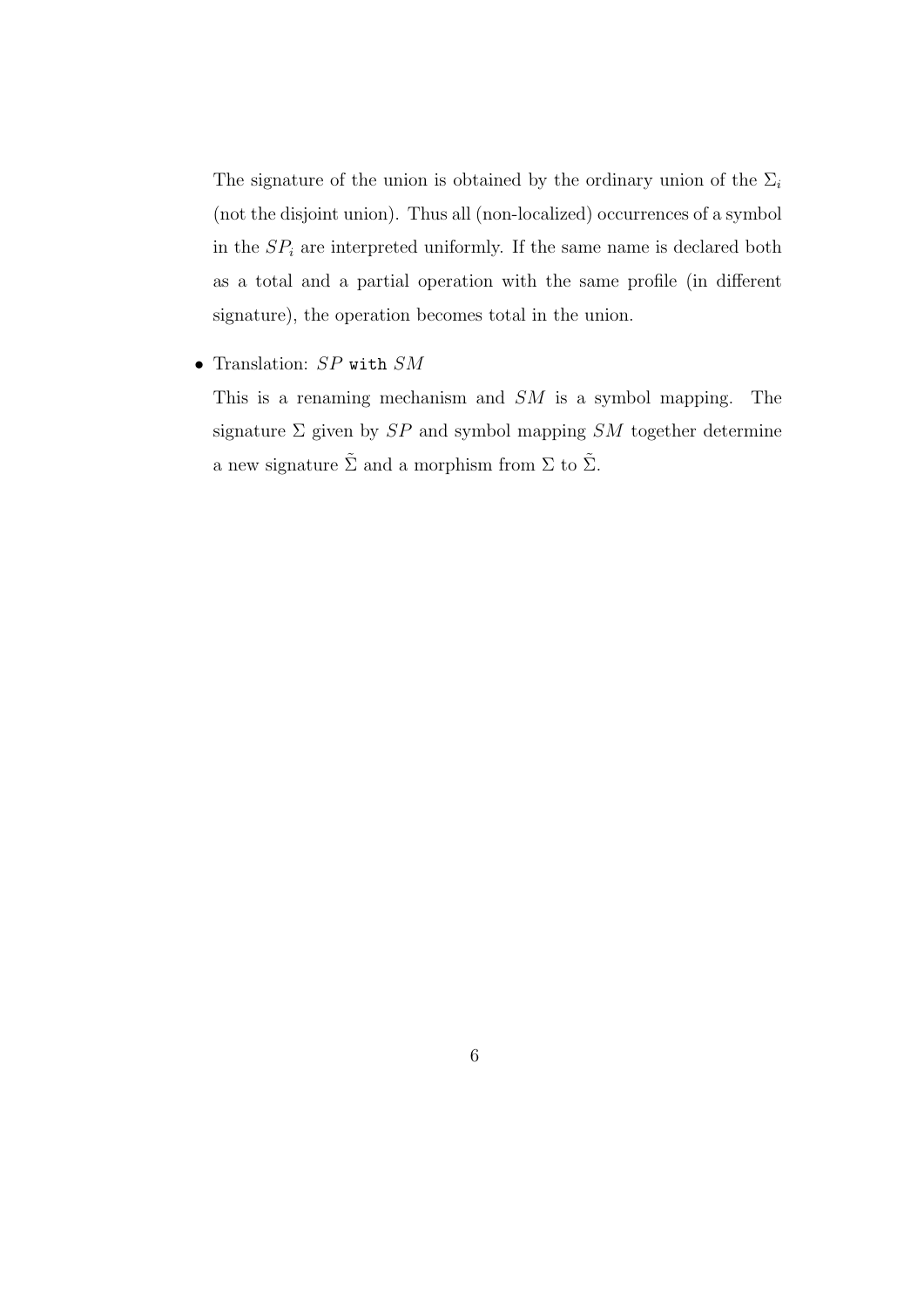The signature of the union is obtained by the ordinary union of the  $\Sigma_i$ (not the disjoint union). Thus all (non-localized) occurrences of a symbol in the  $SP_i$  are interpreted uniformly. If the same name is declared both as a total and a partial operation with the same profile (in different signature), the operation becomes total in the union.

• Translation: SP with SM

This is a renaming mechanism and SM is a symbol mapping. The signature  $\Sigma$  given by  $SP$  and symbol mapping  $SM$  together determine a new signature  $\tilde{\Sigma}$  and a morphism from  $\Sigma$  to  $\tilde{\Sigma}.$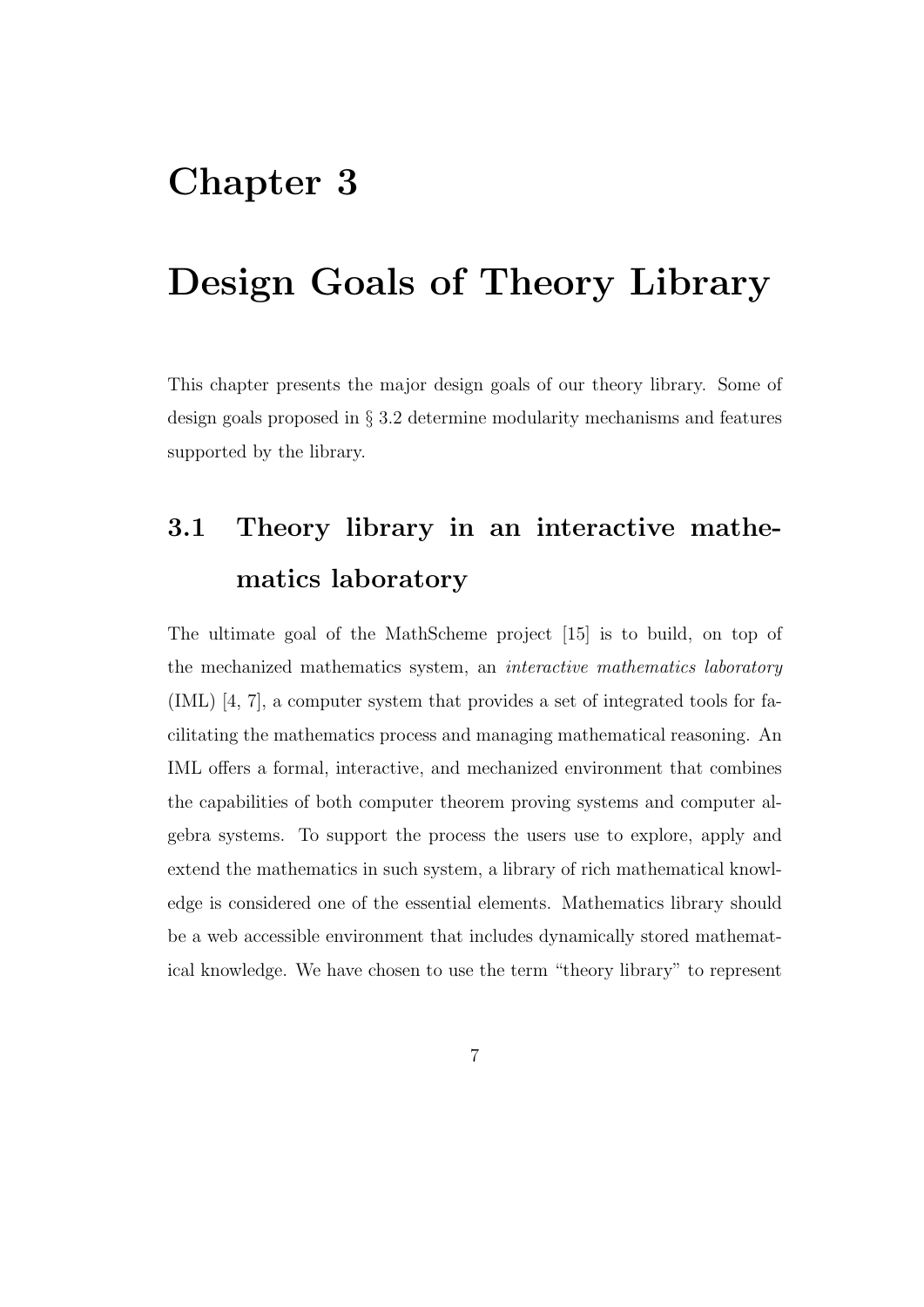# Chapter 3

# Design Goals of Theory Library

This chapter presents the major design goals of our theory library. Some of design goals proposed in § 3.2 determine modularity mechanisms and features supported by the library.

# 3.1 Theory library in an interactive mathematics laboratory

The ultimate goal of the MathScheme project [15] is to build, on top of the mechanized mathematics system, an interactive mathematics laboratory (IML) [4, 7], a computer system that provides a set of integrated tools for facilitating the mathematics process and managing mathematical reasoning. An IML offers a formal, interactive, and mechanized environment that combines the capabilities of both computer theorem proving systems and computer algebra systems. To support the process the users use to explore, apply and extend the mathematics in such system, a library of rich mathematical knowledge is considered one of the essential elements. Mathematics library should be a web accessible environment that includes dynamically stored mathematical knowledge. We have chosen to use the term "theory library" to represent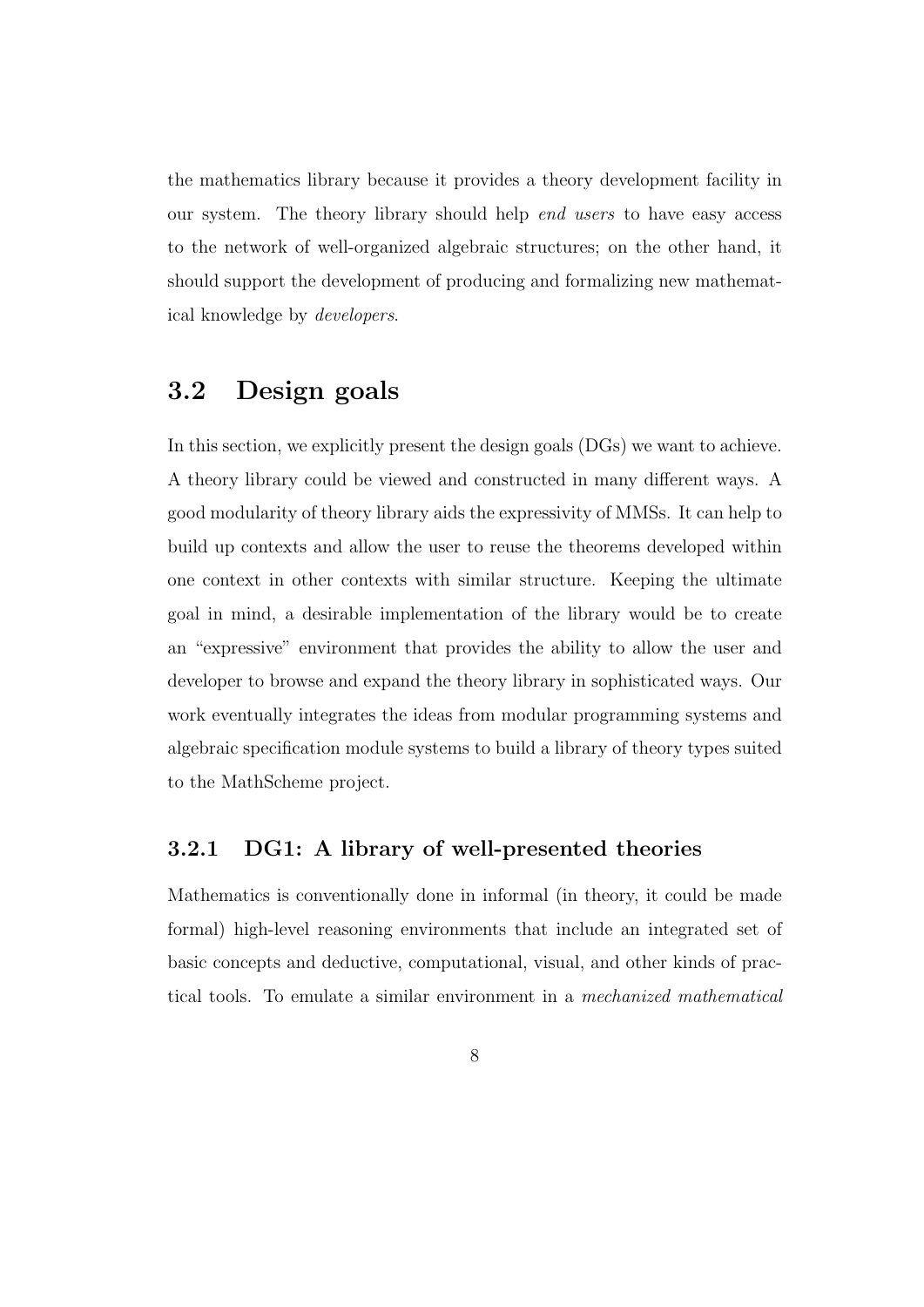the mathematics library because it provides a theory development facility in our system. The theory library should help end users to have easy access to the network of well-organized algebraic structures; on the other hand, it should support the development of producing and formalizing new mathematical knowledge by developers.

## 3.2 Design goals

In this section, we explicitly present the design goals (DGs) we want to achieve. A theory library could be viewed and constructed in many different ways. A good modularity of theory library aids the expressivity of MMSs. It can help to build up contexts and allow the user to reuse the theorems developed within one context in other contexts with similar structure. Keeping the ultimate goal in mind, a desirable implementation of the library would be to create an "expressive" environment that provides the ability to allow the user and developer to browse and expand the theory library in sophisticated ways. Our work eventually integrates the ideas from modular programming systems and algebraic specification module systems to build a library of theory types suited to the MathScheme project.

### 3.2.1 DG1: A library of well-presented theories

Mathematics is conventionally done in informal (in theory, it could be made formal) high-level reasoning environments that include an integrated set of basic concepts and deductive, computational, visual, and other kinds of practical tools. To emulate a similar environment in a mechanized mathematical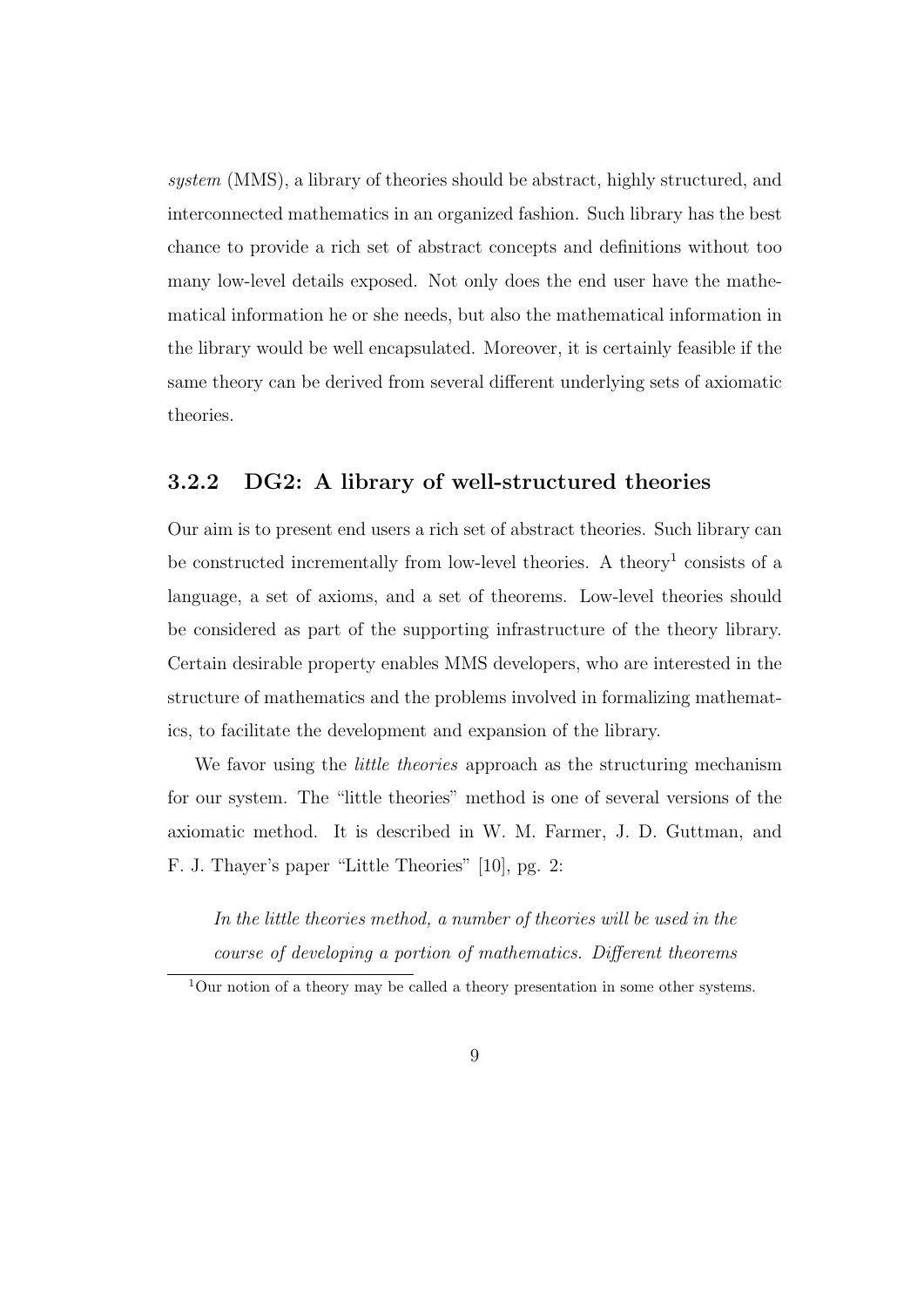system (MMS), a library of theories should be abstract, highly structured, and interconnected mathematics in an organized fashion. Such library has the best chance to provide a rich set of abstract concepts and definitions without too many low-level details exposed. Not only does the end user have the mathematical information he or she needs, but also the mathematical information in the library would be well encapsulated. Moreover, it is certainly feasible if the same theory can be derived from several different underlying sets of axiomatic theories.

### 3.2.2 DG2: A library of well-structured theories

Our aim is to present end users a rich set of abstract theories. Such library can be constructed incrementally from low-level theories. A theory<sup>1</sup> consists of a language, a set of axioms, and a set of theorems. Low-level theories should be considered as part of the supporting infrastructure of the theory library. Certain desirable property enables MMS developers, who are interested in the structure of mathematics and the problems involved in formalizing mathematics, to facilitate the development and expansion of the library.

We favor using the *little theories* approach as the structuring mechanism for our system. The "little theories" method is one of several versions of the axiomatic method. It is described in W. M. Farmer, J. D. Guttman, and F. J. Thayer's paper "Little Theories" [10], pg. 2:

In the little theories method, a number of theories will be used in the course of developing a portion of mathematics. Different theorems

<sup>&</sup>lt;sup>1</sup>Our notion of a theory may be called a theory presentation in some other systems.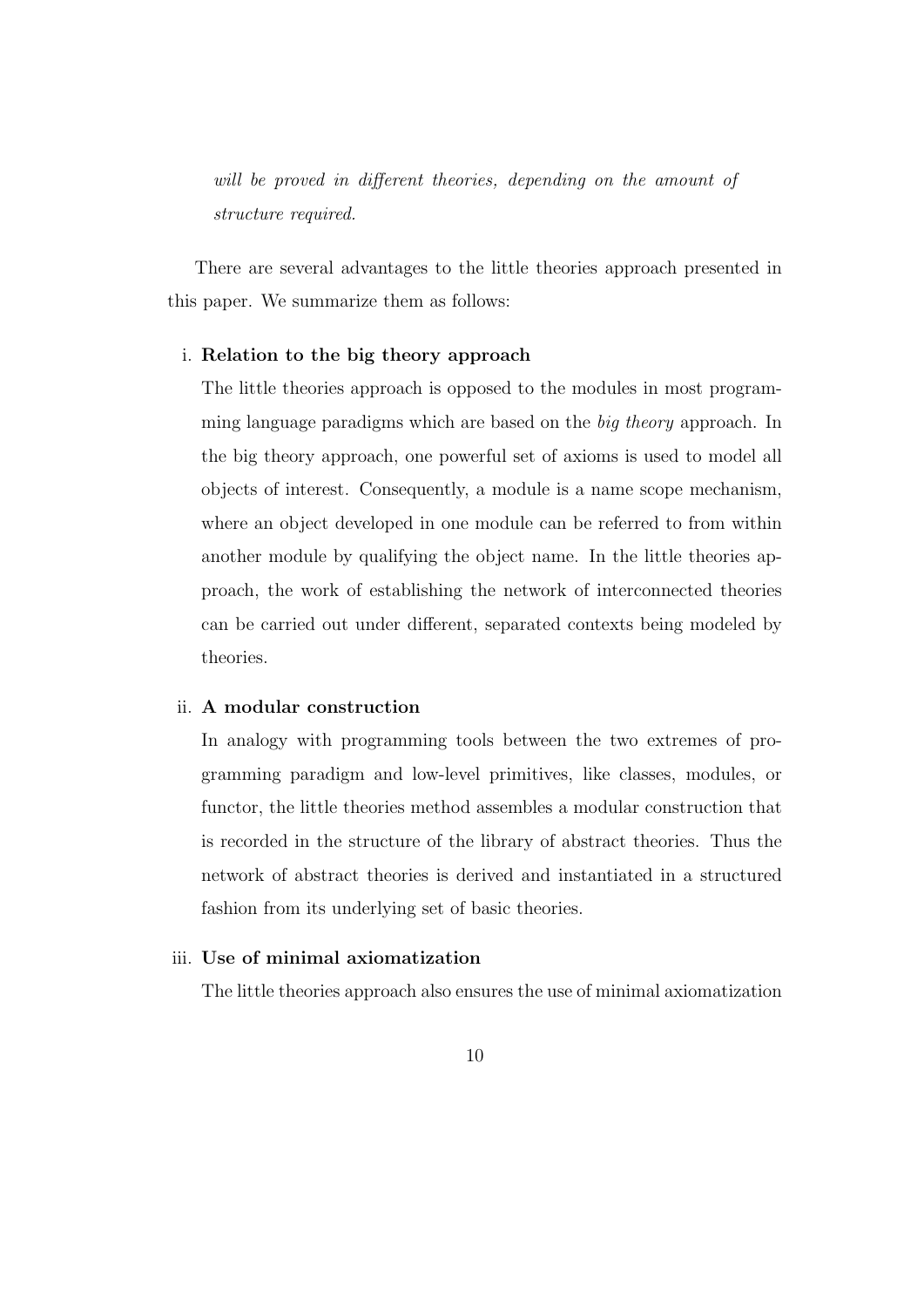will be proved in different theories, depending on the amount of structure required.

There are several advantages to the little theories approach presented in this paper. We summarize them as follows:

#### i. Relation to the big theory approach

The little theories approach is opposed to the modules in most programming language paradigms which are based on the big theory approach. In the big theory approach, one powerful set of axioms is used to model all objects of interest. Consequently, a module is a name scope mechanism, where an object developed in one module can be referred to from within another module by qualifying the object name. In the little theories approach, the work of establishing the network of interconnected theories can be carried out under different, separated contexts being modeled by theories.

#### ii. A modular construction

In analogy with programming tools between the two extremes of programming paradigm and low-level primitives, like classes, modules, or functor, the little theories method assembles a modular construction that is recorded in the structure of the library of abstract theories. Thus the network of abstract theories is derived and instantiated in a structured fashion from its underlying set of basic theories.

#### iii. Use of minimal axiomatization

The little theories approach also ensures the use of minimal axiomatization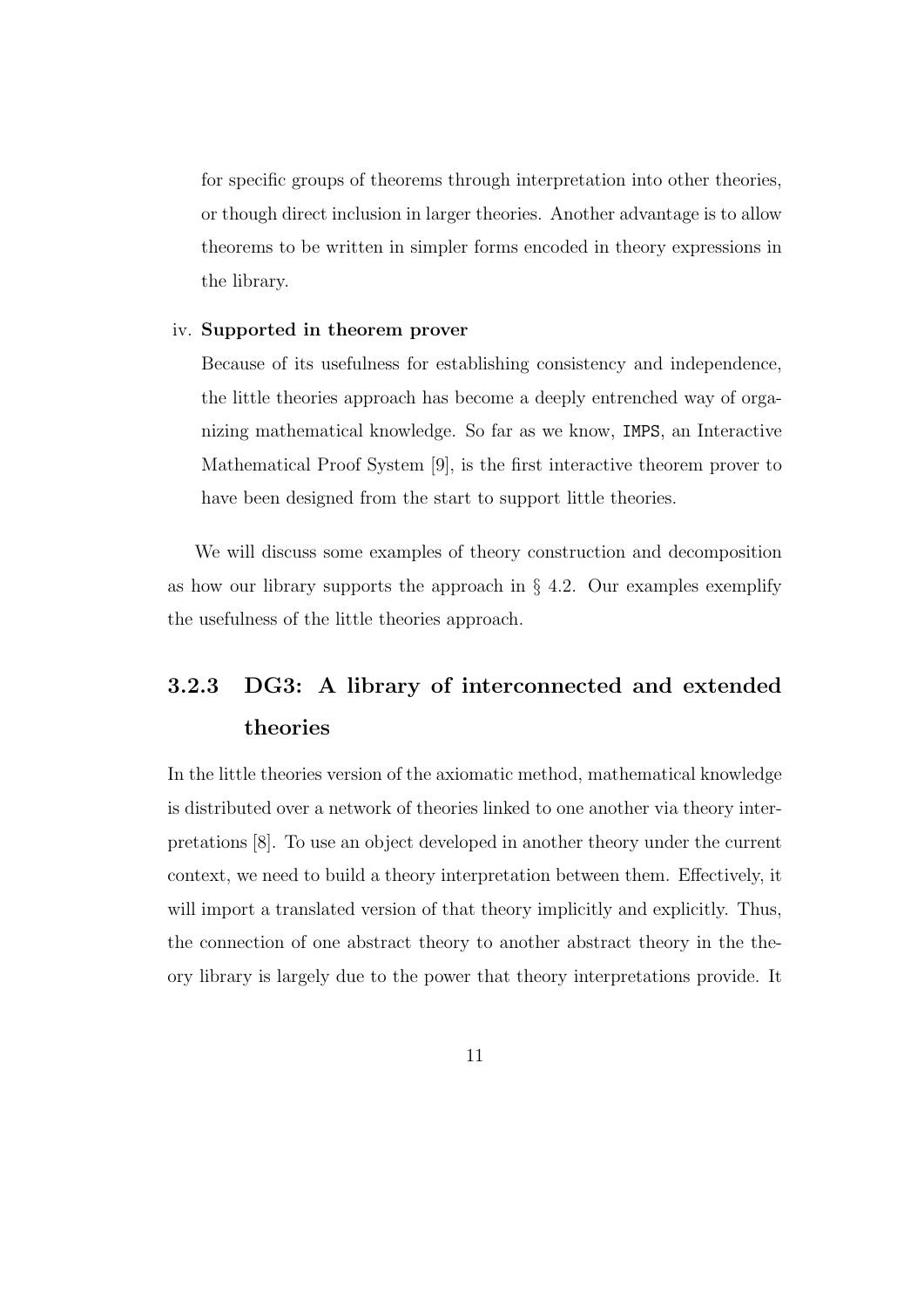for specific groups of theorems through interpretation into other theories, or though direct inclusion in larger theories. Another advantage is to allow theorems to be written in simpler forms encoded in theory expressions in the library.

#### iv. Supported in theorem prover

Because of its usefulness for establishing consistency and independence, the little theories approach has become a deeply entrenched way of organizing mathematical knowledge. So far as we know, IMPS, an Interactive Mathematical Proof System [9], is the first interactive theorem prover to have been designed from the start to support little theories.

We will discuss some examples of theory construction and decomposition as how our library supports the approach in  $\S 4.2$ . Our examples exemplify the usefulness of the little theories approach.

# 3.2.3 DG3: A library of interconnected and extended theories

In the little theories version of the axiomatic method, mathematical knowledge is distributed over a network of theories linked to one another via theory interpretations [8]. To use an object developed in another theory under the current context, we need to build a theory interpretation between them. Effectively, it will import a translated version of that theory implicitly and explicitly. Thus, the connection of one abstract theory to another abstract theory in the theory library is largely due to the power that theory interpretations provide. It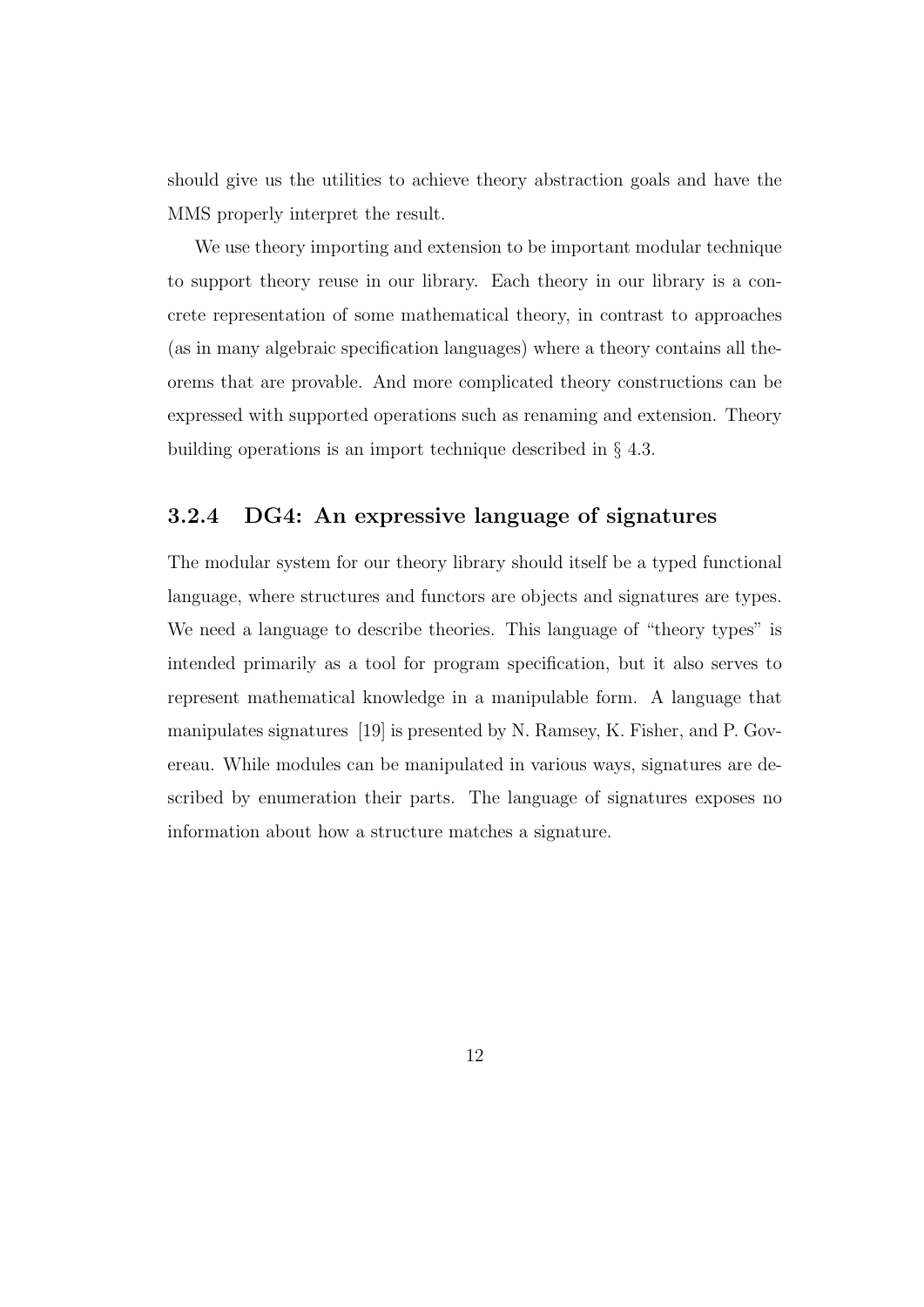should give us the utilities to achieve theory abstraction goals and have the MMS properly interpret the result.

We use theory importing and extension to be important modular technique to support theory reuse in our library. Each theory in our library is a concrete representation of some mathematical theory, in contrast to approaches (as in many algebraic specification languages) where a theory contains all theorems that are provable. And more complicated theory constructions can be expressed with supported operations such as renaming and extension. Theory building operations is an import technique described in § 4.3.

#### 3.2.4 DG4: An expressive language of signatures

The modular system for our theory library should itself be a typed functional language, where structures and functors are objects and signatures are types. We need a language to describe theories. This language of "theory types" is intended primarily as a tool for program specification, but it also serves to represent mathematical knowledge in a manipulable form. A language that manipulates signatures [19] is presented by N. Ramsey, K. Fisher, and P. Govereau. While modules can be manipulated in various ways, signatures are described by enumeration their parts. The language of signatures exposes no information about how a structure matches a signature.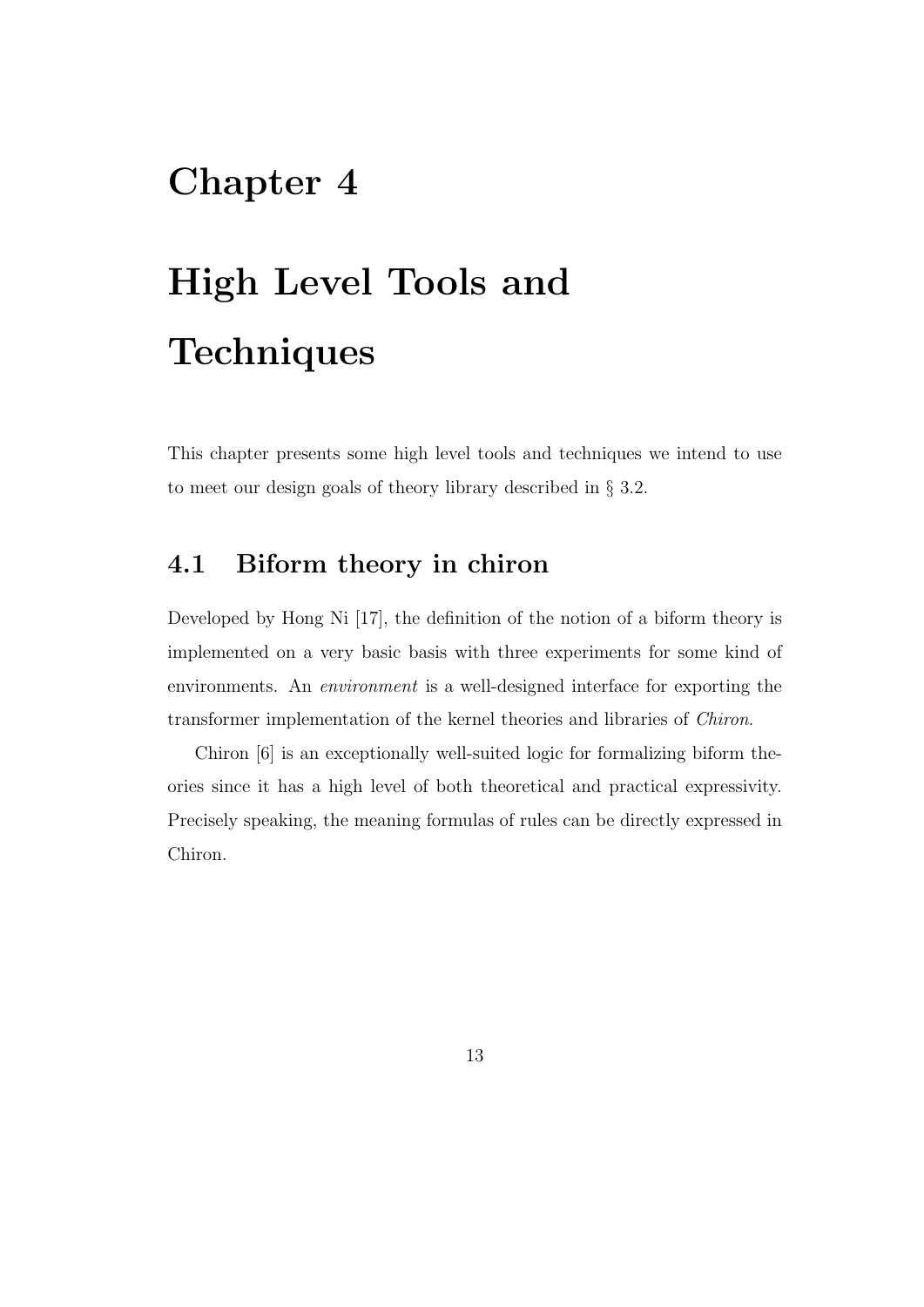# Chapter 4

# High Level Tools and **Techniques**

This chapter presents some high level tools and techniques we intend to use to meet our design goals of theory library described in § 3.2.

## 4.1 Biform theory in chiron

Developed by Hong Ni [17], the definition of the notion of a biform theory is implemented on a very basic basis with three experiments for some kind of environments. An environment is a well-designed interface for exporting the transformer implementation of the kernel theories and libraries of Chiron.

Chiron [6] is an exceptionally well-suited logic for formalizing biform theories since it has a high level of both theoretical and practical expressivity. Precisely speaking, the meaning formulas of rules can be directly expressed in Chiron.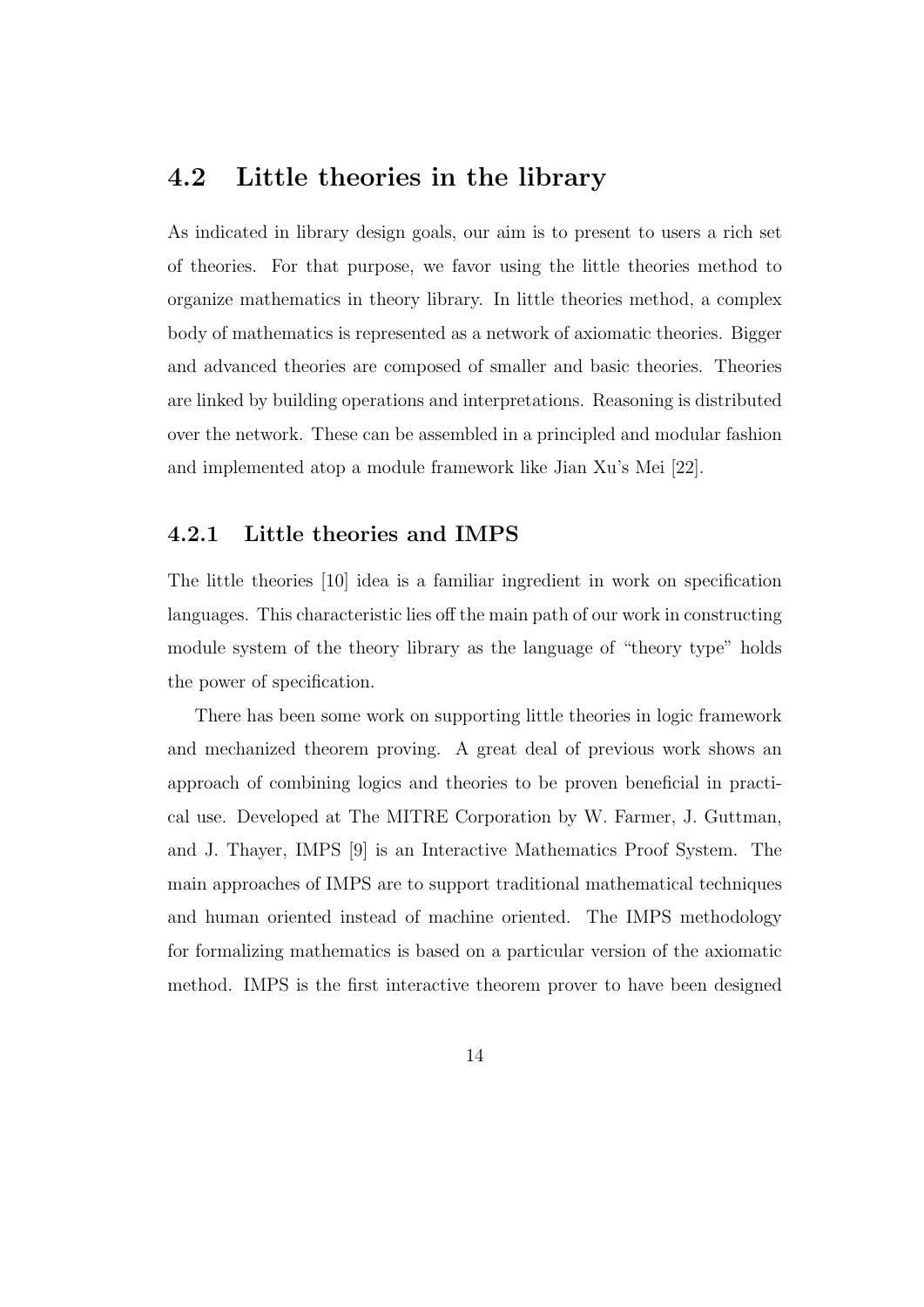## 4.2 Little theories in the library

As indicated in library design goals, our aim is to present to users a rich set of theories. For that purpose, we favor using the little theories method to organize mathematics in theory library. In little theories method, a complex body of mathematics is represented as a network of axiomatic theories. Bigger and advanced theories are composed of smaller and basic theories. Theories are linked by building operations and interpretations. Reasoning is distributed over the network. These can be assembled in a principled and modular fashion and implemented atop a module framework like Jian Xu's Mei [22].

#### 4.2.1 Little theories and IMPS

The little theories [10] idea is a familiar ingredient in work on specification languages. This characteristic lies off the main path of our work in constructing module system of the theory library as the language of "theory type" holds the power of specification.

There has been some work on supporting little theories in logic framework and mechanized theorem proving. A great deal of previous work shows an approach of combining logics and theories to be proven beneficial in practical use. Developed at The MITRE Corporation by W. Farmer, J. Guttman, and J. Thayer, IMPS [9] is an Interactive Mathematics Proof System. The main approaches of IMPS are to support traditional mathematical techniques and human oriented instead of machine oriented. The IMPS methodology for formalizing mathematics is based on a particular version of the axiomatic method. IMPS is the first interactive theorem prover to have been designed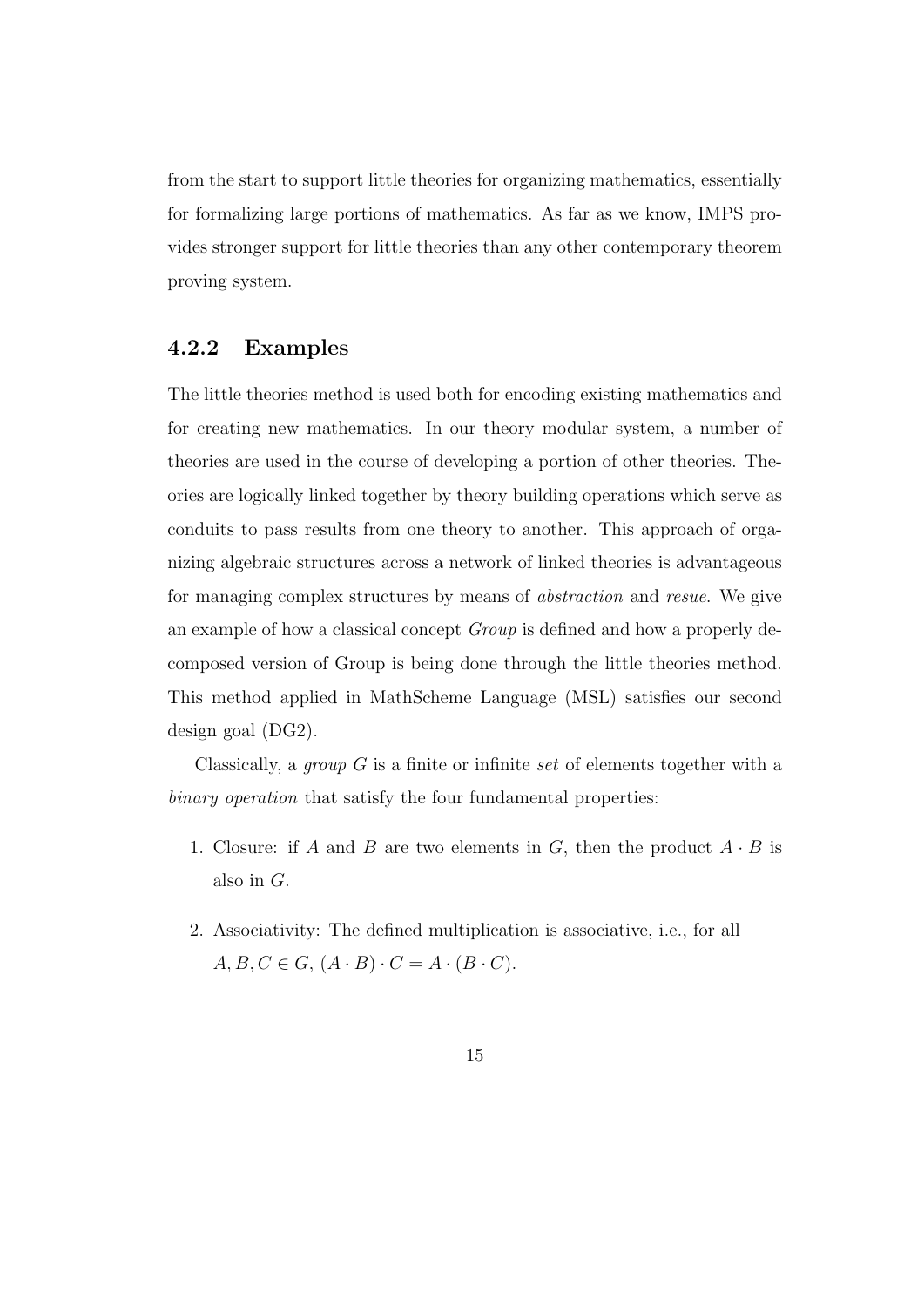from the start to support little theories for organizing mathematics, essentially for formalizing large portions of mathematics. As far as we know, IMPS provides stronger support for little theories than any other contemporary theorem proving system.

#### 4.2.2 Examples

The little theories method is used both for encoding existing mathematics and for creating new mathematics. In our theory modular system, a number of theories are used in the course of developing a portion of other theories. Theories are logically linked together by theory building operations which serve as conduits to pass results from one theory to another. This approach of organizing algebraic structures across a network of linked theories is advantageous for managing complex structures by means of abstraction and resue. We give an example of how a classical concept Group is defined and how a properly decomposed version of Group is being done through the little theories method. This method applied in MathScheme Language (MSL) satisfies our second design goal (DG2).

Classically, a *group*  $G$  is a finite or infinite set of elements together with a binary operation that satisfy the four fundamental properties:

- 1. Closure: if A and B are two elements in G, then the product  $A \cdot B$  is also in G.
- 2. Associativity: The defined multiplication is associative, i.e., for all  $A, B, C \in G, (A \cdot B) \cdot C = A \cdot (B \cdot C).$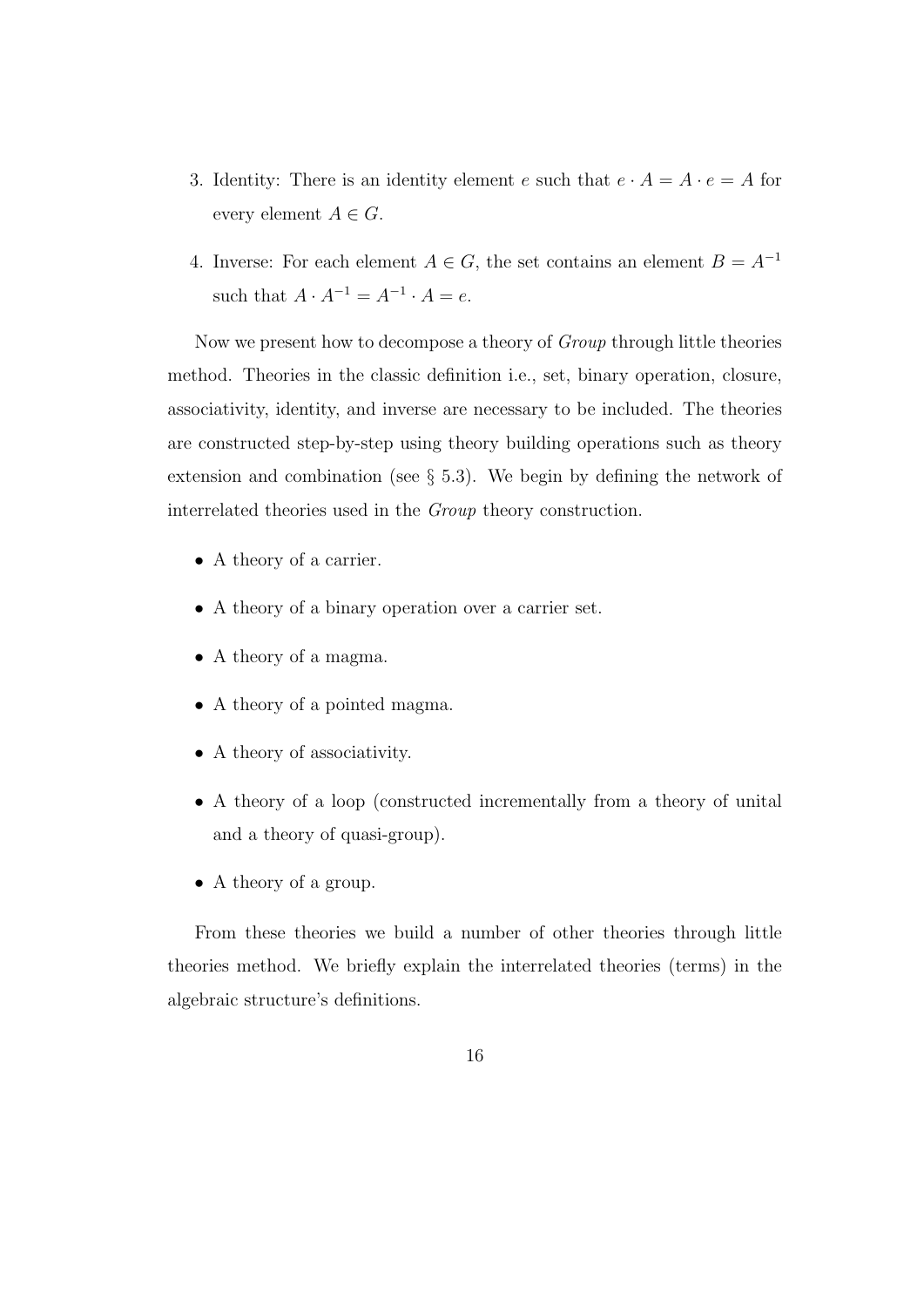- 3. Identity: There is an identity element e such that  $e \cdot A = A \cdot e = A$  for every element  $A \in G$ .
- 4. Inverse: For each element  $A \in G$ , the set contains an element  $B = A^{-1}$ such that  $A \cdot A^{-1} = A^{-1} \cdot A = e$ .

Now we present how to decompose a theory of Group through little theories method. Theories in the classic definition i.e., set, binary operation, closure, associativity, identity, and inverse are necessary to be included. The theories are constructed step-by-step using theory building operations such as theory extension and combination (see § 5.3). We begin by defining the network of interrelated theories used in the Group theory construction.

- A theory of a carrier.
- A theory of a binary operation over a carrier set.
- A theory of a magma.
- A theory of a pointed magma.
- A theory of associativity.
- A theory of a loop (constructed incrementally from a theory of unital and a theory of quasi-group).
- A theory of a group.

From these theories we build a number of other theories through little theories method. We briefly explain the interrelated theories (terms) in the algebraic structure's definitions.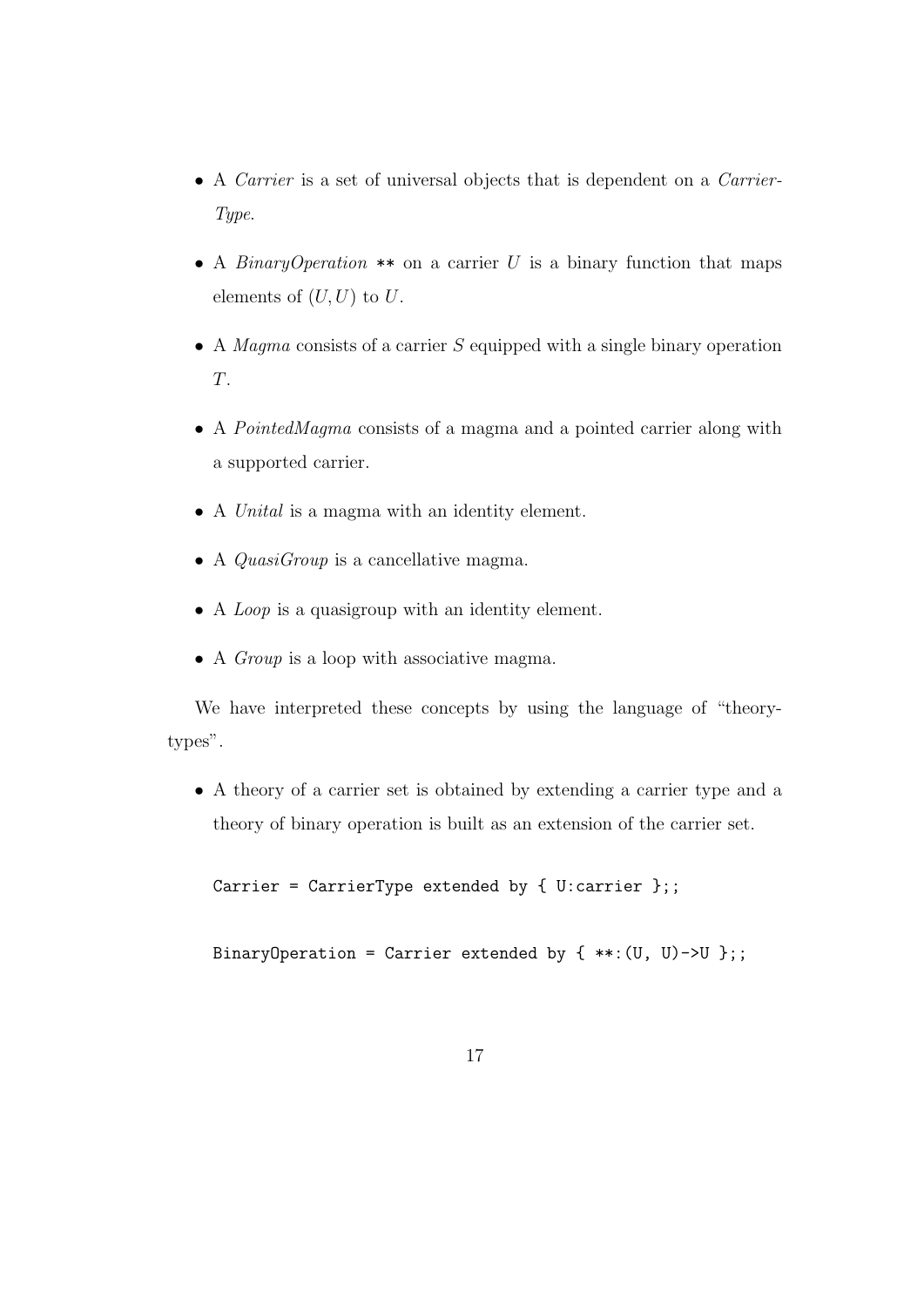- A *Carrier* is a set of universal objects that is dependent on a *Carrier*-Type.
- A *BinaryOperation* \*\* on a carrier U is a binary function that maps elements of  $(U, U)$  to  $U$ .
- A Magma consists of a carrier  $S$  equipped with a single binary operation T.
- A PointedMagma consists of a magma and a pointed carrier along with a supported carrier.
- A Unital is a magma with an identity element.
- A *QuasiGroup* is a cancellative magma.
- A *Loop* is a quasigroup with an identity element.
- A *Group* is a loop with associative magma.

We have interpreted these concepts by using the language of "theorytypes".

• A theory of a carrier set is obtained by extending a carrier type and a theory of binary operation is built as an extension of the carrier set.

Carrier = CarrierType extended by { U:carrier };;

BinaryOperation = Carrier extended by  $\{**:(U, U)->U\};$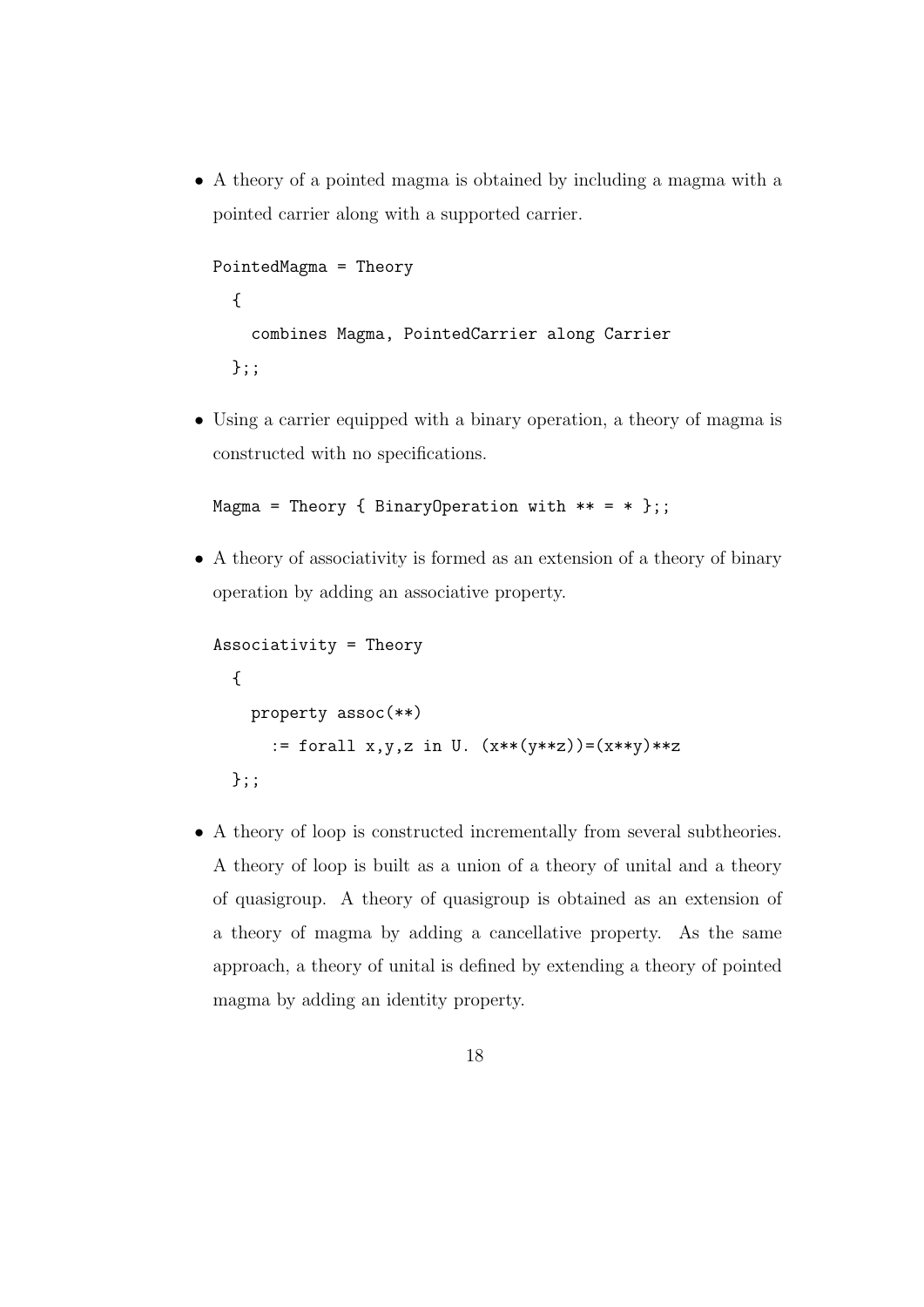• A theory of a pointed magma is obtained by including a magma with a pointed carrier along with a supported carrier.

```
PointedMagma = Theory
  {
    combines Magma, PointedCarrier along Carrier
  };;
```
• Using a carrier equipped with a binary operation, a theory of magma is constructed with no specifications.

```
Magma = Theory { BinaryOperation with ** = * };;
```
• A theory of associativity is formed as an extension of a theory of binary operation by adding an associative property.

```
Associativity = Theory
 {
   property assoc(**)
      := forall x,y,z in U. (x**y**z))=(x**y)**z};;
```
• A theory of loop is constructed incrementally from several subtheories. A theory of loop is built as a union of a theory of unital and a theory of quasigroup. A theory of quasigroup is obtained as an extension of a theory of magma by adding a cancellative property. As the same approach, a theory of unital is defined by extending a theory of pointed magma by adding an identity property.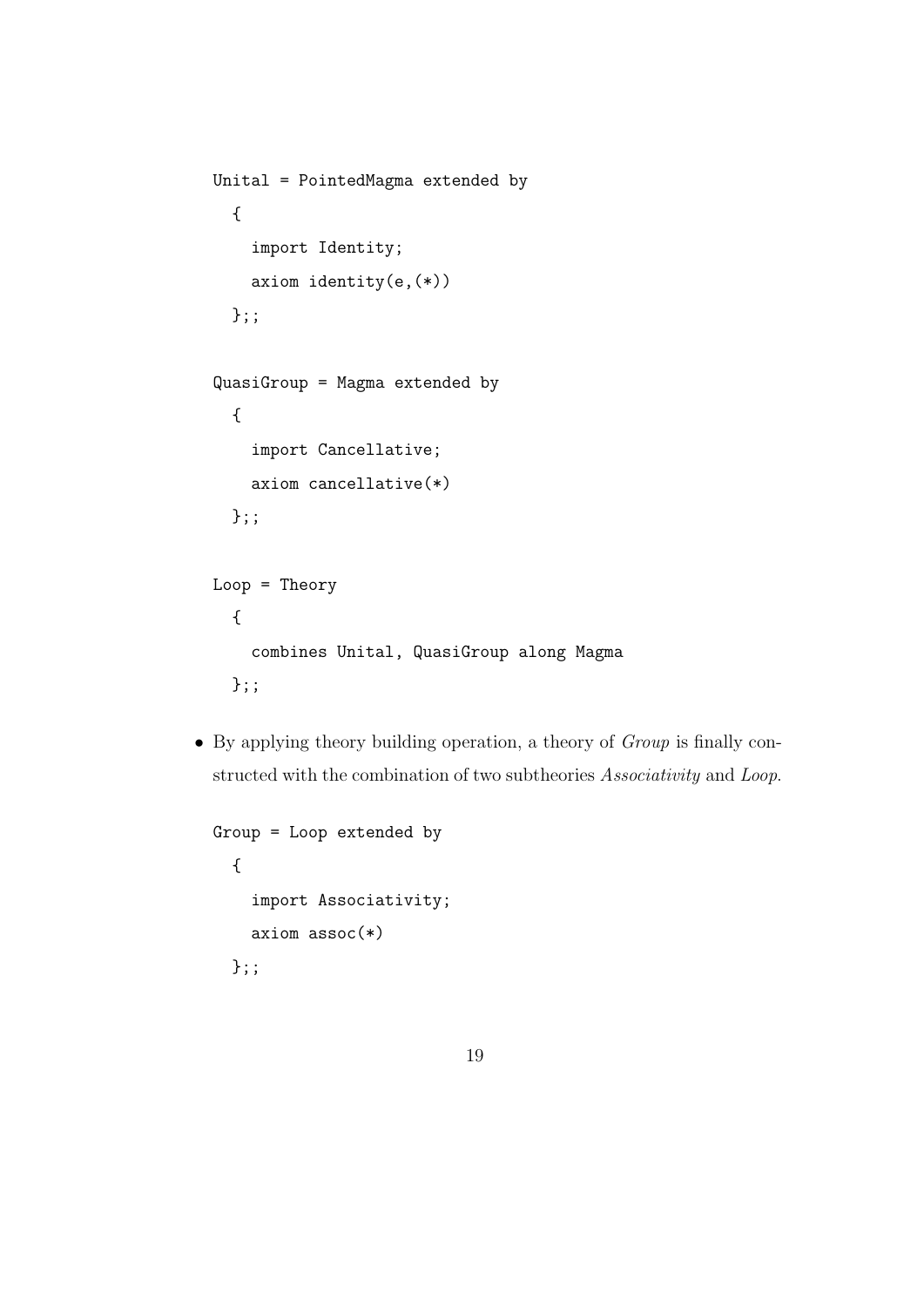```
Unital = PointedMagma extended by
  {
    import Identity;
    axiom identity(e,(*))
  };;
QuasiGroup = Magma extended by
  {
    import Cancellative;
    axiom cancellative(*)
  };;
Loop = Theory
  {
    combines Unital, QuasiGroup along Magma
  };;
```
• By applying theory building operation, a theory of Group is finally constructed with the combination of two subtheories Associativity and Loop.

```
Group = Loop extended by
  {
    import Associativity;
    axiom assoc(*)
  };;
```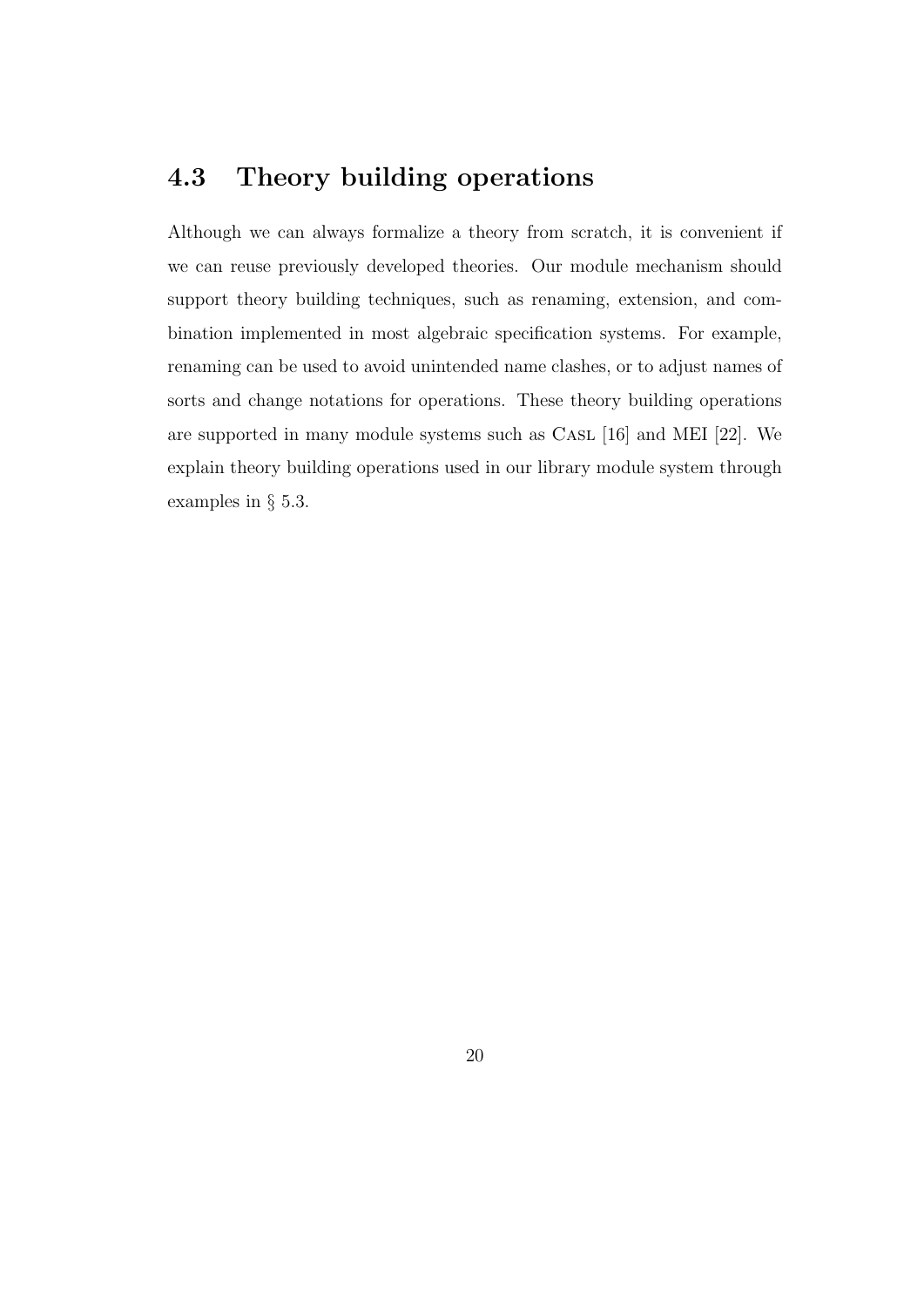# 4.3 Theory building operations

Although we can always formalize a theory from scratch, it is convenient if we can reuse previously developed theories. Our module mechanism should support theory building techniques, such as renaming, extension, and combination implemented in most algebraic specification systems. For example, renaming can be used to avoid unintended name clashes, or to adjust names of sorts and change notations for operations. These theory building operations are supported in many module systems such as Casl [16] and MEI [22]. We explain theory building operations used in our library module system through examples in § 5.3.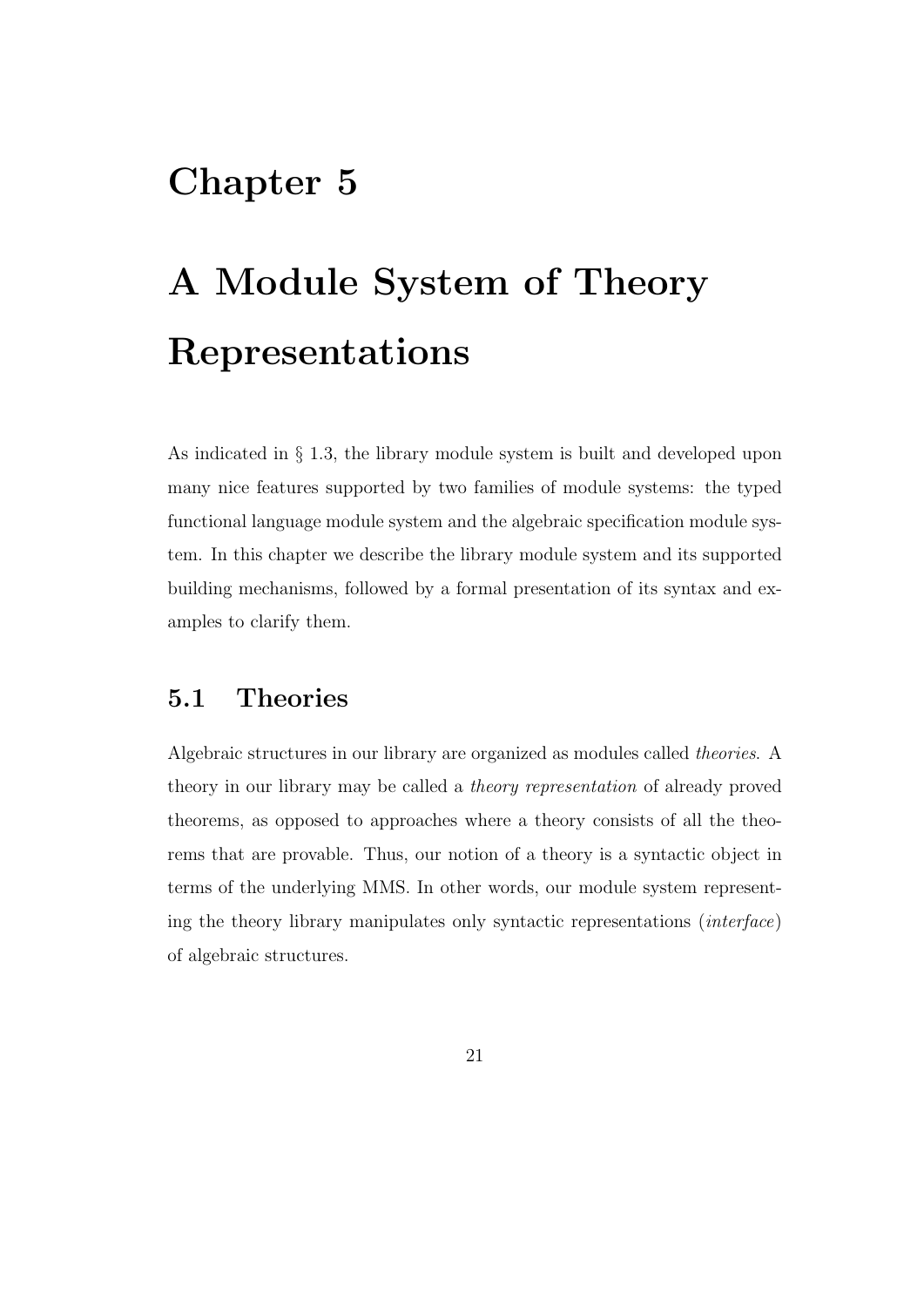# Chapter 5

# A Module System of Theory Representations

As indicated in § 1.3, the library module system is built and developed upon many nice features supported by two families of module systems: the typed functional language module system and the algebraic specification module system. In this chapter we describe the library module system and its supported building mechanisms, followed by a formal presentation of its syntax and examples to clarify them.

## 5.1 Theories

Algebraic structures in our library are organized as modules called theories. A theory in our library may be called a theory representation of already proved theorems, as opposed to approaches where a theory consists of all the theorems that are provable. Thus, our notion of a theory is a syntactic object in terms of the underlying MMS. In other words, our module system representing the theory library manipulates only syntactic representations (interface) of algebraic structures.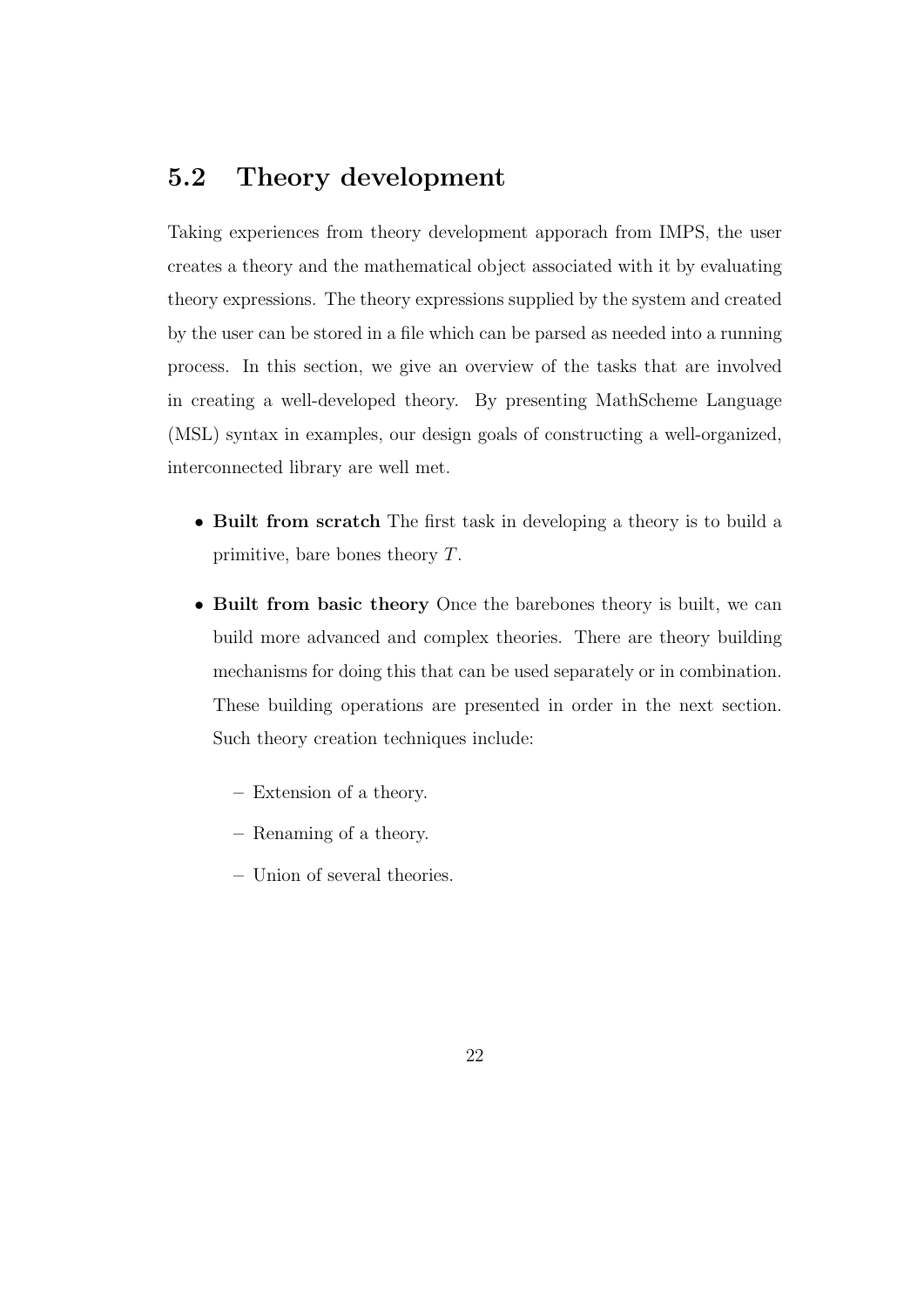### 5.2 Theory development

Taking experiences from theory development apporach from IMPS, the user creates a theory and the mathematical object associated with it by evaluating theory expressions. The theory expressions supplied by the system and created by the user can be stored in a file which can be parsed as needed into a running process. In this section, we give an overview of the tasks that are involved in creating a well-developed theory. By presenting MathScheme Language (MSL) syntax in examples, our design goals of constructing a well-organized, interconnected library are well met.

- Built from scratch The first task in developing a theory is to build a primitive, bare bones theory T.
- Built from basic theory Once the barebones theory is built, we can build more advanced and complex theories. There are theory building mechanisms for doing this that can be used separately or in combination. These building operations are presented in order in the next section. Such theory creation techniques include:
	- Extension of a theory.
	- Renaming of a theory.
	- Union of several theories.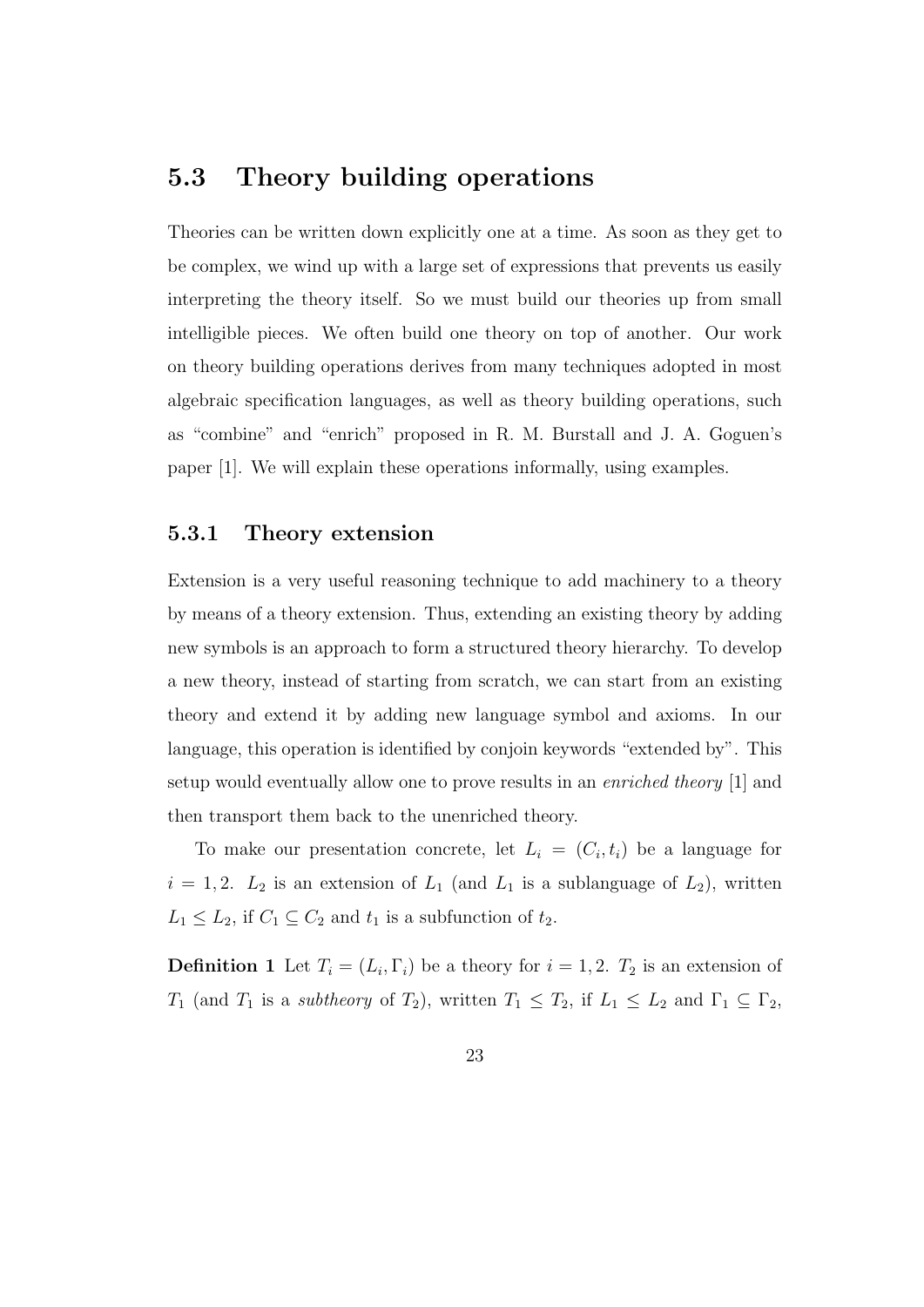## 5.3 Theory building operations

Theories can be written down explicitly one at a time. As soon as they get to be complex, we wind up with a large set of expressions that prevents us easily interpreting the theory itself. So we must build our theories up from small intelligible pieces. We often build one theory on top of another. Our work on theory building operations derives from many techniques adopted in most algebraic specification languages, as well as theory building operations, such as "combine" and "enrich" proposed in R. M. Burstall and J. A. Goguen's paper [1]. We will explain these operations informally, using examples.

#### 5.3.1 Theory extension

Extension is a very useful reasoning technique to add machinery to a theory by means of a theory extension. Thus, extending an existing theory by adding new symbols is an approach to form a structured theory hierarchy. To develop a new theory, instead of starting from scratch, we can start from an existing theory and extend it by adding new language symbol and axioms. In our language, this operation is identified by conjoin keywords "extended by". This setup would eventually allow one to prove results in an enriched theory [1] and then transport them back to the unenriched theory.

To make our presentation concrete, let  $L_i = (C_i, t_i)$  be a language for  $i = 1, 2$ .  $L_2$  is an extension of  $L_1$  (and  $L_1$  is a sublanguage of  $L_2$ ), written  $L_1 \leq L_2$ , if  $C_1 \subseteq C_2$  and  $t_1$  is a subfunction of  $t_2$ .

**Definition 1** Let  $T_i = (L_i, \Gamma_i)$  be a theory for  $i = 1, 2$ .  $T_2$  is an extension of  $T_1$  (and  $T_1$  is a *subtheory* of  $T_2$ ), written  $T_1 \leq T_2$ , if  $L_1 \leq L_2$  and  $\Gamma_1 \subseteq \Gamma_2$ ,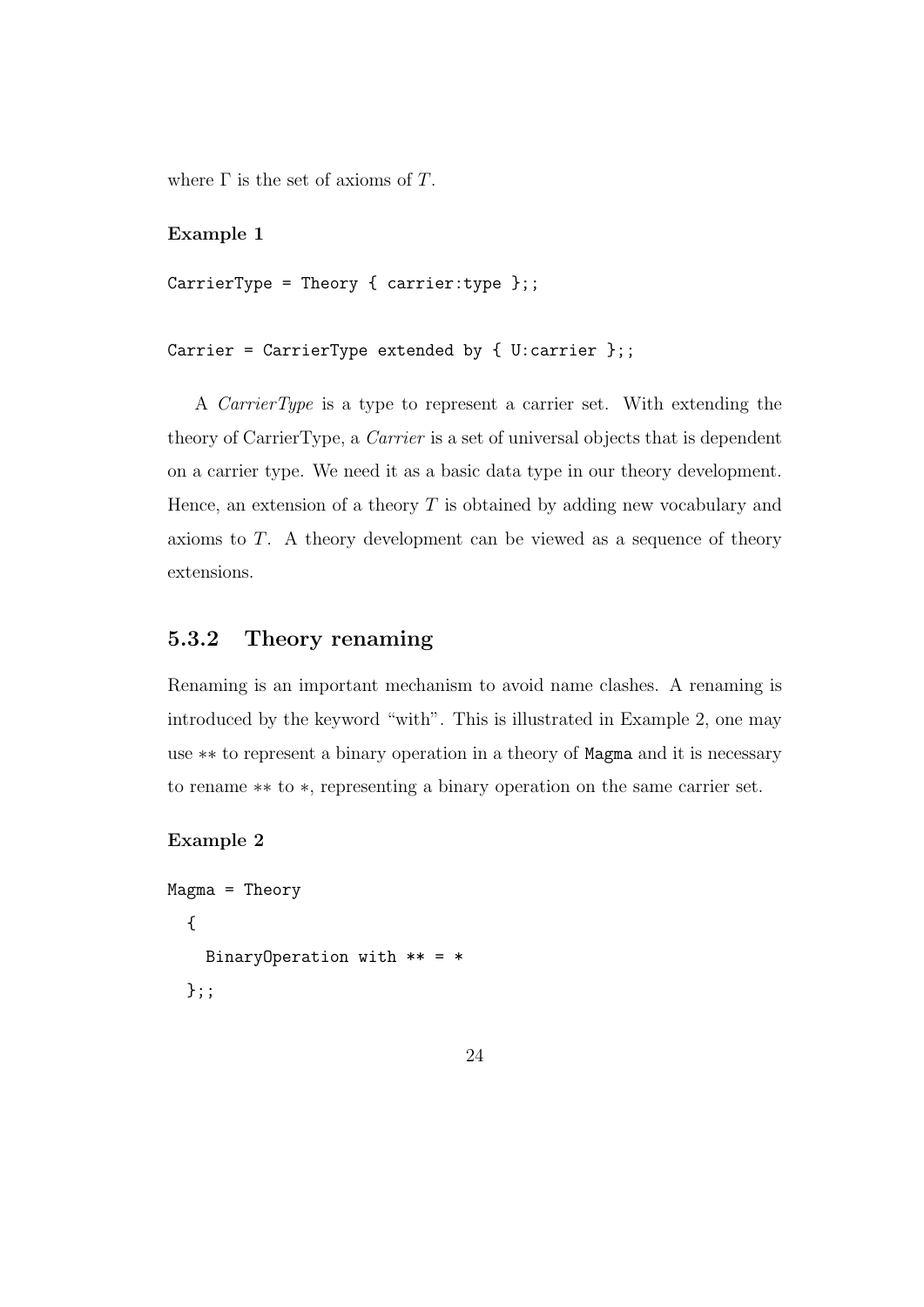where  $\Gamma$  is the set of axioms of T.

#### Example 1

```
CarrierType = Theory { carrier: type };;
```

```
Carrier = CarrierType extended by { U:carrier };;
```
A CarrierType is a type to represent a carrier set. With extending the theory of CarrierType, a Carrier is a set of universal objects that is dependent on a carrier type. We need it as a basic data type in our theory development. Hence, an extension of a theory  $T$  is obtained by adding new vocabulary and axioms to T. A theory development can be viewed as a sequence of theory extensions.

#### 5.3.2 Theory renaming

Renaming is an important mechanism to avoid name clashes. A renaming is introduced by the keyword "with". This is illustrated in Example 2, one may use ∗∗ to represent a binary operation in a theory of Magma and it is necessary to rename ∗∗ to ∗, representing a binary operation on the same carrier set.

#### Example 2

```
Magma = Theory
  {
    BinaryOperation with ** = *};;
```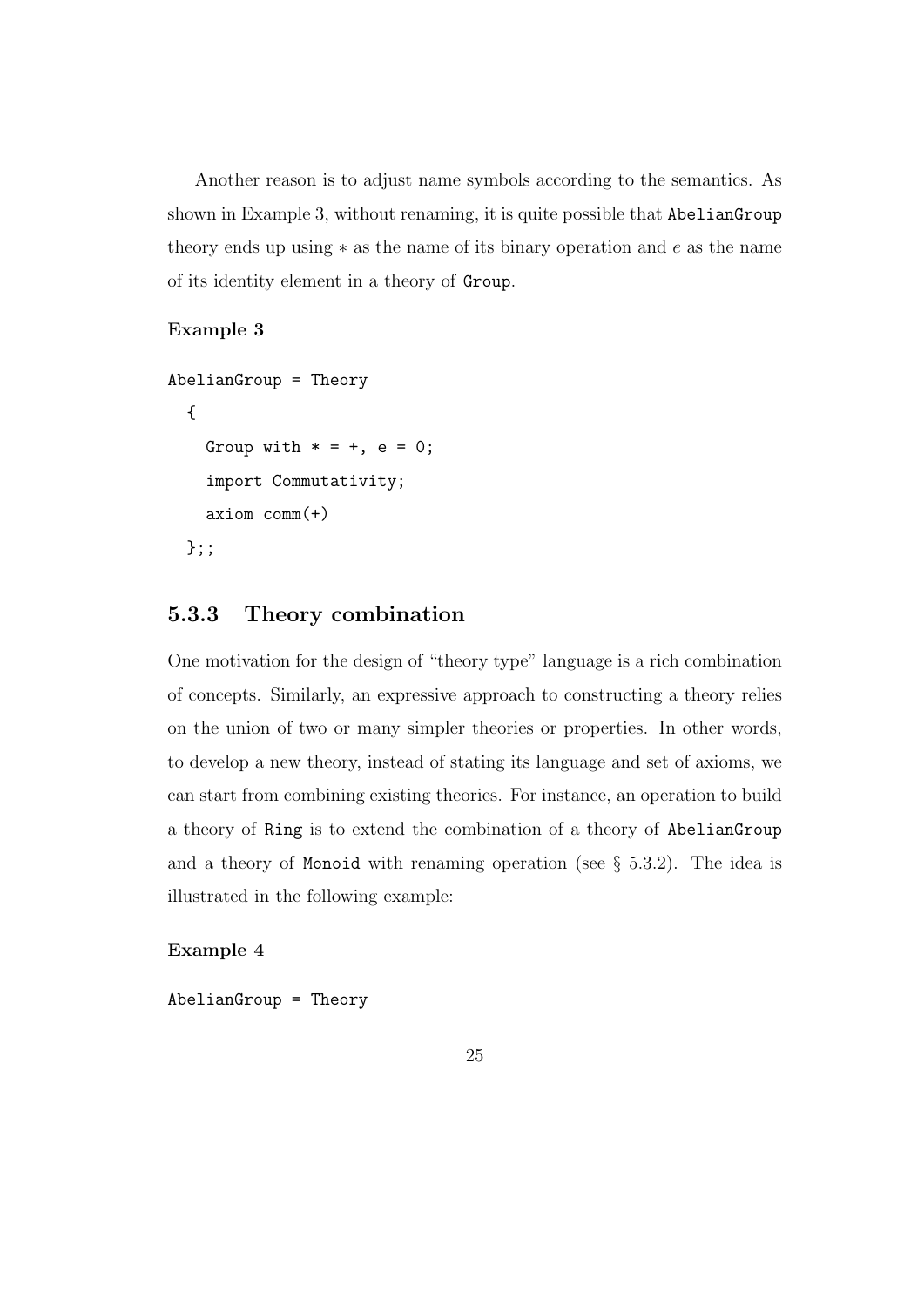Another reason is to adjust name symbols according to the semantics. As shown in Example 3, without renaming, it is quite possible that AbelianGroup theory ends up using  $*$  as the name of its binary operation and  $e$  as the name of its identity element in a theory of Group.

#### Example 3

```
AbelianGroup = Theory
  {
    Group with * = +, e = 0;
    import Commutativity;
    axiom comm(+)
  };;
```
#### 5.3.3 Theory combination

One motivation for the design of "theory type" language is a rich combination of concepts. Similarly, an expressive approach to constructing a theory relies on the union of two or many simpler theories or properties. In other words, to develop a new theory, instead of stating its language and set of axioms, we can start from combining existing theories. For instance, an operation to build a theory of Ring is to extend the combination of a theory of AbelianGroup and a theory of Monoid with renaming operation (see  $\S$  5.3.2). The idea is illustrated in the following example:

Example 4

AbelianGroup = Theory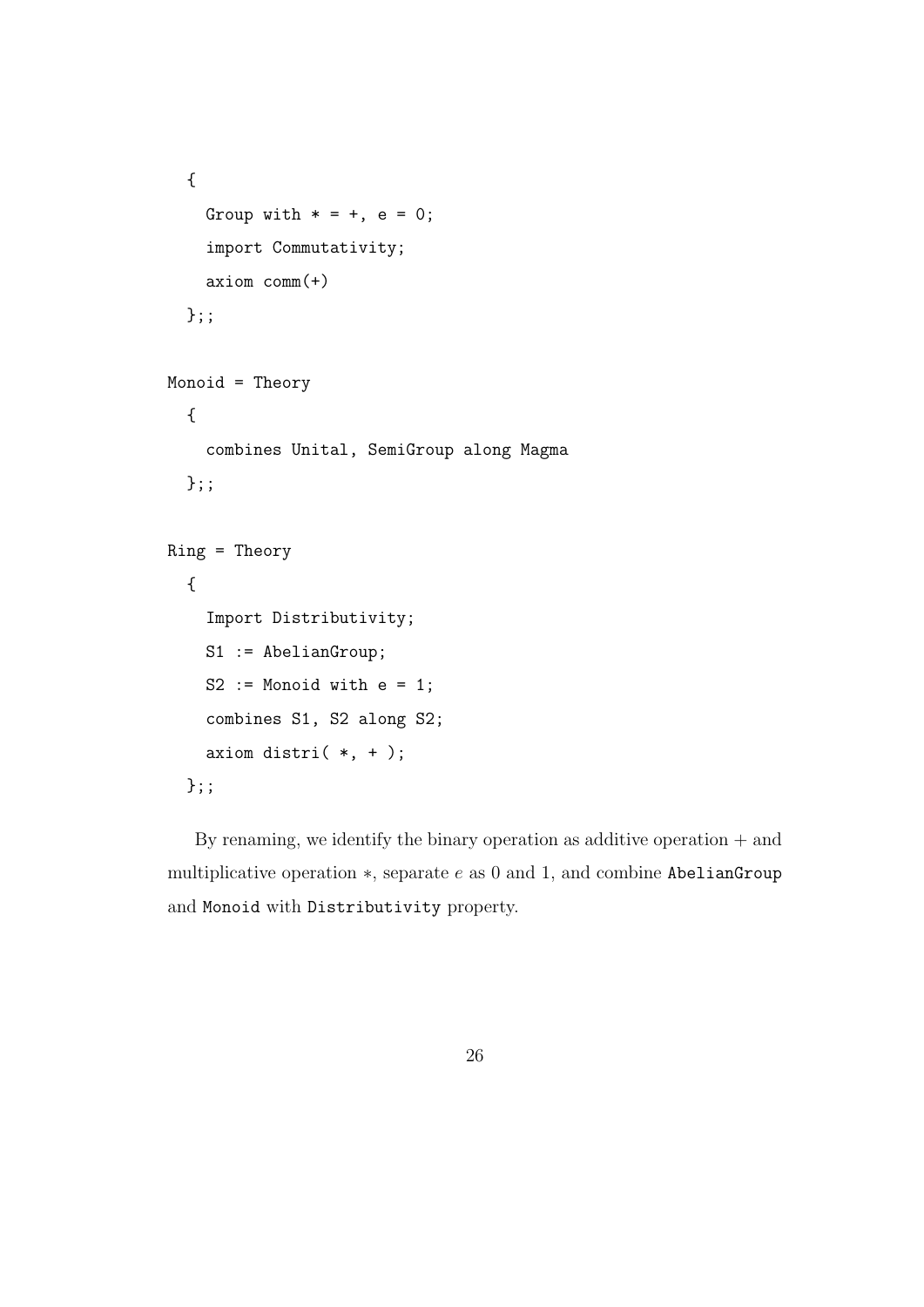```
{
  Group with * = +, e = 0;
  import Commutativity;
  axiom comm(+)
};;
```

```
Monoid = Theory
  {
    combines Unital, SemiGroup along Magma
  };;
Ring = Theory
  {
    Import Distributivity;
    S1 := AbelianGroup;
    S2 := Monoid with e = 1;
    combines S1, S2 along S2;
    axiom distri(*, +);
  };;
```
By renaming, we identify the binary operation as additive operation  $+$  and multiplicative operation  $\ast$ , separate  $e$  as 0 and 1, and combine AbelianGroup and Monoid with Distributivity property.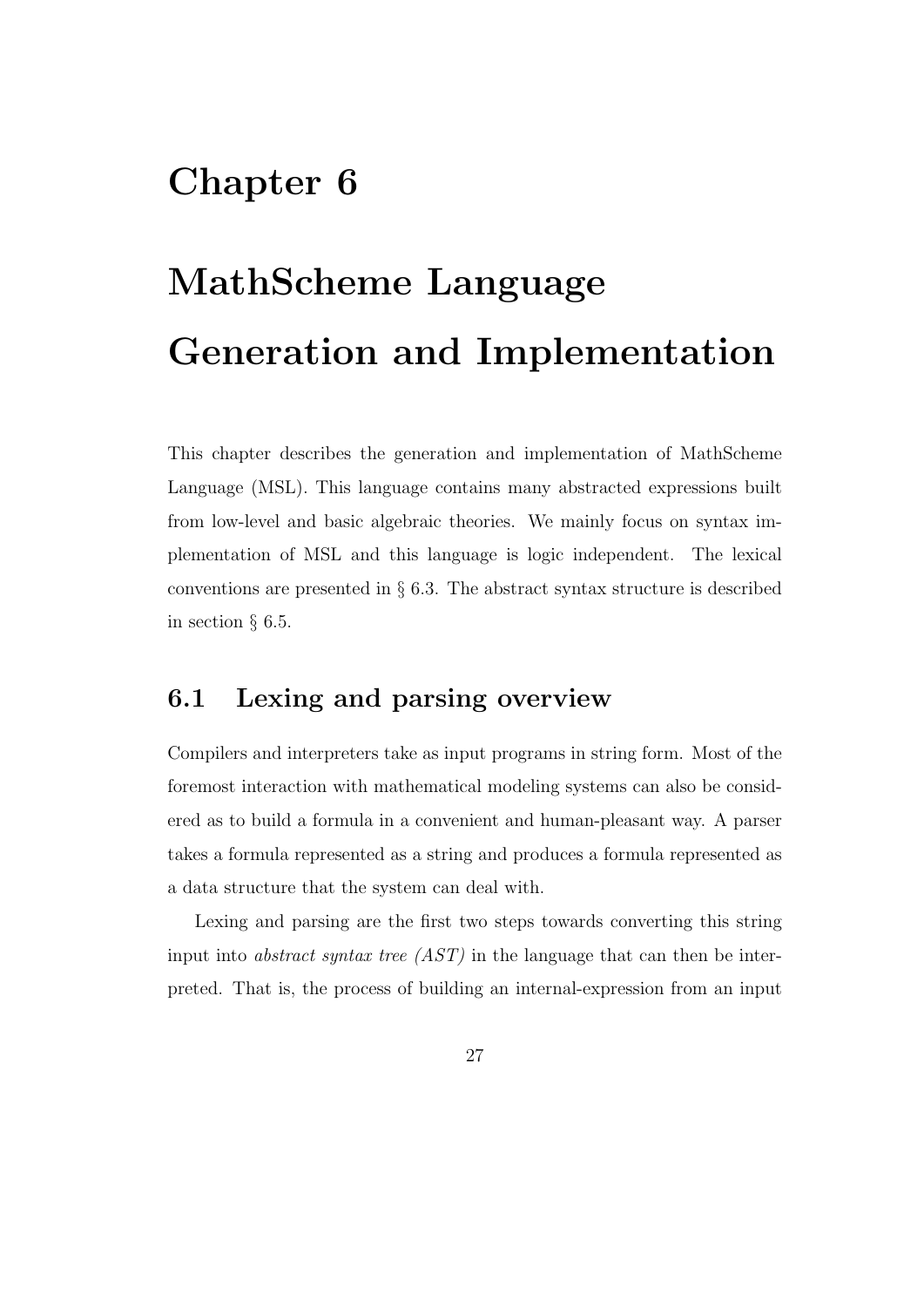# Chapter 6

# MathScheme Language Generation and Implementation

This chapter describes the generation and implementation of MathScheme Language (MSL). This language contains many abstracted expressions built from low-level and basic algebraic theories. We mainly focus on syntax implementation of MSL and this language is logic independent. The lexical conventions are presented in  $\S$  6.3. The abstract syntax structure is described in section § 6.5.

## 6.1 Lexing and parsing overview

Compilers and interpreters take as input programs in string form. Most of the foremost interaction with mathematical modeling systems can also be considered as to build a formula in a convenient and human-pleasant way. A parser takes a formula represented as a string and produces a formula represented as a data structure that the system can deal with.

Lexing and parsing are the first two steps towards converting this string input into abstract syntax tree (AST) in the language that can then be interpreted. That is, the process of building an internal-expression from an input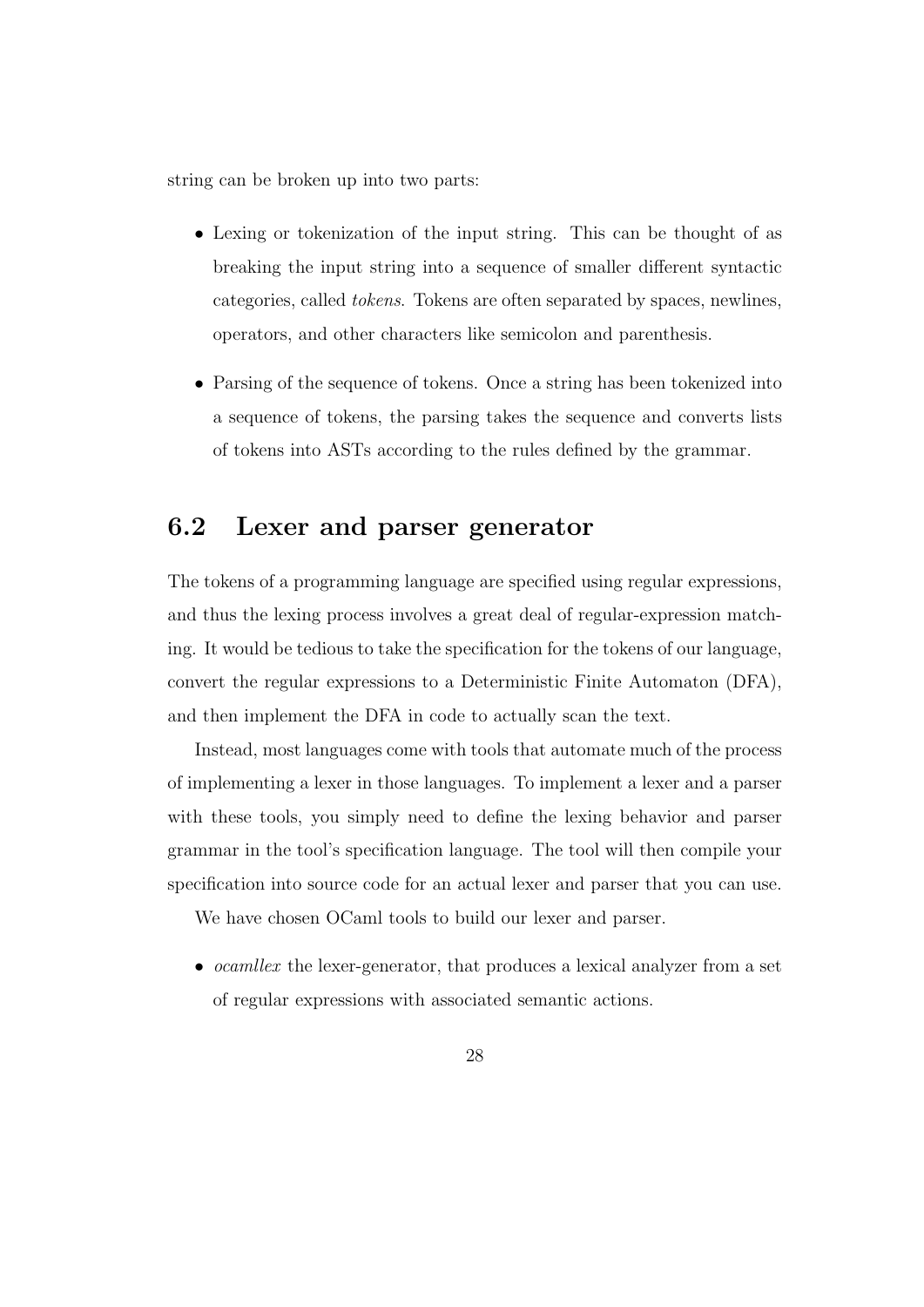string can be broken up into two parts:

- Lexing or tokenization of the input string. This can be thought of as breaking the input string into a sequence of smaller different syntactic categories, called tokens. Tokens are often separated by spaces, newlines, operators, and other characters like semicolon and parenthesis.
- Parsing of the sequence of tokens. Once a string has been tokenized into a sequence of tokens, the parsing takes the sequence and converts lists of tokens into ASTs according to the rules defined by the grammar.

## 6.2 Lexer and parser generator

The tokens of a programming language are specified using regular expressions, and thus the lexing process involves a great deal of regular-expression matching. It would be tedious to take the specification for the tokens of our language, convert the regular expressions to a Deterministic Finite Automaton (DFA), and then implement the DFA in code to actually scan the text.

Instead, most languages come with tools that automate much of the process of implementing a lexer in those languages. To implement a lexer and a parser with these tools, you simply need to define the lexing behavior and parser grammar in the tool's specification language. The tool will then compile your specification into source code for an actual lexer and parser that you can use.

We have chosen OCaml tools to build our lexer and parser.

• *ocamllex* the lexer-generator, that produces a lexical analyzer from a set of regular expressions with associated semantic actions.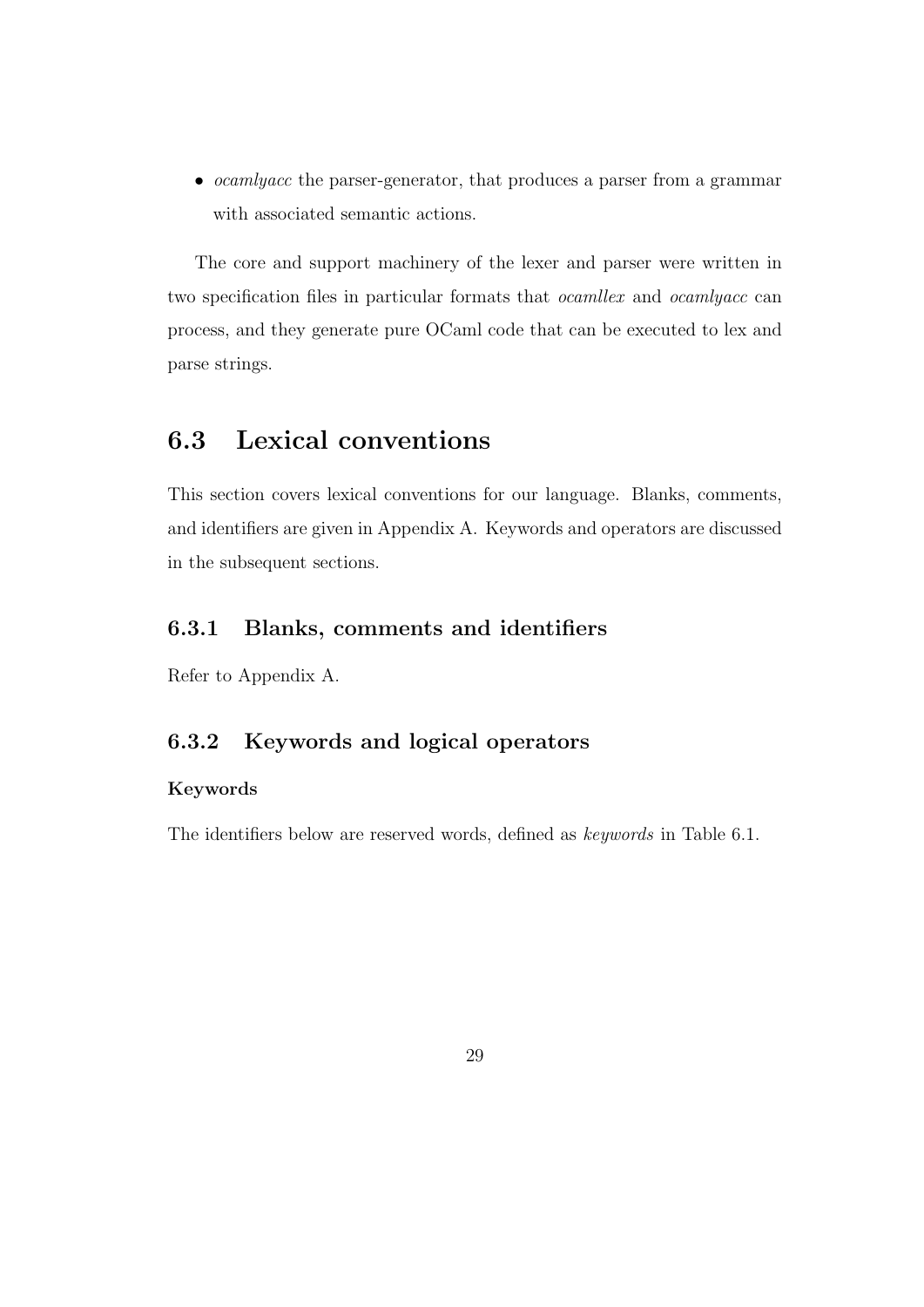• *ocamlyacc* the parser-generator, that produces a parser from a grammar with associated semantic actions.

The core and support machinery of the lexer and parser were written in two specification files in particular formats that ocamllex and ocamlyacc can process, and they generate pure OCaml code that can be executed to lex and parse strings.

## 6.3 Lexical conventions

This section covers lexical conventions for our language. Blanks, comments, and identifiers are given in Appendix A. Keywords and operators are discussed in the subsequent sections.

## 6.3.1 Blanks, comments and identifiers

Refer to Appendix A.

### 6.3.2 Keywords and logical operators

#### Keywords

The identifiers below are reserved words, defined as keywords in Table 6.1.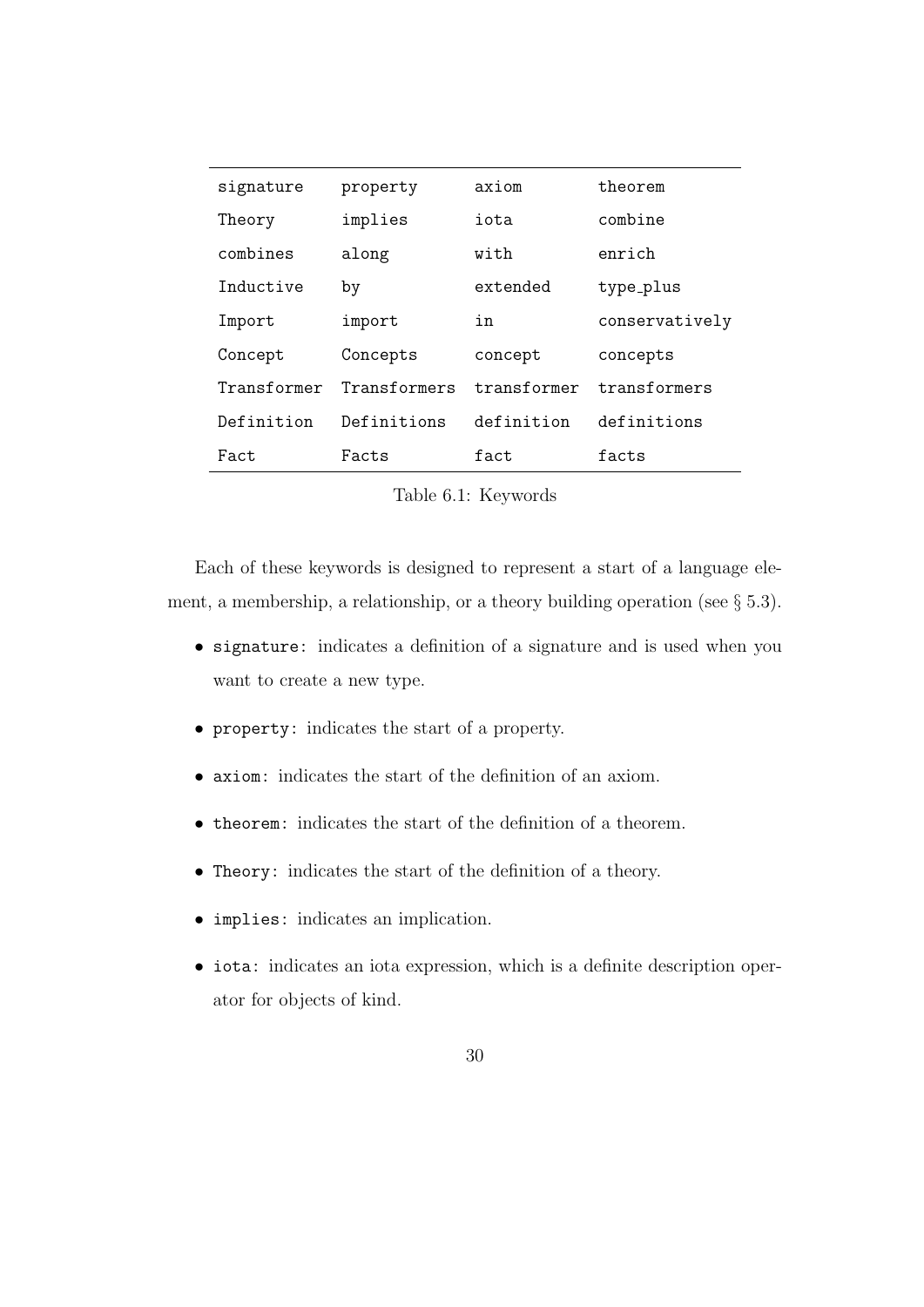| signature   | property     | axiom       | theorem        |
|-------------|--------------|-------------|----------------|
| Theory      | implies      | iota        | combine        |
| combines    | along        | with        | enrich         |
| Inductive   | by           | extended    | type_plus      |
| Import      | import       | in          | conservatively |
| Concept     | Concepts     | concept     | concepts       |
| Transformer | Transformers | transformer | transformers   |
| Definition  | Definitions  | definition  | definitions    |
| Fact        | Facts        | fact        | facts          |

Table 6.1: Keywords

Each of these keywords is designed to represent a start of a language element, a membership, a relationship, or a theory building operation (see § 5.3).

- signature: indicates a definition of a signature and is used when you want to create a new type.
- property: indicates the start of a property.
- axiom: indicates the start of the definition of an axiom.
- theorem: indicates the start of the definition of a theorem.
- Theory: indicates the start of the definition of a theory.
- implies: indicates an implication.
- iota: indicates an iota expression, which is a definite description operator for objects of kind.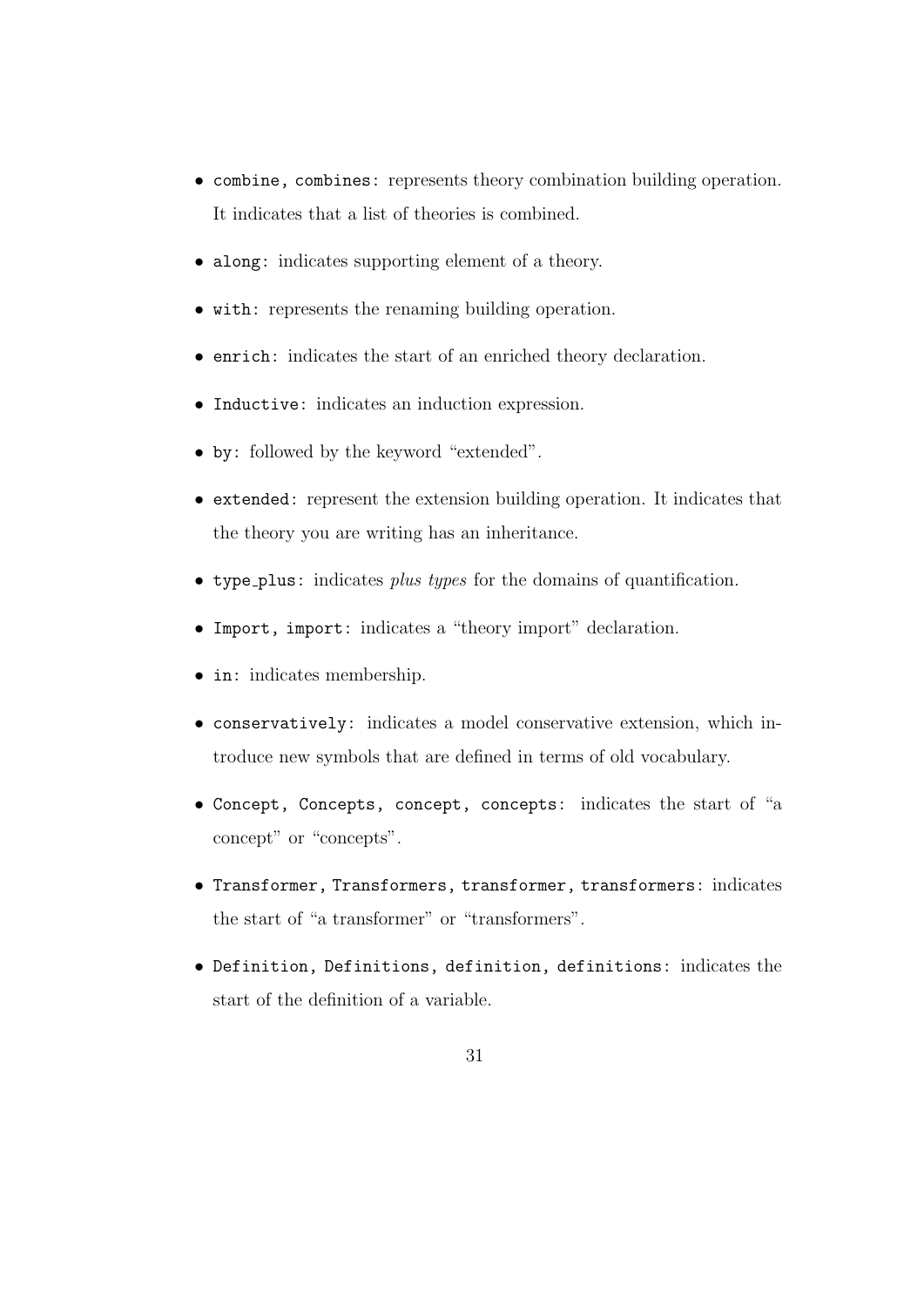- combine, combines: represents theory combination building operation. It indicates that a list of theories is combined.
- along: indicates supporting element of a theory.
- with: represents the renaming building operation.
- enrich: indicates the start of an enriched theory declaration.
- Inductive: indicates an induction expression.
- by: followed by the keyword "extended".
- extended: represent the extension building operation. It indicates that the theory you are writing has an inheritance.
- type plus: indicates plus types for the domains of quantification.
- Import, import: indicates a "theory import" declaration.
- in: indicates membership.
- conservatively: indicates a model conservative extension, which introduce new symbols that are defined in terms of old vocabulary.
- Concept, Concepts, concept, concepts: indicates the start of "a concepts" or "concepts".
- Transformer, Transformers, transformer, transformers: indicates the start of "a transformer" or "transformers".
- Definition, Definitions, definition, definitions: indicates the start of the definition of a variable.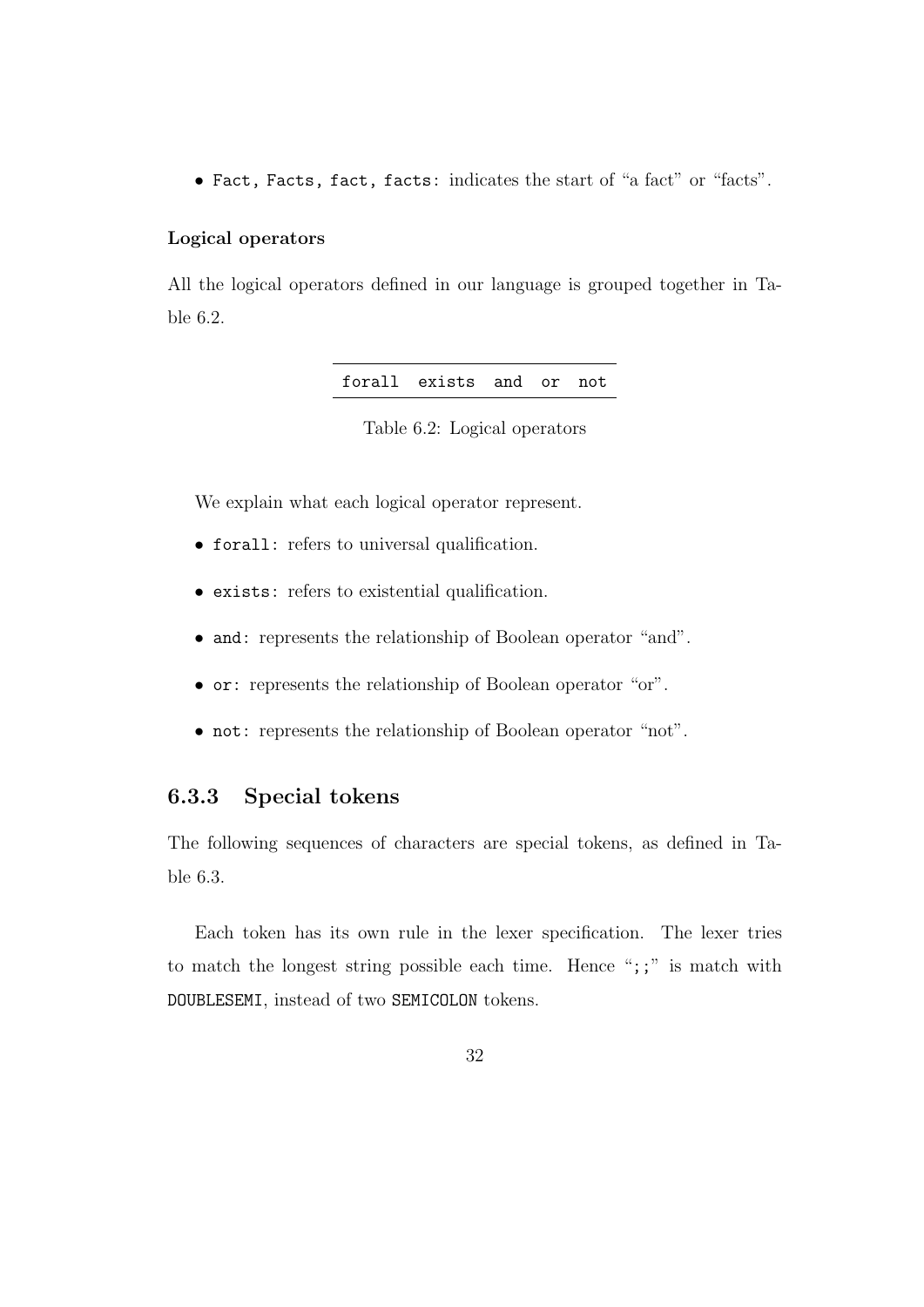• Fact, Facts, fact, facts: indicates the start of "a fact" or "facts".

#### Logical operators

All the logical operators defined in our language is grouped together in Table 6.2.

Table 6.2: Logical operators

We explain what each logical operator represent.

- forall: refers to universal qualification.
- exists: refers to existential qualification.
- and: represents the relationship of Boolean operator "and".
- or: represents the relationship of Boolean operator "or".
- not: represents the relationship of Boolean operator "not".

### 6.3.3 Special tokens

The following sequences of characters are special tokens, as defined in Table 6.3.

Each token has its own rule in the lexer specification. The lexer tries to match the longest string possible each time. Hence ";;" is match with DOUBLESEMI, instead of two SEMICOLON tokens.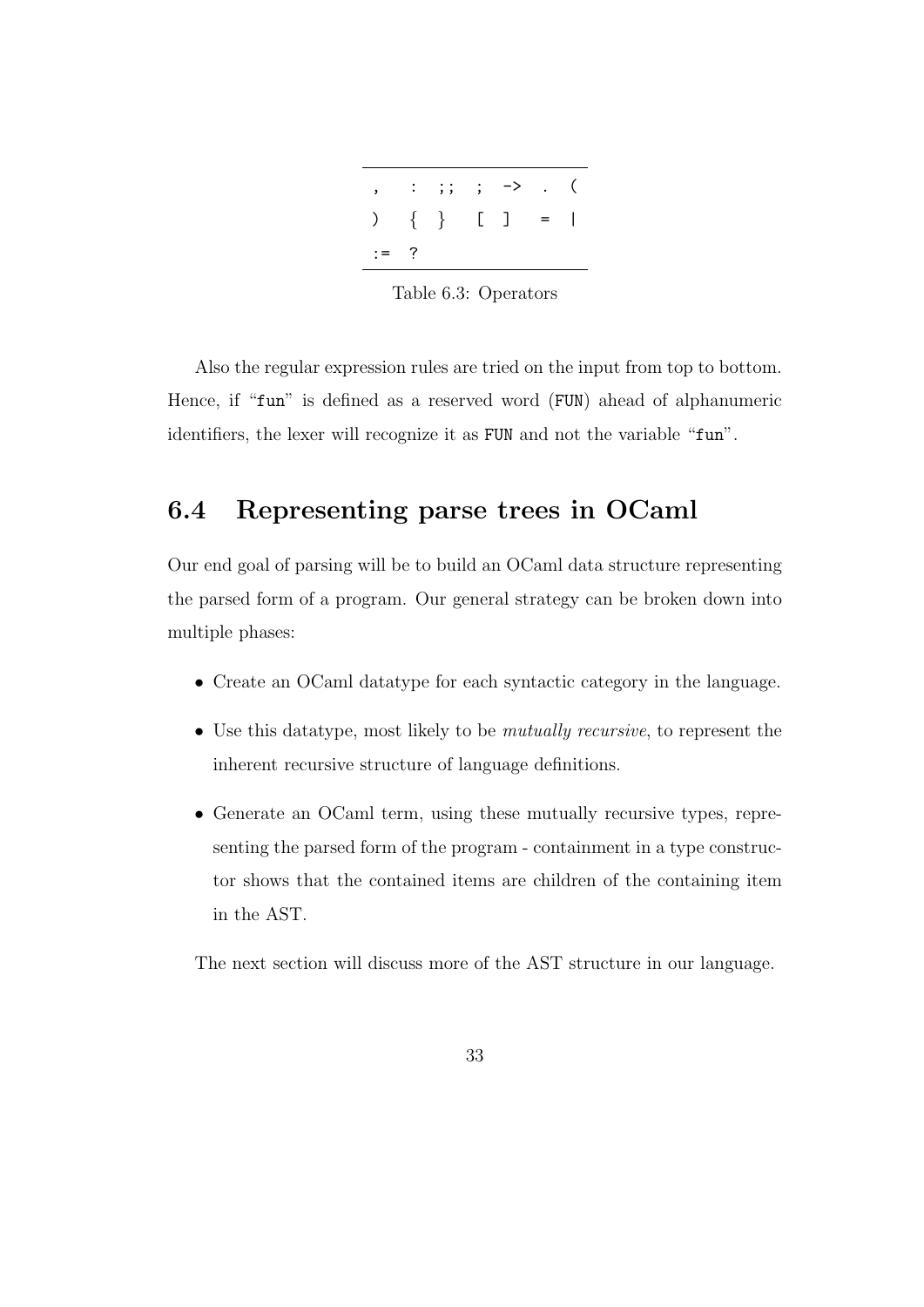|                 | $\begin{array}{ccccccccc} \text{\large $\cdots$} & \text{\large $\cdots$} & \text{\large $\cdots$} & \text{\large $\cdots$} & \text{\large $\cdots$} & \text{\large $\cdots$} & \text{\large $\cdots$} & \text{\large $\cdots$} & \text{\large $\cdots$} & \text{\large $\cdots$} & \text{\large $\cdots$} & \text{\large $\cdots$} & \text{\large $\cdots$} & \text{\large $\cdots$} & \text{\large $\cdots$} & \text{\large $\cdots$} & \text{\large $\cdots$} & \text{\large $\cdots$} & \text{\large $\cdots$} & \text{\large $\cdots$} & \text{\large $\cdots$} & \$ |  |  |
|-----------------|---------------------------------------------------------------------------------------------------------------------------------------------------------------------------------------------------------------------------------------------------------------------------------------------------------------------------------------------------------------------------------------------------------------------------------------------------------------------------------------------------------------------------------------------------------------------------|--|--|
| ) $\{ \}$ [ ] = |                                                                                                                                                                                                                                                                                                                                                                                                                                                                                                                                                                           |  |  |
| $:=$ ?          |                                                                                                                                                                                                                                                                                                                                                                                                                                                                                                                                                                           |  |  |

Table 6.3: Operators

Also the regular expression rules are tried on the input from top to bottom. Hence, if "fun" is defined as a reserved word (FUN) ahead of alphanumeric identifiers, the lexer will recognize it as FUN and not the variable "fun".

## 6.4 Representing parse trees in OCaml

Our end goal of parsing will be to build an OCaml data structure representing the parsed form of a program. Our general strategy can be broken down into multiple phases:

- Create an OCaml datatype for each syntactic category in the language.
- Use this datatype, most likely to be *mutually recursive*, to represent the inherent recursive structure of language definitions.
- Generate an OCaml term, using these mutually recursive types, representing the parsed form of the program - containment in a type constructor shows that the contained items are children of the containing item in the AST.

The next section will discuss more of the AST structure in our language.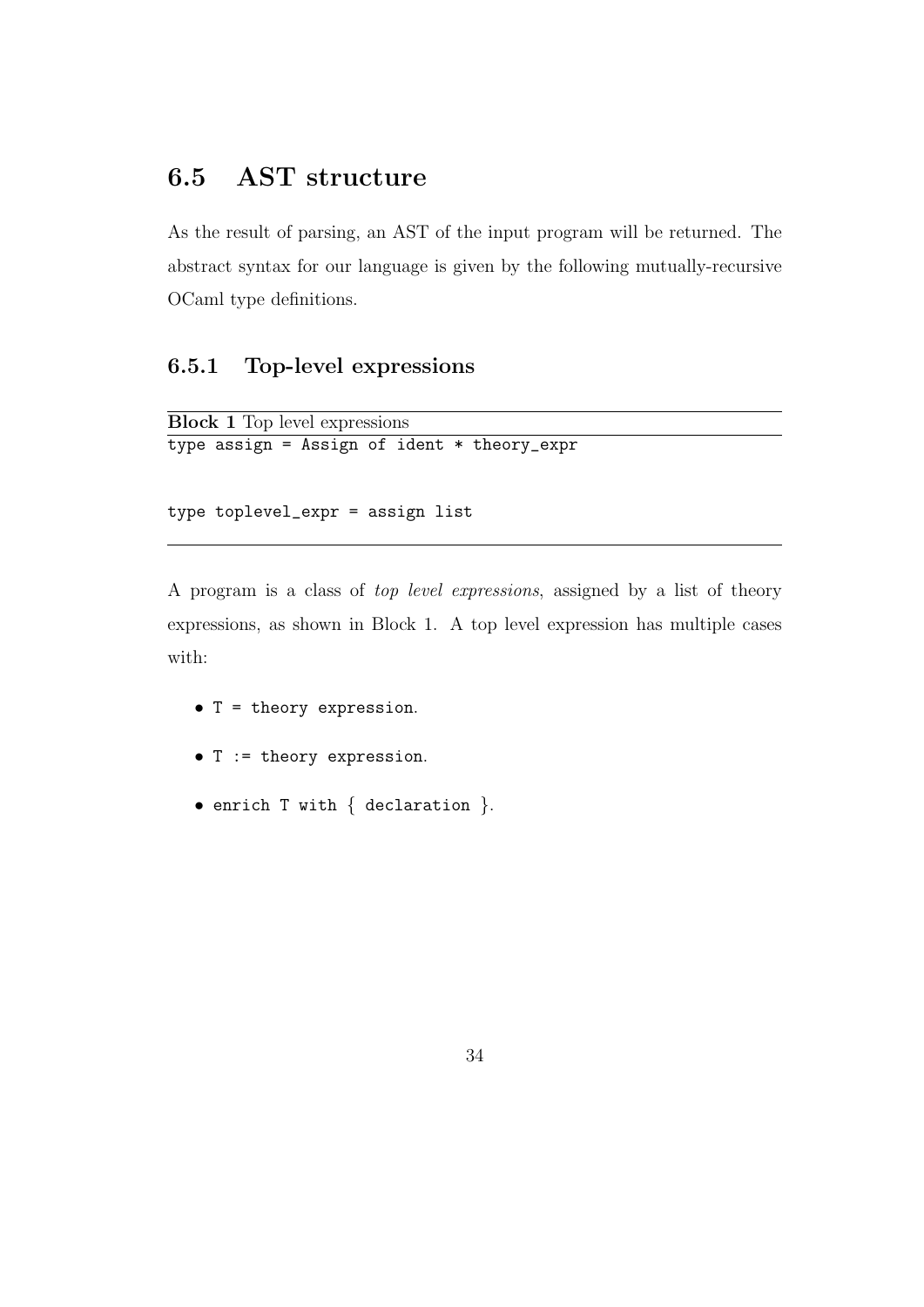## 6.5 AST structure

As the result of parsing, an AST of the input program will be returned. The abstract syntax for our language is given by the following mutually-recursive OCaml type definitions.

### 6.5.1 Top-level expressions

```
Block 1 Top level expressions
type assign = Assign of ident * theory_expr
```

```
type toplevel_expr = assign list
```
A program is a class of top level expressions, assigned by a list of theory expressions, as shown in Block 1. A top level expression has multiple cases with:

- T = theory expression.
- T := theory expression.
- enrich T with { declaration }.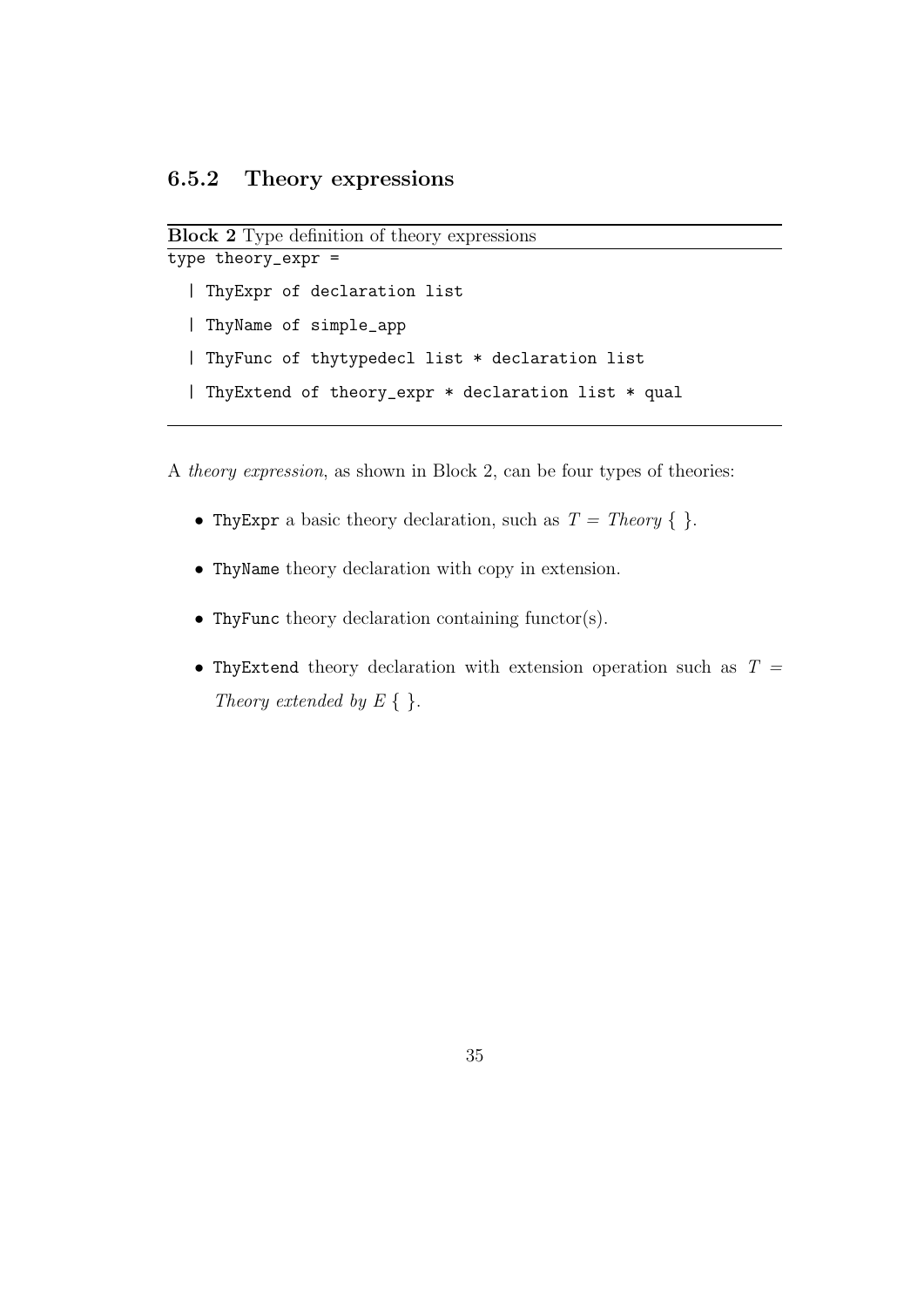```
Block 2 Type definition of theory expressions
```

```
type theory_expr =
  | ThyExpr of declaration list
  | ThyName of simple_app
  | ThyFunc of thytypedecl list * declaration list
  | ThyExtend of theory_expr * declaration list * qual
```
A theory expression, as shown in Block 2, can be four types of theories:

- Thy Expr a basic theory declaration, such as  $T = Theory \{ \}$ .
- ThyName theory declaration with copy in extension.
- ThyFunc theory declaration containing functor(s).
- Thy Extend theory declaration with extension operation such as  $T =$ Theory extended by  $E\{\}.$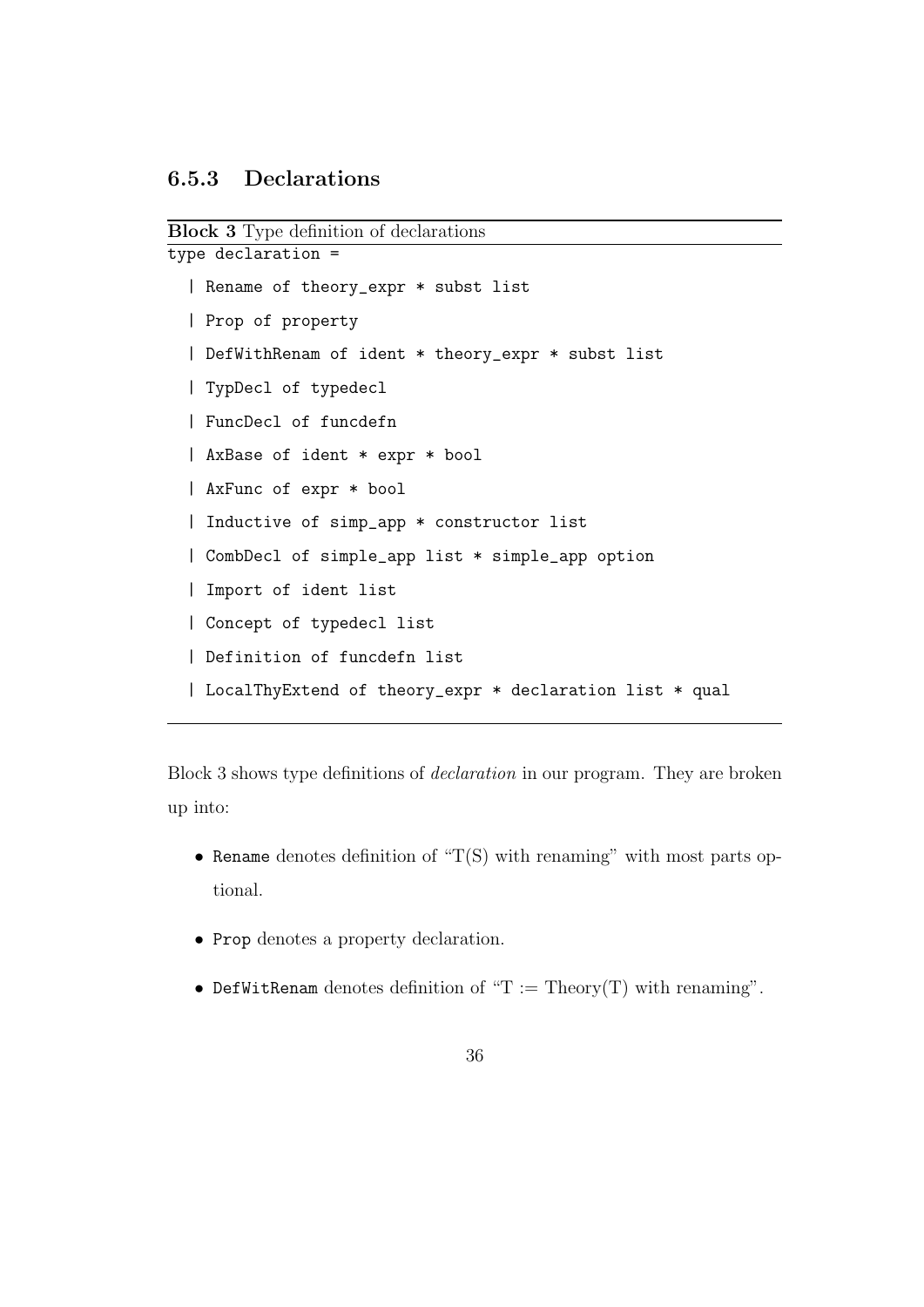### 6.5.3 Declarations

```
Block 3 Type definition of declarations
type declaration =
```

```
| Rename of theory_expr * subst list
| Prop of property
| DefWithRenam of ident * theory_expr * subst list
| TypDecl of typedecl
| FuncDecl of funcdefn
| AxBase of ident * expr * bool
| AxFunc of expr * bool
| Inductive of simp_app * constructor list
| CombDecl of simple_app list * simple_app option
| Import of ident list
| Concept of typedecl list
| Definition of funcdefn list
| LocalThyExtend of theory_expr * declaration list * qual
```
Block 3 shows type definitions of declaration in our program. They are broken up into:

- Rename denotes definition of " $T(S)$  with renaming" with most parts optional.
- Prop denotes a property declaration.
- DefWitRenam denotes definition of " $T := Theory(T)$  with renaming".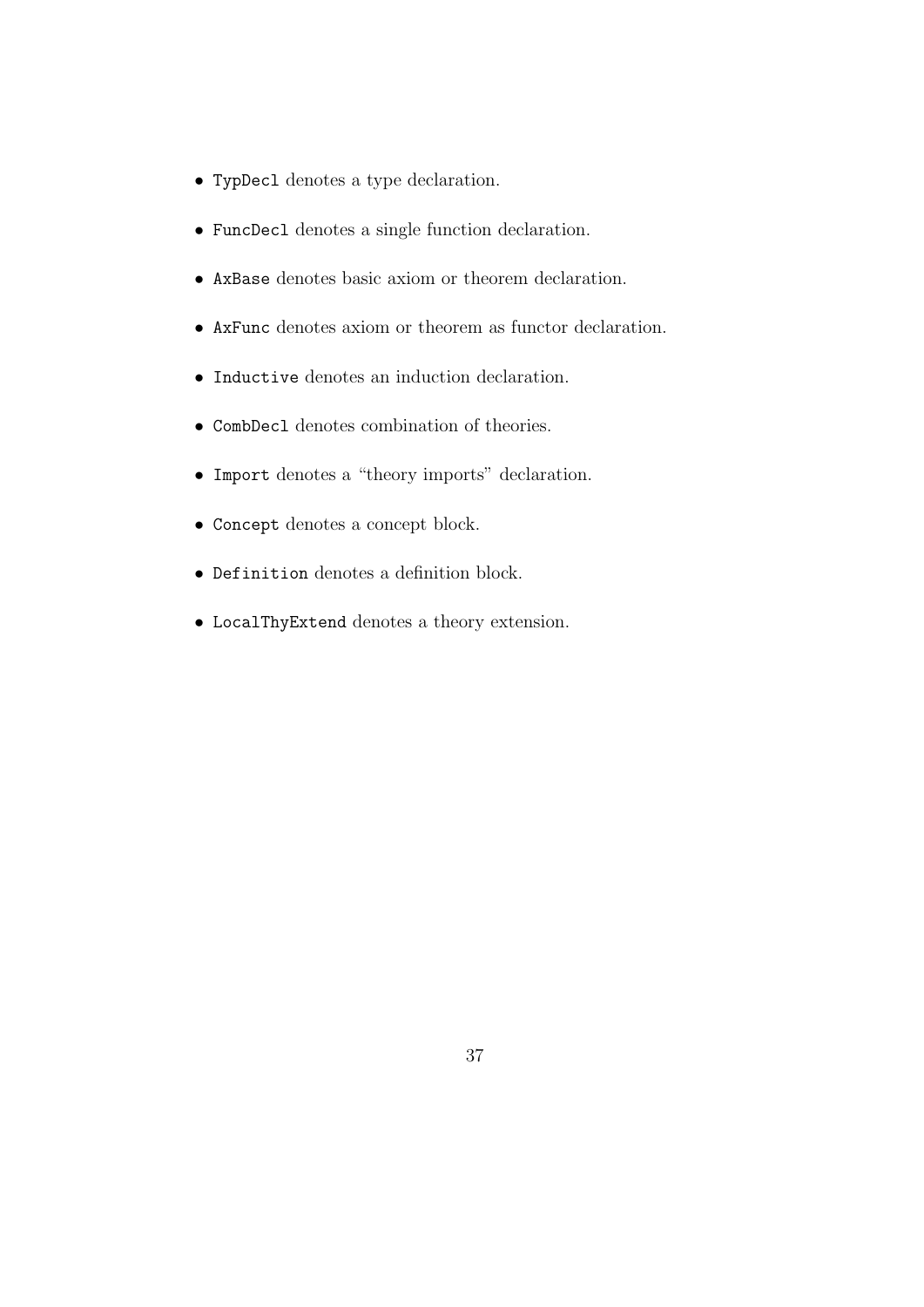- TypDecl denotes a type declaration.
- FuncDecl denotes a single function declaration.
- AxBase denotes basic axiom or theorem declaration.
- AxFunc denotes axiom or theorem as functor declaration.
- Inductive denotes an induction declaration.
- CombDecl denotes combination of theories.
- Import denotes a "theory imports" declaration.
- Concept denotes a concept block.
- Definition denotes a definition block.
- LocalThyExtend denotes a theory extension.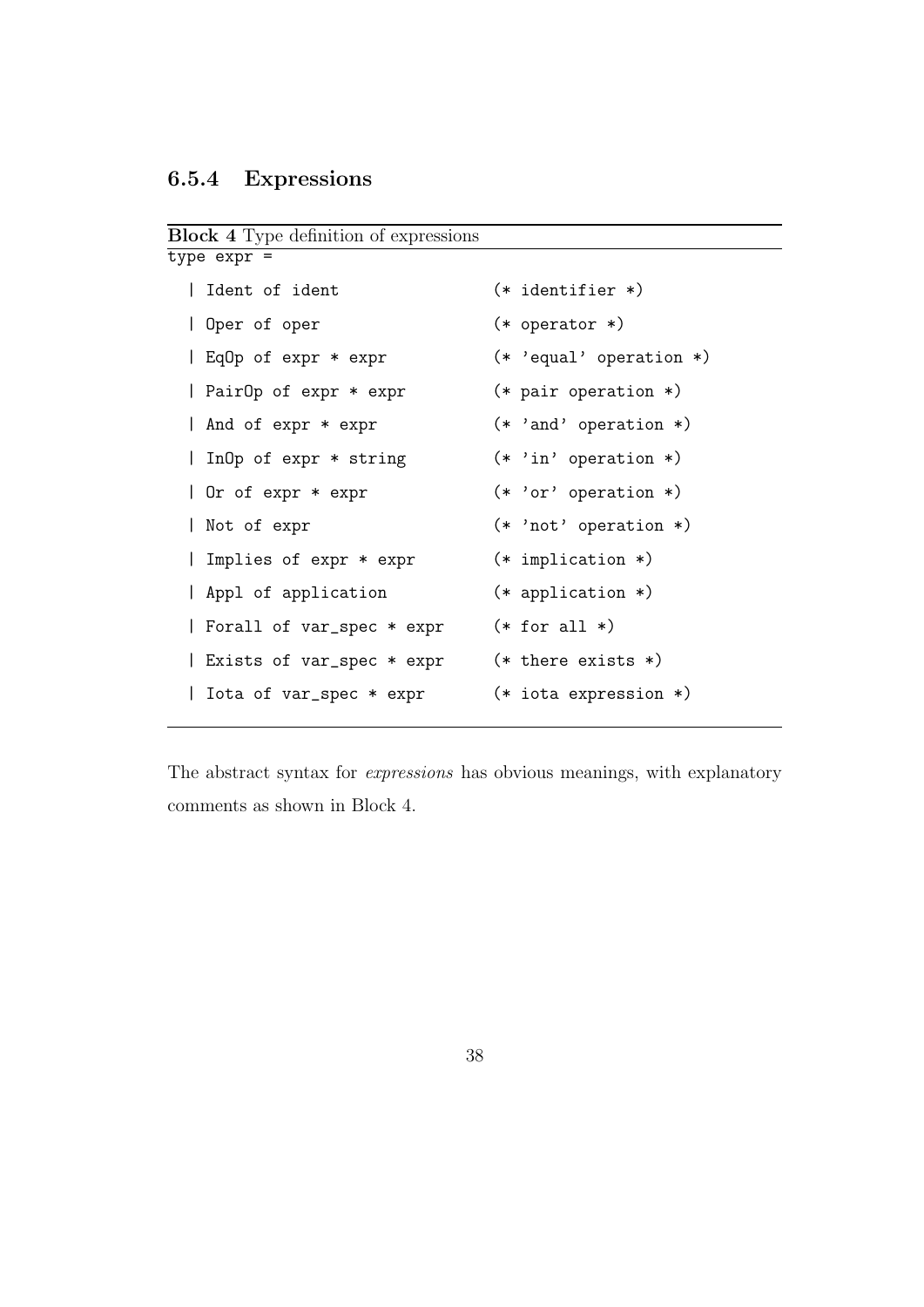## 6.5.4 Expressions

Block 4 Type definition of expressions

| $(*$ identifier $*)$             |
|----------------------------------|
| $(*$ operator $*)$               |
| $(* \text{'}equal' operation *)$ |
| $(*)$ pair operation $*)$        |
| $(* 'and' operation *)$          |
| $(* 'in' operation *)$           |
| $(* 'or' operation *)$           |
| $(* 'not' operation *)$          |
| $(*)$ implication $*)$           |
| $(*$ application $*)$            |
| $(*$ for all $*)$                |
| $(* there exists *)$             |
| $(*)$ iota expression $*)$       |
|                                  |

The abstract syntax for expressions has obvious meanings, with explanatory comments as shown in Block 4.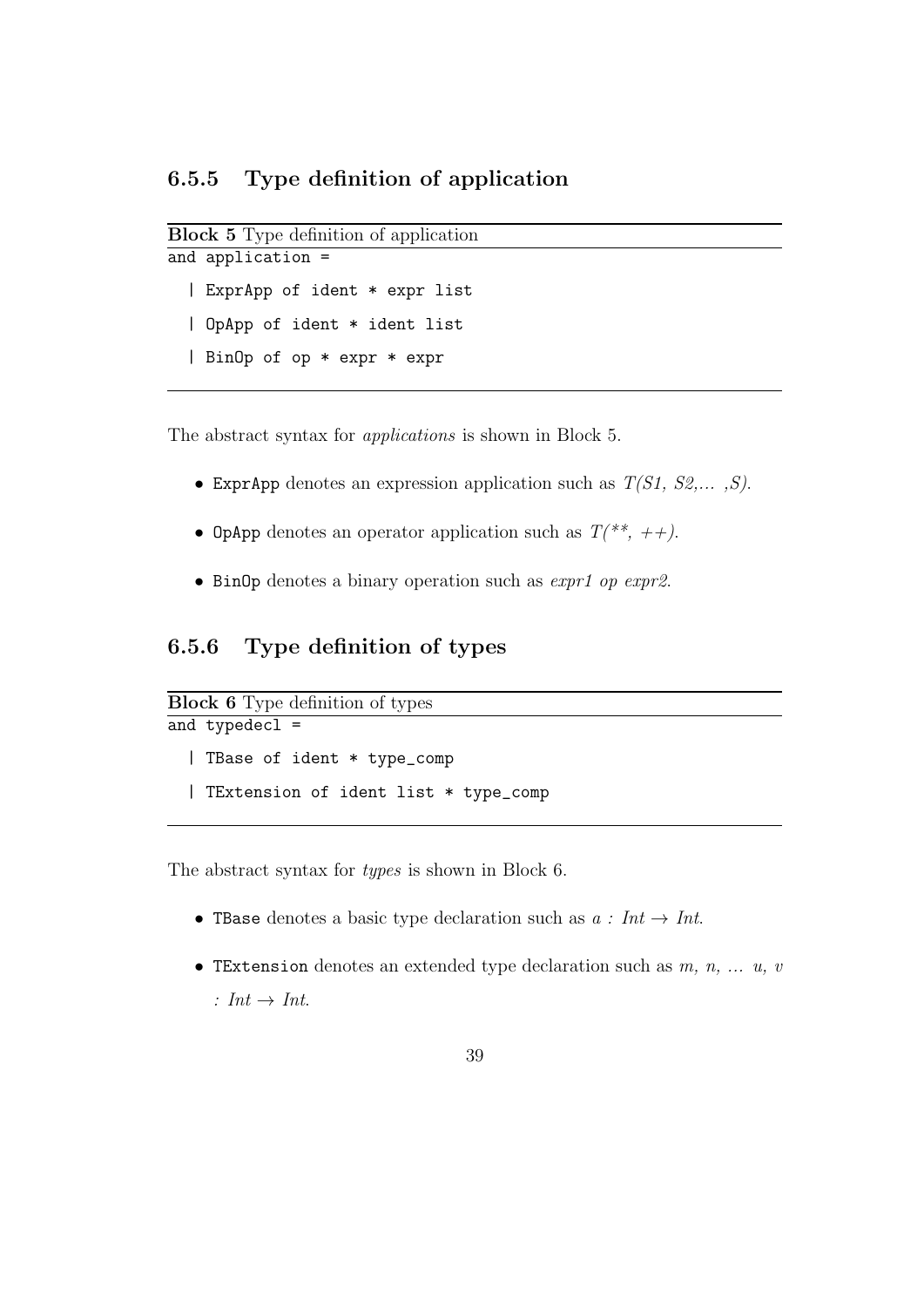```
Block 5 Type definition of application
and application =
```
| ExprApp of ident \* expr list | OpApp of ident \* ident list | BinOp of op \* expr \* expr

The abstract syntax for applications is shown in Block 5.

- ExprApp denotes an expression application such as  $T(S1, S2,..., S)$ .
- OpApp denotes an operator application such as  $T(*^*, ++).$
- BinOp denotes a binary operation such as expr1 op expr2.

### 6.5.6 Type definition of types

```
Block 6 Type definition of types
and typedecl =
  | TBase of ident * type_comp
  | TExtension of ident list * type_comp
```
The abstract syntax for types is shown in Block 6.

- These denotes a basic type declaration such as  $a: Int \rightarrow Int$ .
- TExtension denotes an extended type declaration such as  $m, n, \ldots, u, v$ : Int  $\rightarrow$  Int.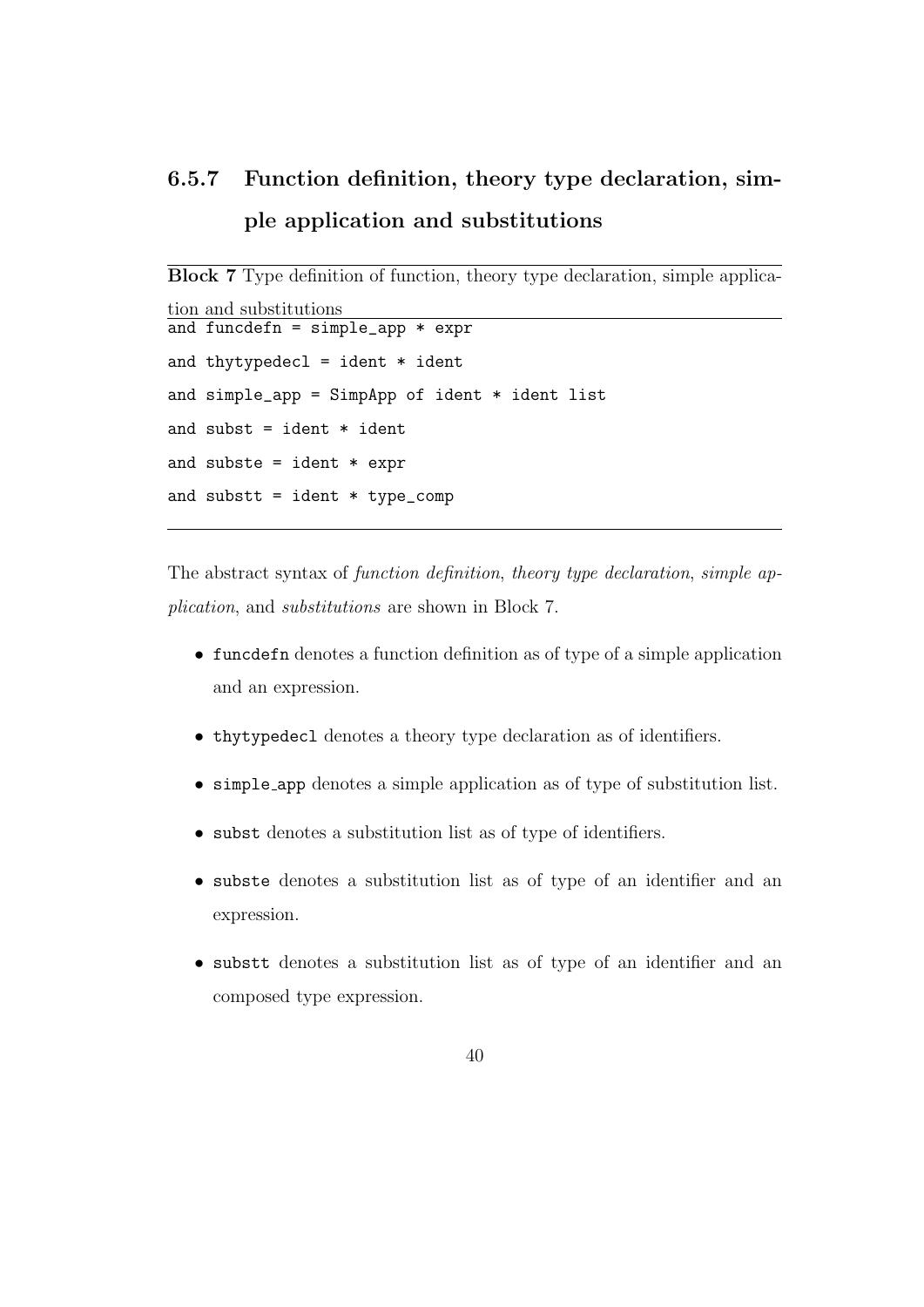# 6.5.7 Function definition, theory type declaration, simple application and substitutions

```
Block 7 Type definition of function, theory type declaration, simple applica-
tion and substitutions
and funcdefn = simple_app * expr
and thytypedecl = ident * ident
and simple\_app = SimpleApp of ident * ident list
and subst = ident * ident
and subste = ident * expr
and substt = ident * type_comp
```
The abstract syntax of function definition, theory type declaration, simple application, and substitutions are shown in Block 7.

- funcdefn denotes a function definition as of type of a simple application and an expression.
- thytypedecl denotes a theory type declaration as of identifiers.
- simple app denotes a simple application as of type of substitution list.
- subst denotes a substitution list as of type of identifiers.
- subste denotes a substitution list as of type of an identifier and an expression.
- substt denotes a substitution list as of type of an identifier and an composed type expression.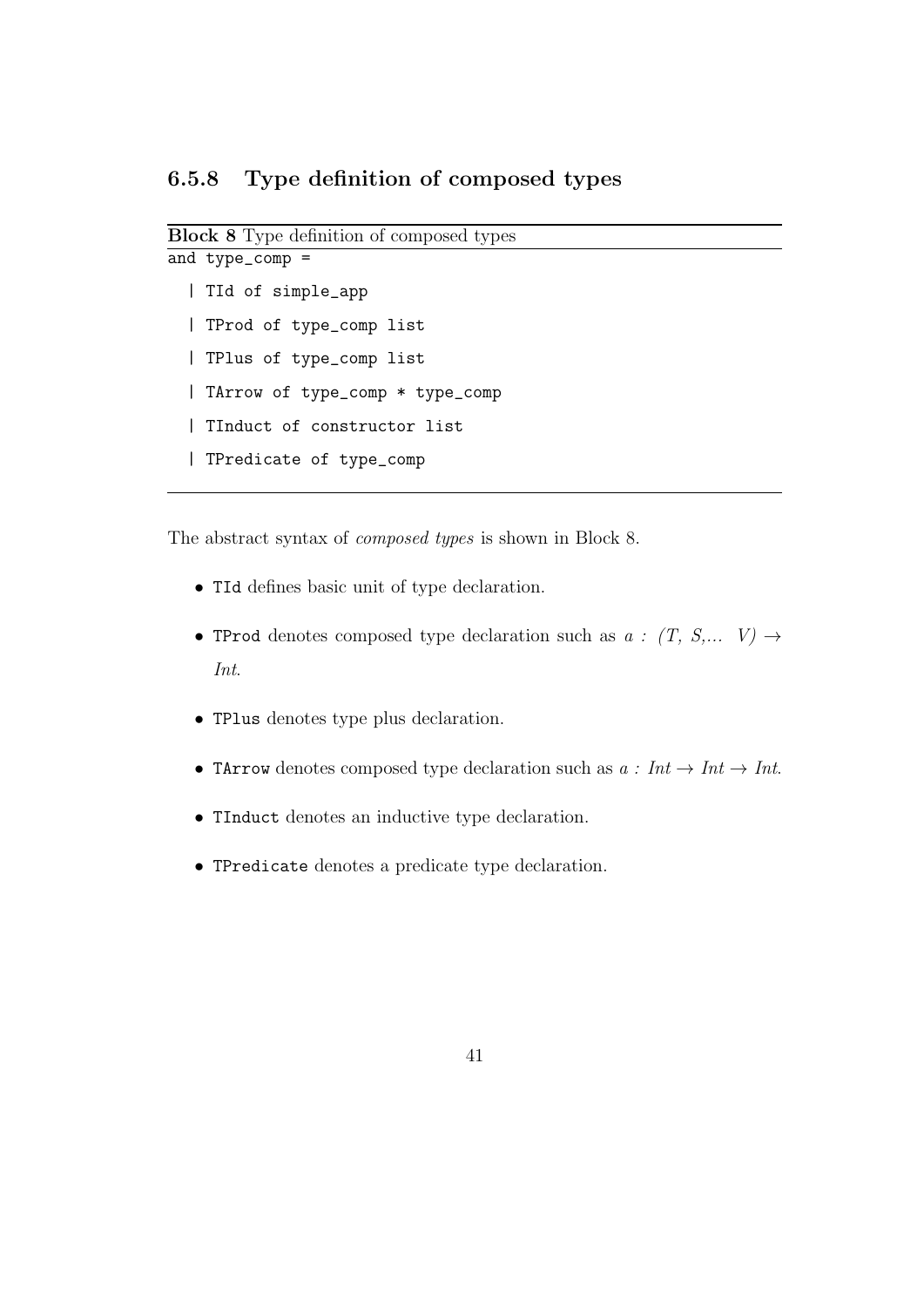```
Block 8 Type definition of composed types
```

```
and type_comp =
  | TId of simple_app
  | TProd of type_comp list
  | TPlus of type_comp list
  | TArrow of type_comp * type_comp
  | TInduct of constructor list
  | TPredicate of type_comp
```
The abstract syntax of composed types is shown in Block 8.

- TId defines basic unit of type declaration.
- TProd denotes composed type declaration such as  $a : (T, S,... V) \rightarrow$ Int.
- TPlus denotes type plus declaration.
- TArrow denotes composed type declaration such as  $a: Int \rightarrow Int$ .
- TInduct denotes an inductive type declaration.
- TPredicate denotes a predicate type declaration.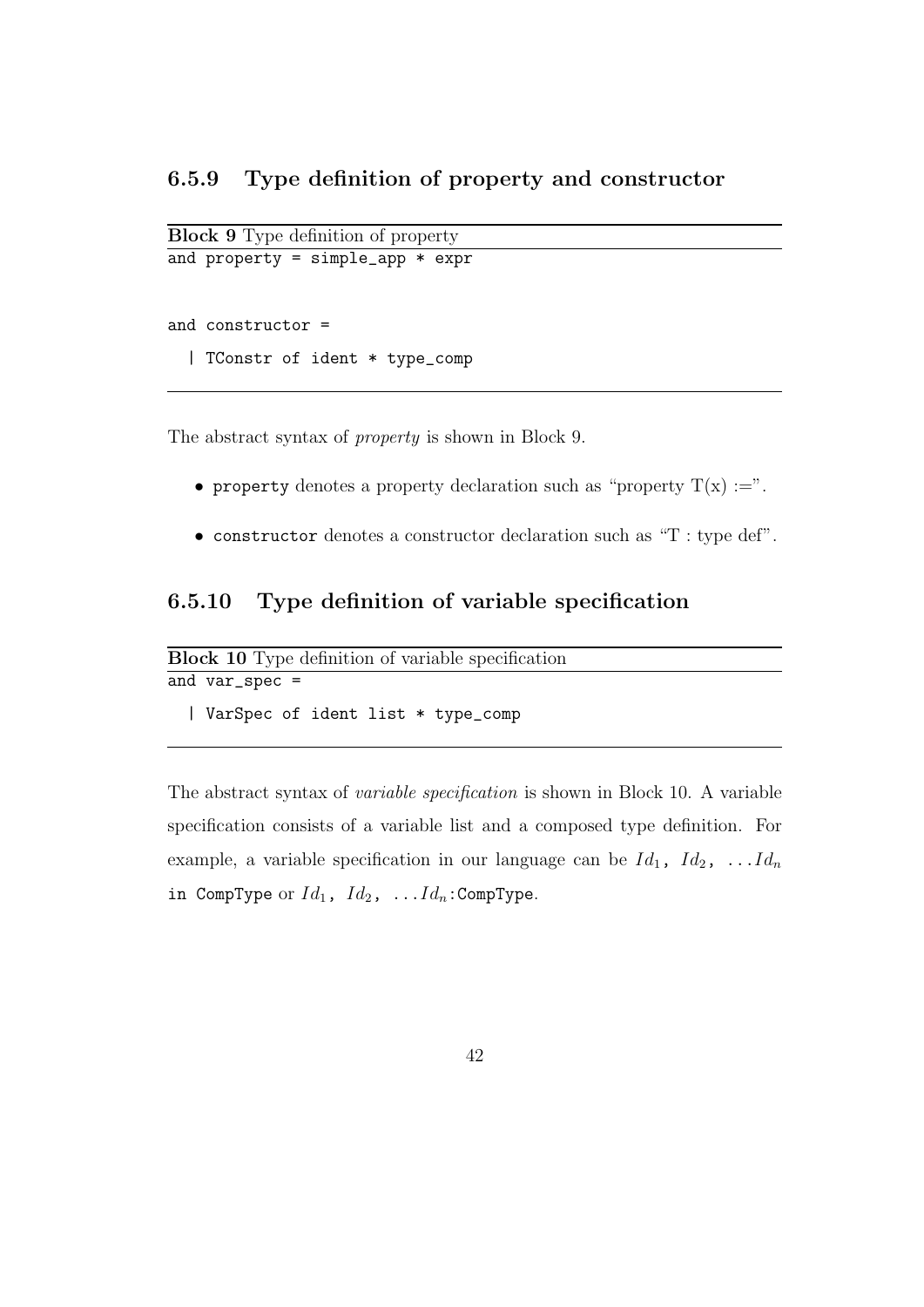```
Block 9 Type definition of property
and property = simple_app * expr
```
and constructor =

```
| TConstr of ident * type_comp
```
The abstract syntax of property is shown in Block 9.

- property denotes a property declaration such as "property  $T(x) :=$ ".
- constructor denotes a constructor declaration such as "T : type def".

### 6.5.10 Type definition of variable specification

```
Block 10 Type definition of variable specification
and var_spec =
  | VarSpec of ident list * type_comp
```
The abstract syntax of variable specification is shown in Block 10. A variable specification consists of a variable list and a composed type definition. For example, a variable specification in our language can be  $Id_1$ ,  $Id_2$ , ...  $Id_n$ in CompType or  $Id_1$ ,  $Id_2$ , ... $Id_n$ : CompType.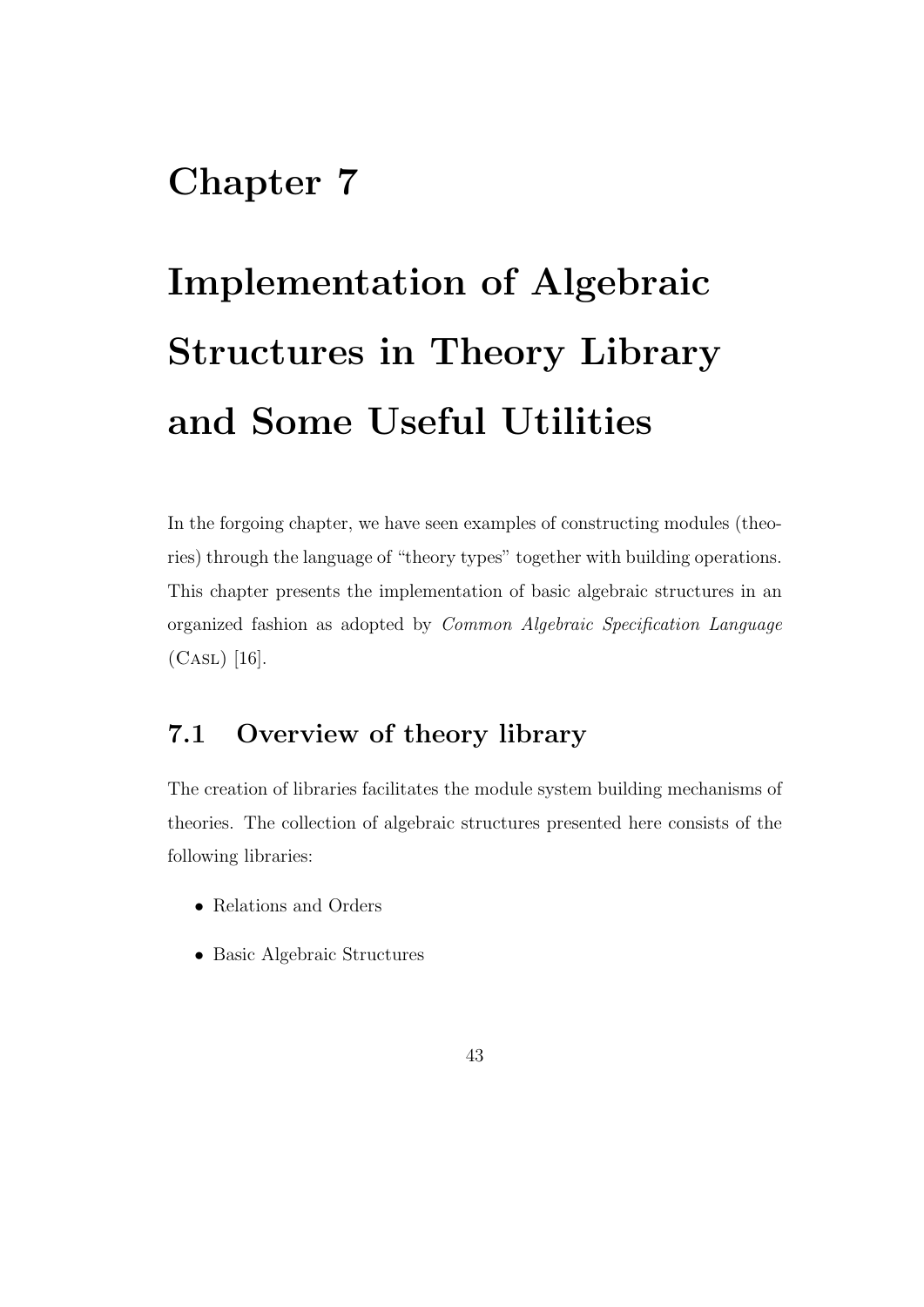# Chapter 7

# Implementation of Algebraic Structures in Theory Library and Some Useful Utilities

In the forgoing chapter, we have seen examples of constructing modules (theories) through the language of "theory types" together with building operations. This chapter presents the implementation of basic algebraic structures in an organized fashion as adopted by Common Algebraic Specification Language  $(CASL)$  [16].

## 7.1 Overview of theory library

The creation of libraries facilitates the module system building mechanisms of theories. The collection of algebraic structures presented here consists of the following libraries:

- Relations and Orders
- Basic Algebraic Structures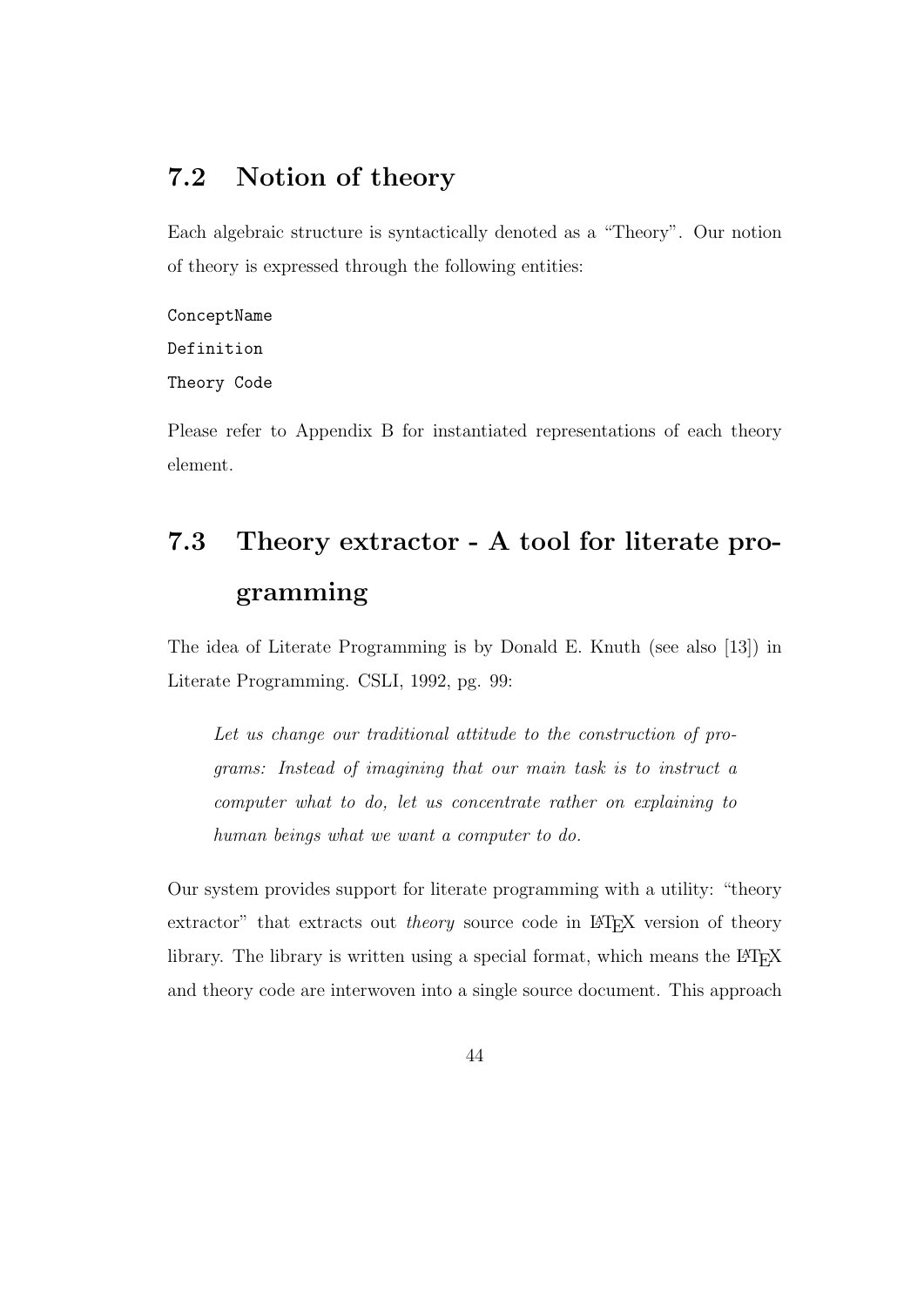## 7.2 Notion of theory

Each algebraic structure is syntactically denoted as a "Theory". Our notion of theory is expressed through the following entities:

#### ConceptName

Definition

Theory Code

Please refer to Appendix B for instantiated representations of each theory element.

# 7.3 Theory extractor - A tool for literate programming

The idea of Literate Programming is by Donald E. Knuth (see also [13]) in Literate Programming. CSLI, 1992, pg. 99:

Let us change our traditional attitude to the construction of programs: Instead of imagining that our main task is to instruct a computer what to do, let us concentrate rather on explaining to human beings what we want a computer to do.

Our system provides support for literate programming with a utility: "theory extractor" that extracts out *theory* source code in LATEX version of theory library. The library is written using a special format, which means the LATEX and theory code are interwoven into a single source document. This approach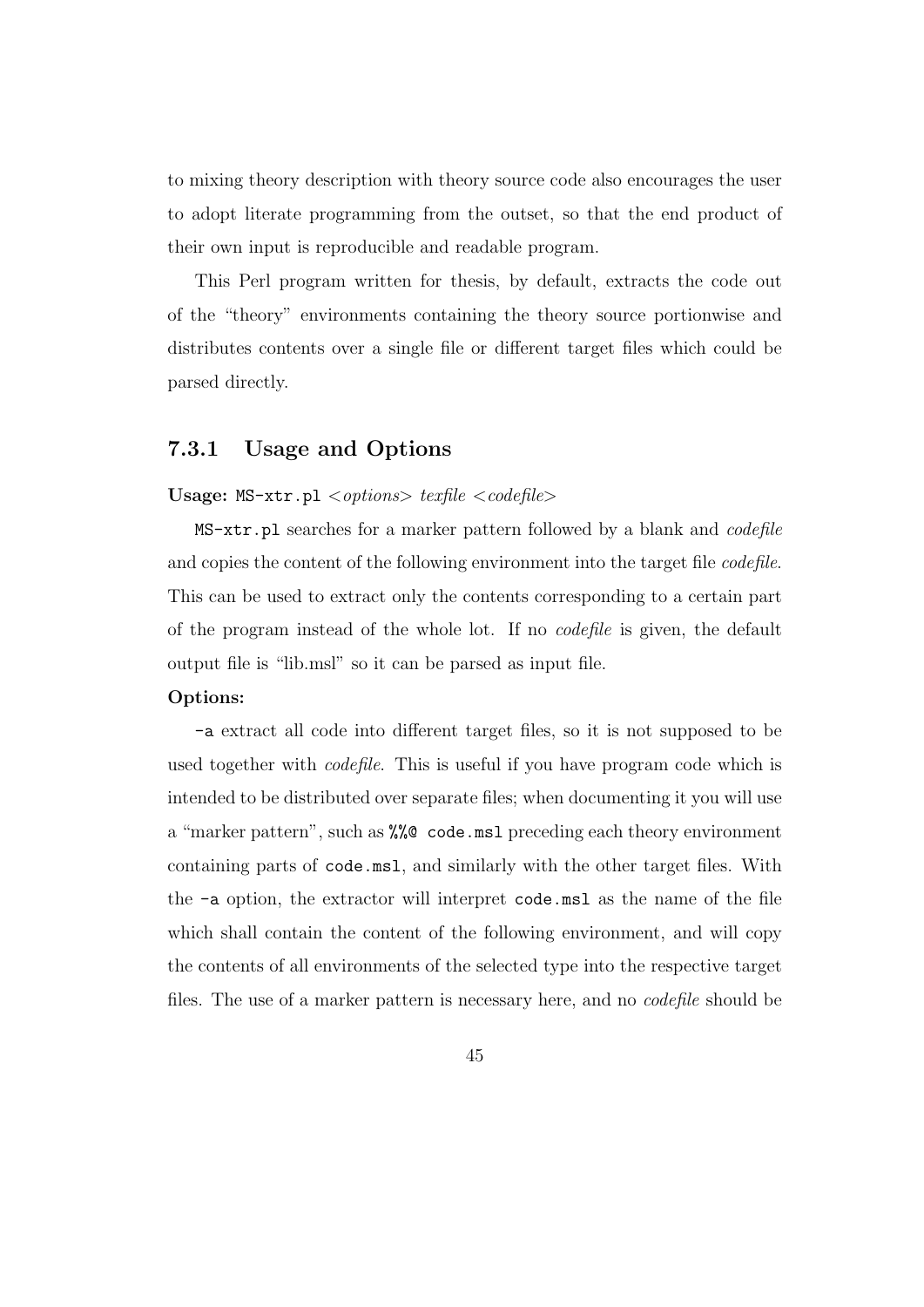to mixing theory description with theory source code also encourages the user to adopt literate programming from the outset, so that the end product of their own input is reproducible and readable program.

This Perl program written for thesis, by default, extracts the code out of the "theory" environments containing the theory source portionwise and distributes contents over a single file or different target files which could be parsed directly.

#### 7.3.1 Usage and Options

#### Usage:  $MS$ -xtr.pl  $\langle$  options $\rangle$  texfile  $\langle$  codefile $\rangle$

MS-xtr.pl searches for a marker pattern followed by a blank and *codefile* and copies the content of the following environment into the target file *codefile*. This can be used to extract only the contents corresponding to a certain part of the program instead of the whole lot. If no codefile is given, the default output file is "lib.msl" so it can be parsed as input file.

#### Options:

-a extract all code into different target files, so it is not supposed to be used together with *codefile*. This is useful if you have program code which is intended to be distributed over separate files; when documenting it you will use a "marker pattern", such as %%@ code.msl preceding each theory environment containing parts of code.msl, and similarly with the other target files. With the -a option, the extractor will interpret code.msl as the name of the file which shall contain the content of the following environment, and will copy the contents of all environments of the selected type into the respective target files. The use of a marker pattern is necessary here, and no codefile should be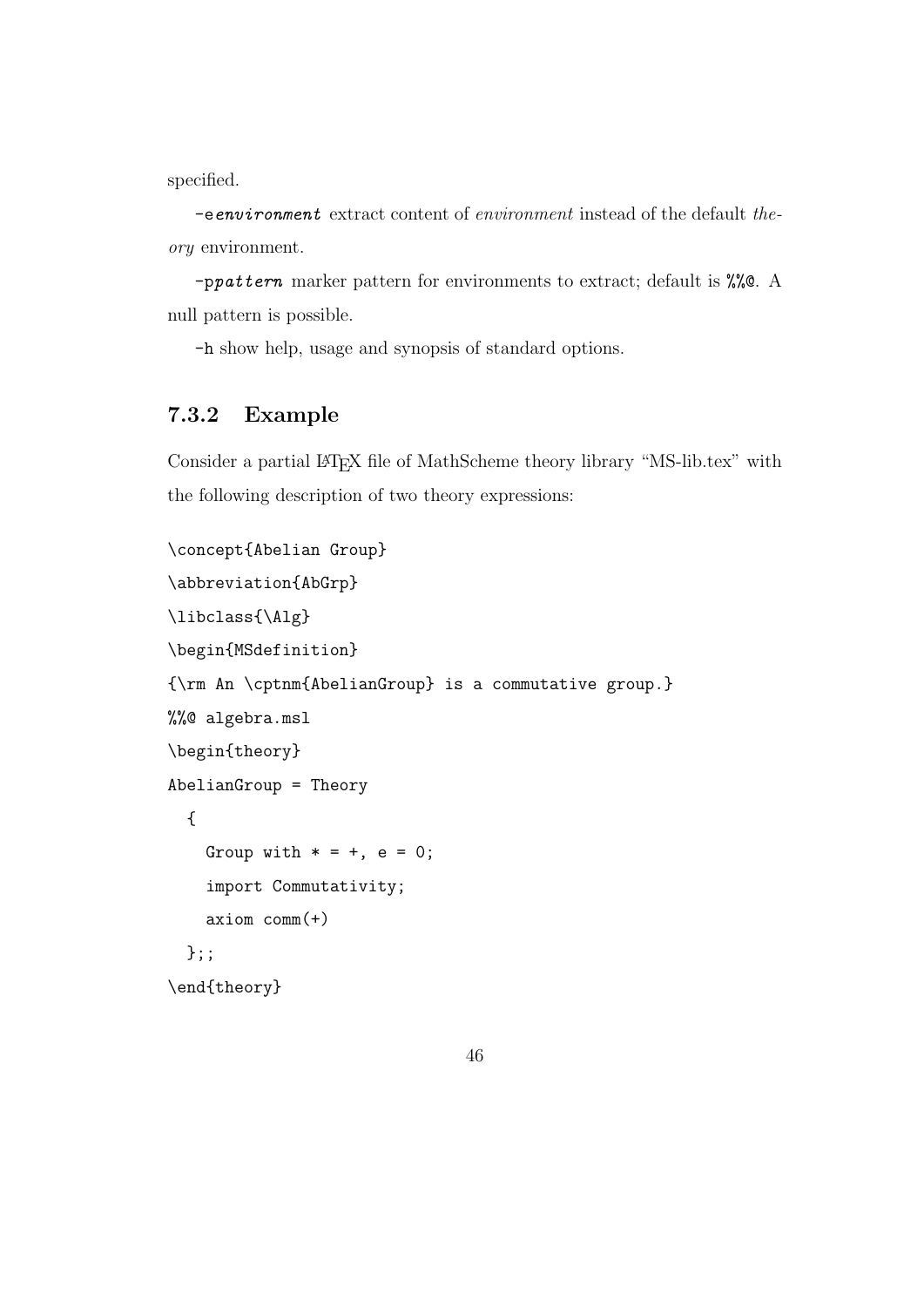specified.

-eenvironment extract content of environment instead of the default theory environment.

-ppattern marker pattern for environments to extract; default is %%@. A null pattern is possible.

-h show help, usage and synopsis of standard options.

#### 7.3.2 Example

Consider a partial LATEX file of MathScheme theory library "MS-lib.tex" with the following description of two theory expressions:

```
\concept{Abelian Group}
\abbreviation{AbGrp}
\libclass{\Alg}
\begin{MSdefinition}
{\rm An \cptnm{AbelianGroup} is a commutative group.}
%%@ algebra.msl
\begin{theory}
AbelianGroup = Theory
  {
    Group with * = +, e = 0;
    import Commutativity;
    axiom comm(+)
  };;
\end{theory}
```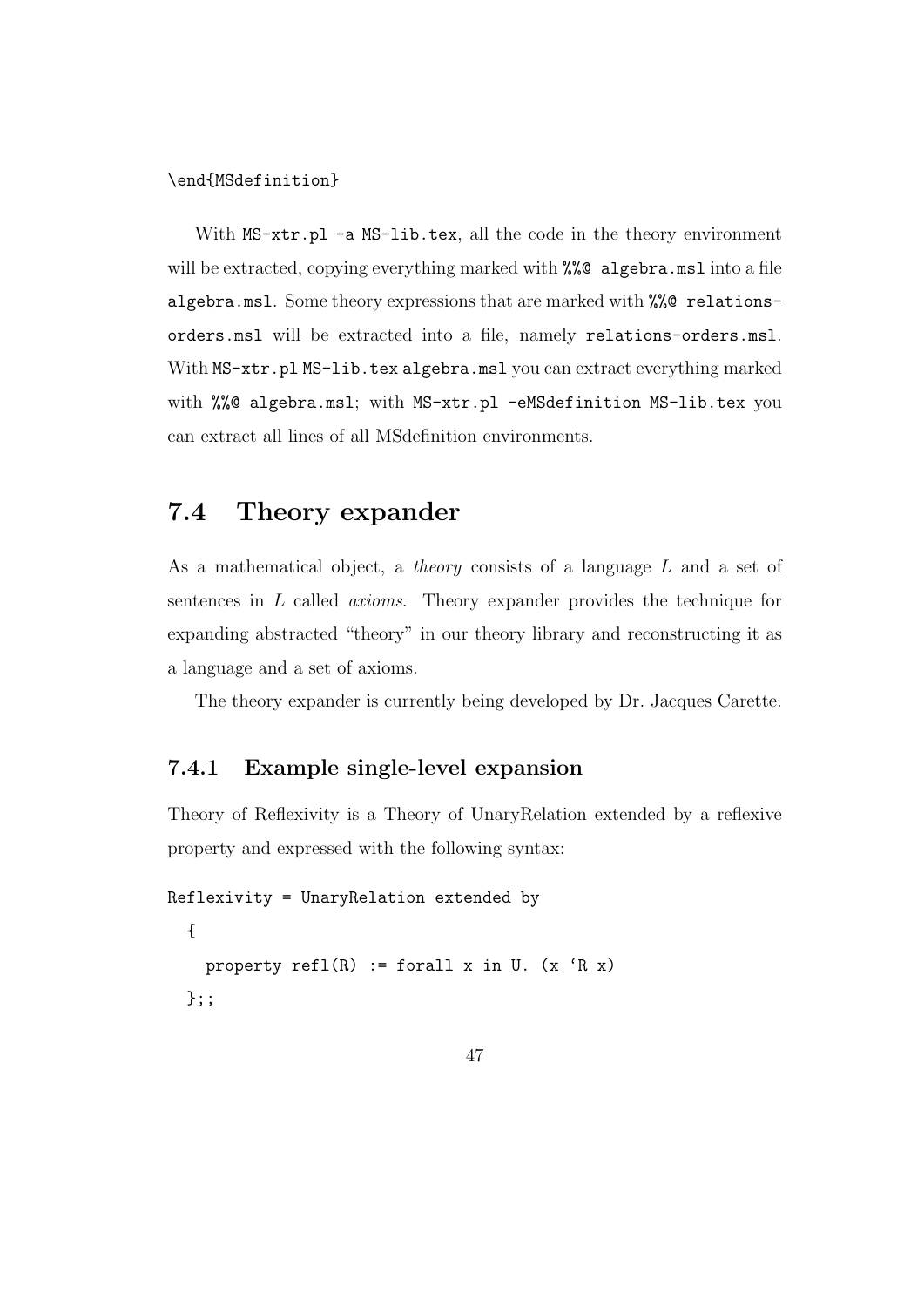\end{MSdefinition}

With  $MS-xtr.pl -a MS-lib.text$ , all the code in the theory environment will be extracted, copying everything marked with %%@ algebra.msl into a file algebra.msl. Some theory expressions that are marked with %%@ relationsorders.msl will be extracted into a file, namely relations-orders.msl. With  $MS-\text{xtr}.p1 MS-lib.\text{tex} a legebra.msl you can extract everything marked$ with %%@ algebra.msl; with MS-xtr.pl -eMSdefinition MS-lib.tex you can extract all lines of all MSdefinition environments.

## 7.4 Theory expander

As a mathematical object, a theory consists of a language L and a set of sentences in L called axioms. Theory expander provides the technique for expanding abstracted "theory" in our theory library and reconstructing it as a language and a set of axioms.

The theory expander is currently being developed by Dr. Jacques Carette.

#### 7.4.1 Example single-level expansion

Theory of Reflexivity is a Theory of UnaryRelation extended by a reflexive property and expressed with the following syntax:

```
Reflexivity = UnaryRelation extended by
  {
   property refl(R) := forall x in U. (x 'R x)};;
```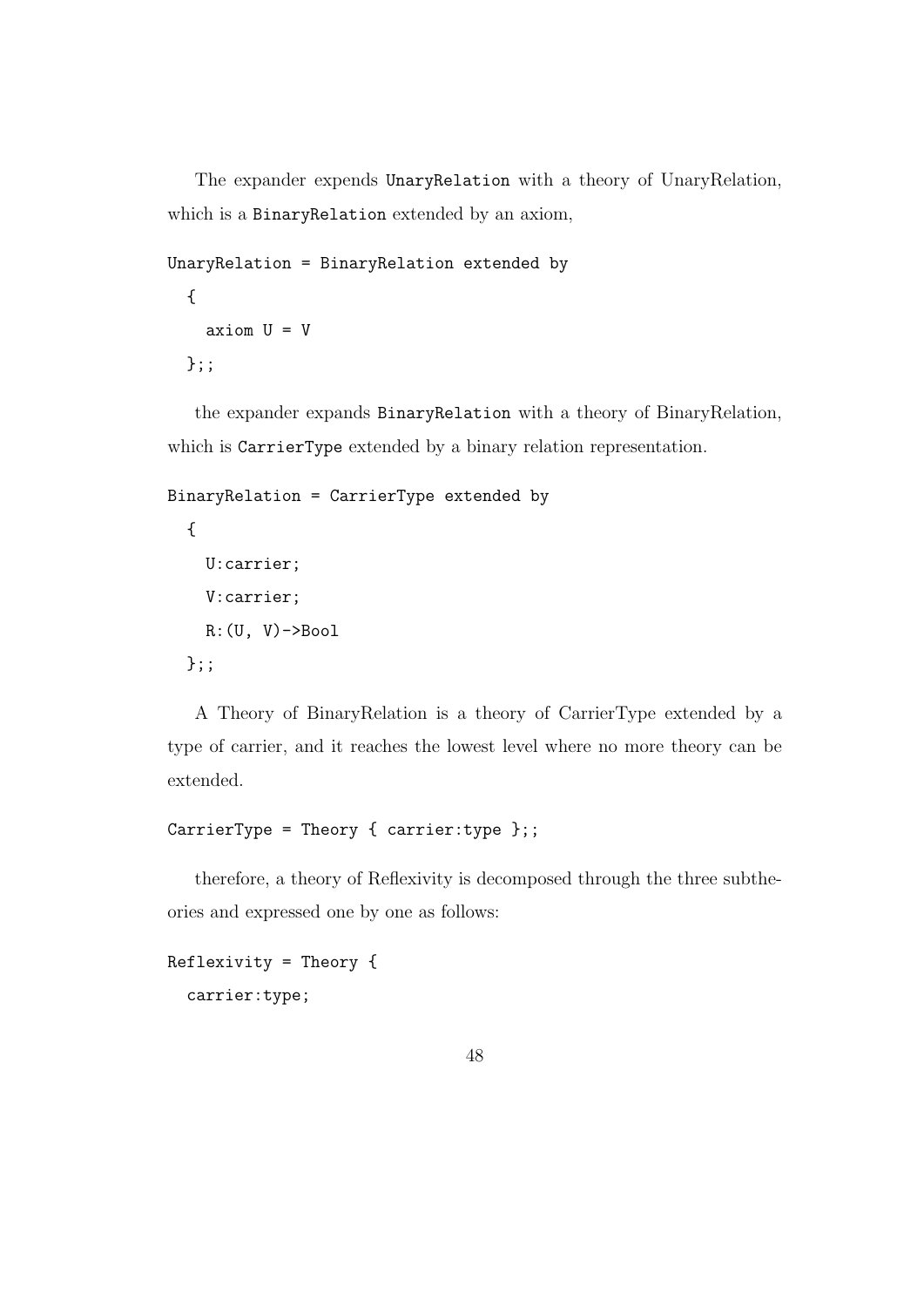The expander expends UnaryRelation with a theory of UnaryRelation, which is a BinaryRelation extended by an axiom,

```
UnaryRelation = BinaryRelation extended by
  {
    axiom U = V
  };;
```
the expander expands BinaryRelation with a theory of BinaryRelation, which is CarrierType extended by a binary relation representation.

```
BinaryRelation = CarrierType extended by
  {
    U:carrier;
    V:carrier;
    R: (U, V) \rightarrow Boo1};;
```
A Theory of BinaryRelation is a theory of CarrierType extended by a type of carrier, and it reaches the lowest level where no more theory can be extended.

```
CarrierType = Theory { carrier:type };;
```
therefore, a theory of Reflexivity is decomposed through the three subtheories and expressed one by one as follows:

```
Reflexivity = Theory {
  carrier:type;
```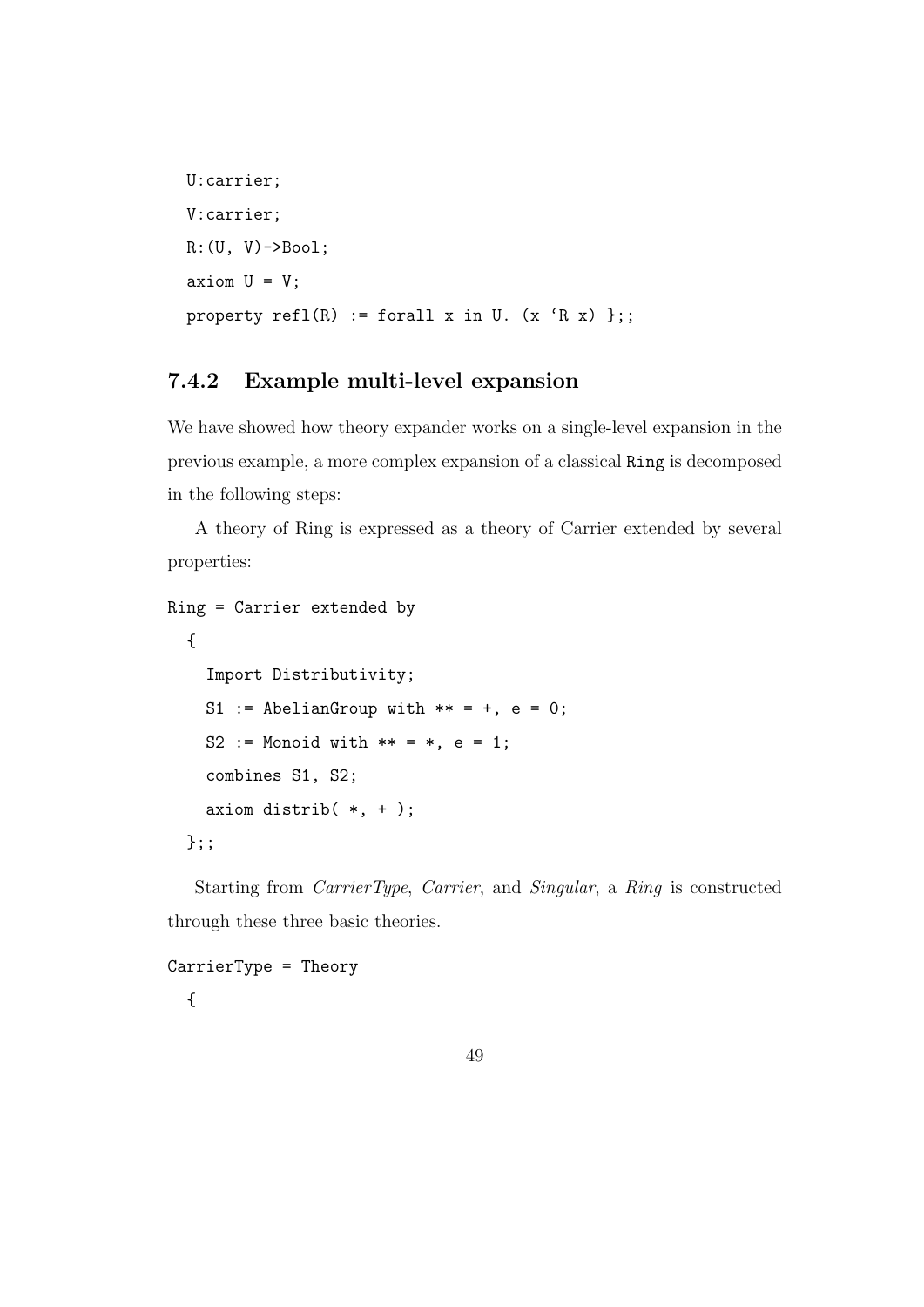```
U:carrier;
V:carrier;
R:(U, V)->Bool;
axiom U = V;
property refl(R) := forall x in U. (x 'R x) };;
```
### 7.4.2 Example multi-level expansion

We have showed how theory expander works on a single-level expansion in the previous example, a more complex expansion of a classical Ring is decomposed in the following steps:

A theory of Ring is expressed as a theory of Carrier extended by several properties:

```
Ring = Carrier extended by
 {
    Import Distributivity;
   S1 := AbelianGroup with ** = +, e = 0;
   S2 := Monoid with ** = *, e = 1;combines S1, S2;
   axiom distrib(*, +);
 };;
```
Starting from CarrierType, Carrier, and Singular, a Ring is constructed through these three basic theories.

```
CarrierType = Theory
  {
```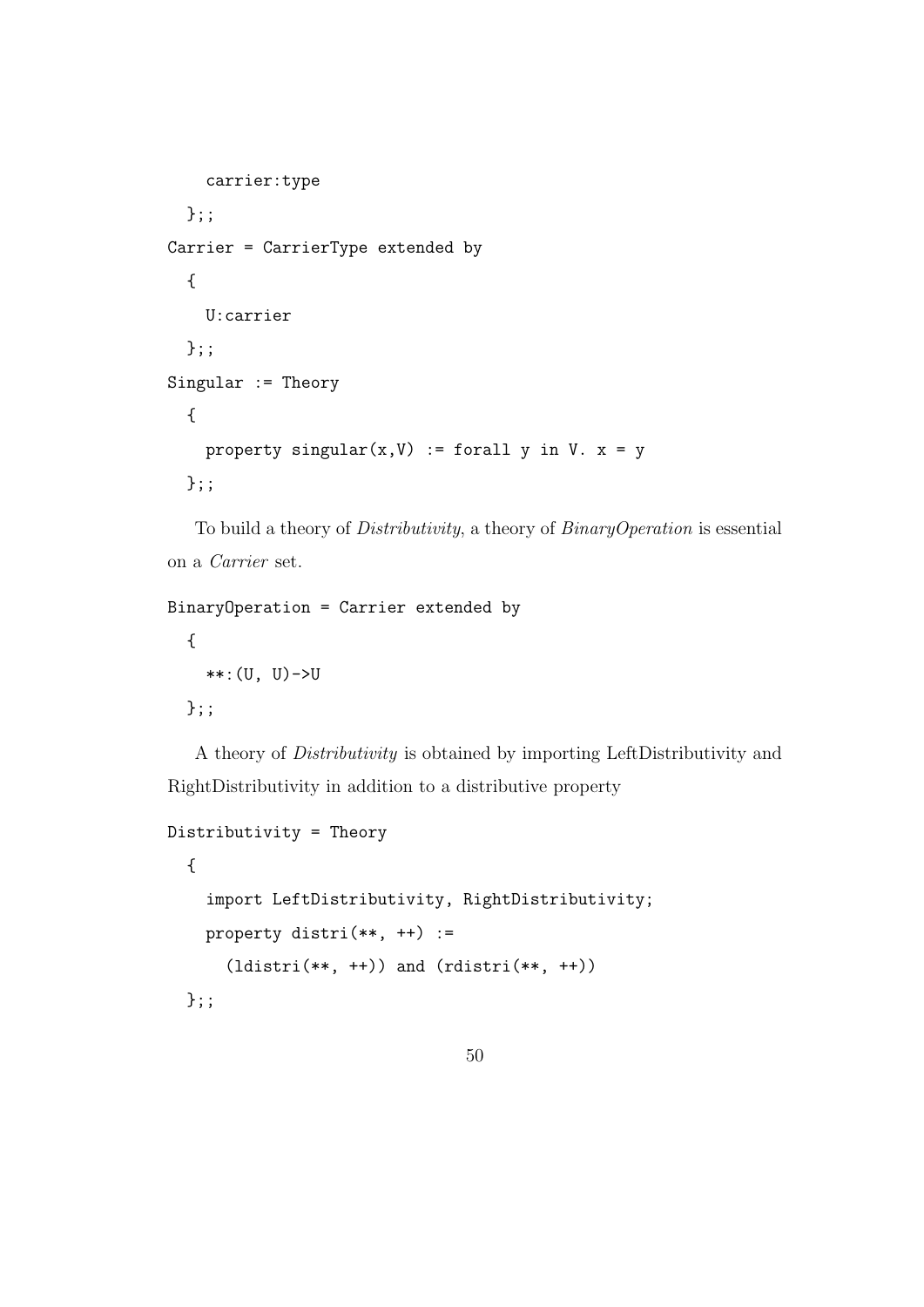```
carrier:type
  };;
Carrier = CarrierType extended by
  {
    U:carrier
  };;
Singular := Theory
  {
    property singular(x, V) := forall y in V. x = y};;
```
To build a theory of Distributivity, a theory of BinaryOperation is essential on a Carrier set.

```
BinaryOperation = Carrier extended by
  {
    **:(U, U)->U
 };;
```
A theory of Distributivity is obtained by importing LeftDistributivity and RightDistributivity in addition to a distributive property

```
Distributivity = Theory
  {
    import LeftDistributivity, RightDistributivity;
    property distri(**, ++) :=
      (\text{ldistri}(**, +)) and (\text{rdistri}(**, +))};;
```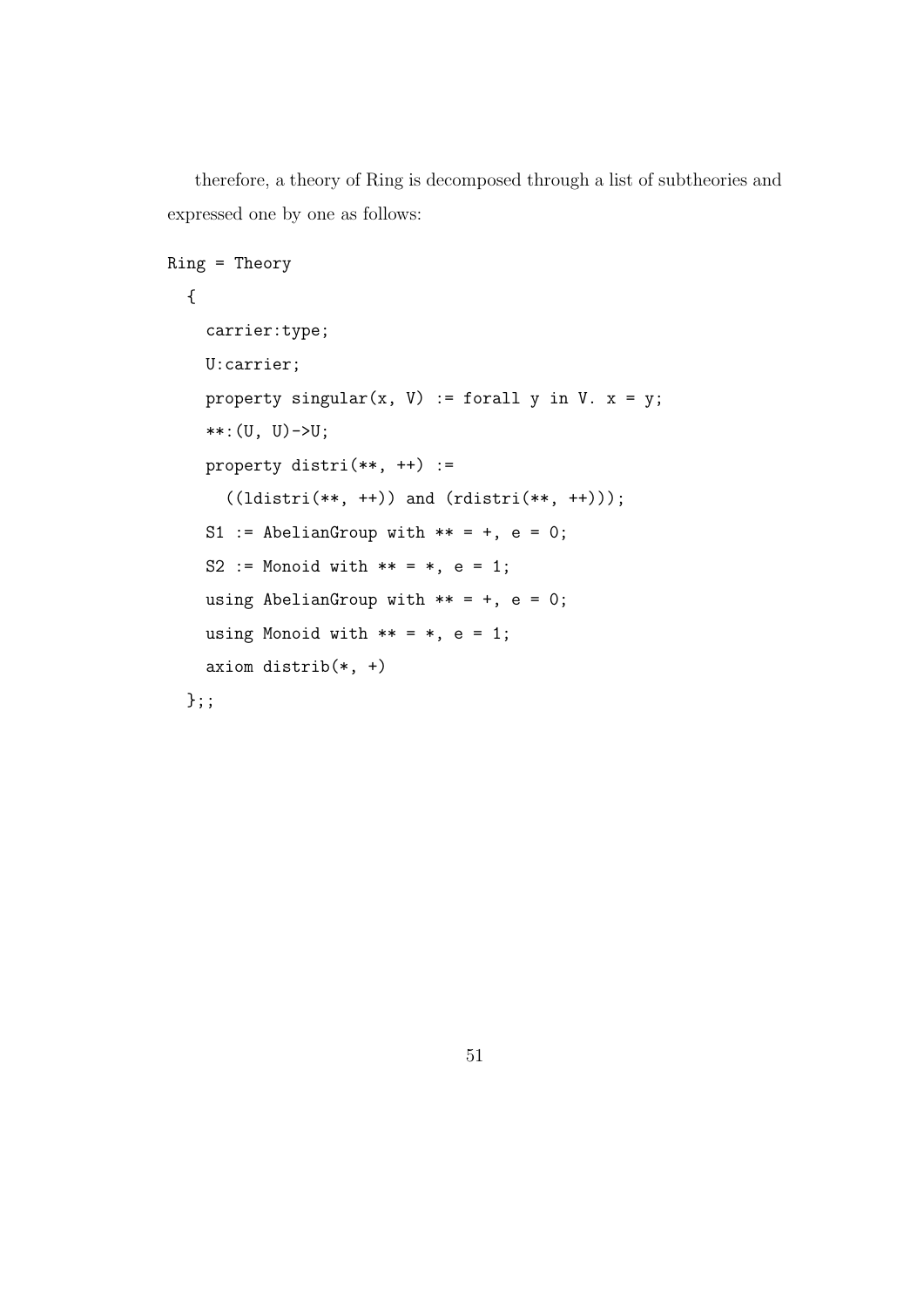therefore, a theory of Ring is decomposed through a list of subtheories and expressed one by one as follows:

```
Ring = Theory
 {
    carrier:type;
    U:carrier;
    property singular(x, V) := forall y in V. x = y;
    **:(U, U)->U;
    property distri(**, ++) :=
      ((ldistri(**, ++)) and (rdistri(**, ++)));
    S1 := AbelianGroup with ** = +, e = 0;
    S2 := Monoid with ** = *, e = 1;using AbelianGroup with ** = +, e = 0;
    using Monoid with ** = *, e = 1;axiom distrib(*, +)
 };;
```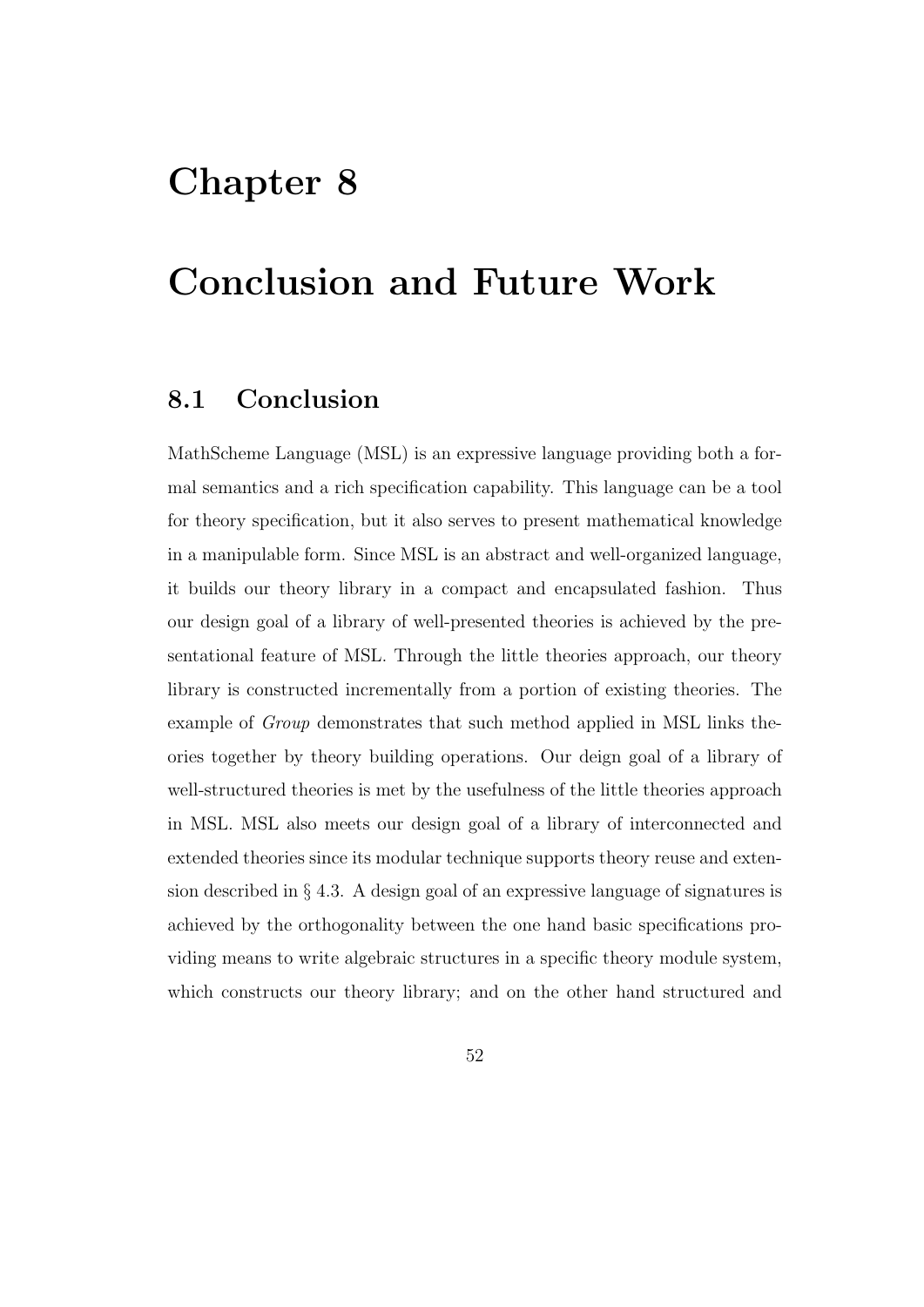# Chapter 8

# Conclusion and Future Work

## 8.1 Conclusion

MathScheme Language (MSL) is an expressive language providing both a formal semantics and a rich specification capability. This language can be a tool for theory specification, but it also serves to present mathematical knowledge in a manipulable form. Since MSL is an abstract and well-organized language, it builds our theory library in a compact and encapsulated fashion. Thus our design goal of a library of well-presented theories is achieved by the presentational feature of MSL. Through the little theories approach, our theory library is constructed incrementally from a portion of existing theories. The example of Group demonstrates that such method applied in MSL links theories together by theory building operations. Our deign goal of a library of well-structured theories is met by the usefulness of the little theories approach in MSL. MSL also meets our design goal of a library of interconnected and extended theories since its modular technique supports theory reuse and extension described in § 4.3. A design goal of an expressive language of signatures is achieved by the orthogonality between the one hand basic specifications providing means to write algebraic structures in a specific theory module system, which constructs our theory library; and on the other hand structured and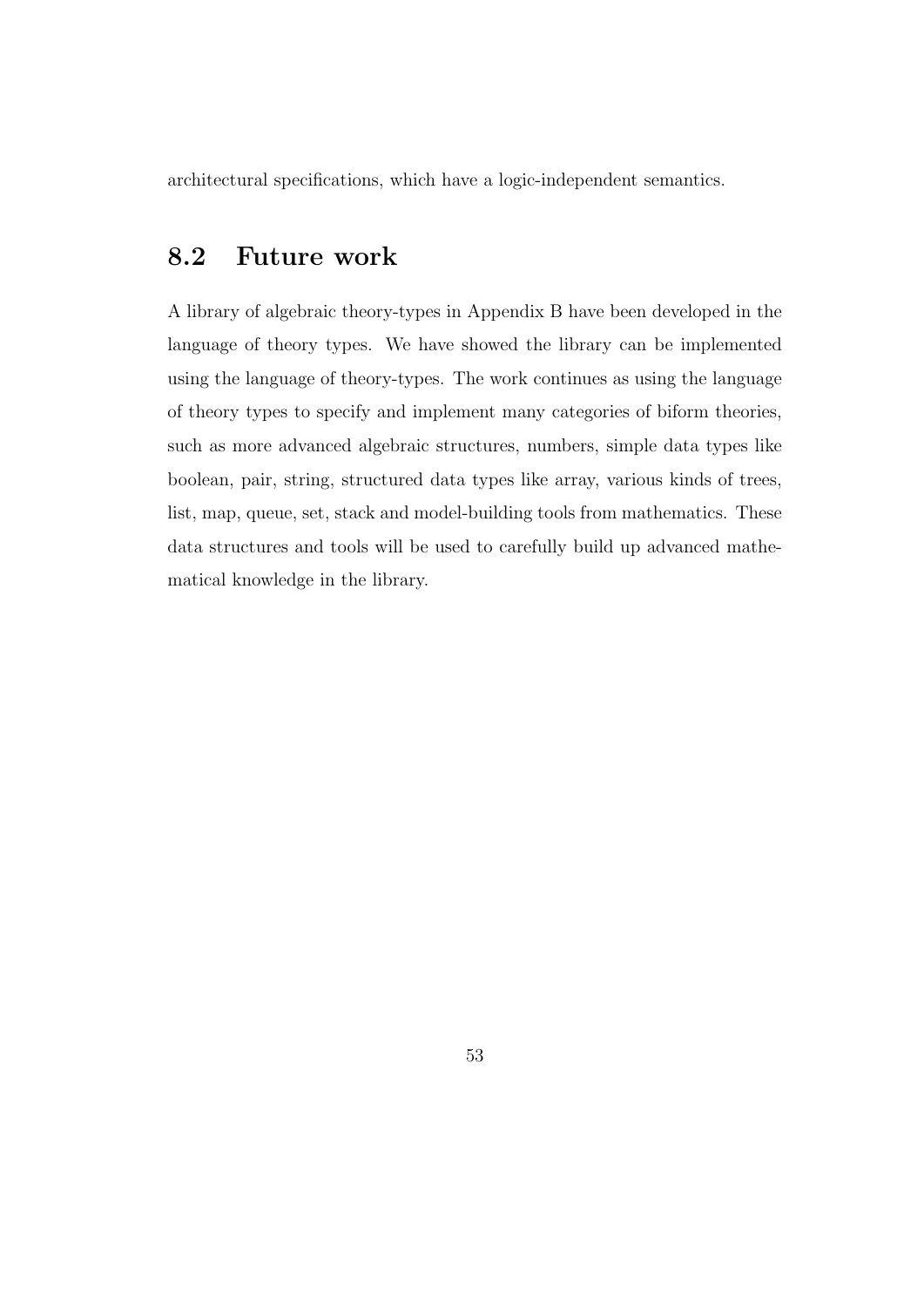architectural specifications, which have a logic-independent semantics.

## 8.2 Future work

A library of algebraic theory-types in Appendix B have been developed in the language of theory types. We have showed the library can be implemented using the language of theory-types. The work continues as using the language of theory types to specify and implement many categories of biform theories, such as more advanced algebraic structures, numbers, simple data types like boolean, pair, string, structured data types like array, various kinds of trees, list, map, queue, set, stack and model-building tools from mathematics. These data structures and tools will be used to carefully build up advanced mathematical knowledge in the library.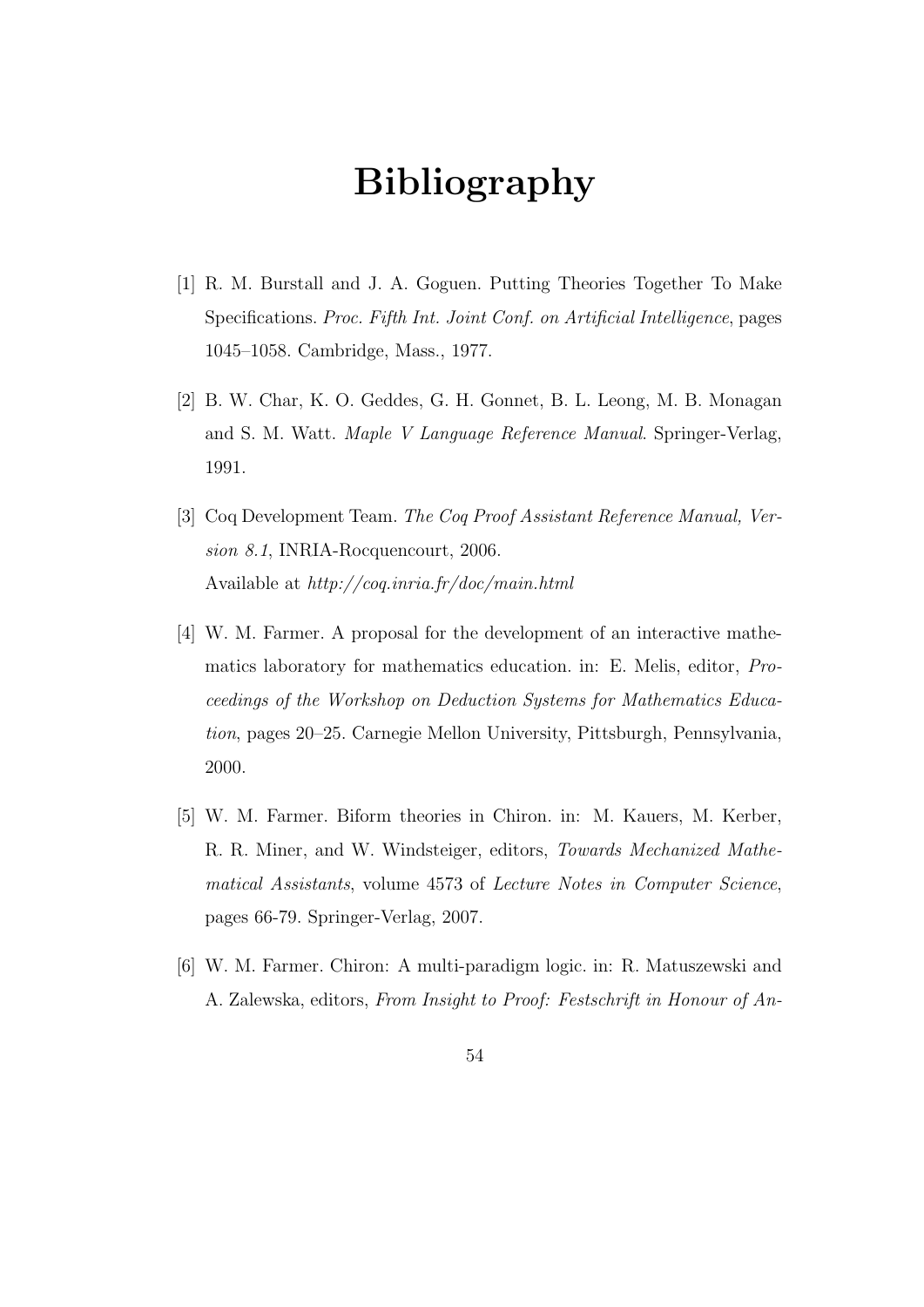# Bibliography

- [1] R. M. Burstall and J. A. Goguen. Putting Theories Together To Make Specifications. Proc. Fifth Int. Joint Conf. on Artificial Intelligence, pages 1045–1058. Cambridge, Mass., 1977.
- [2] B. W. Char, K. O. Geddes, G. H. Gonnet, B. L. Leong, M. B. Monagan and S. M. Watt. Maple V Language Reference Manual. Springer-Verlag, 1991.
- [3] Coq Development Team. The Coq Proof Assistant Reference Manual, Version 8.1, INRIA-Rocquencourt, 2006. Available at http://coq.inria.fr/doc/main.html
- [4] W. M. Farmer. A proposal for the development of an interactive mathematics laboratory for mathematics education. in: E. Melis, editor, Proceedings of the Workshop on Deduction Systems for Mathematics Education, pages 20–25. Carnegie Mellon University, Pittsburgh, Pennsylvania, 2000.
- [5] W. M. Farmer. Biform theories in Chiron. in: M. Kauers, M. Kerber, R. R. Miner, and W. Windsteiger, editors, Towards Mechanized Mathematical Assistants, volume 4573 of Lecture Notes in Computer Science, pages 66-79. Springer-Verlag, 2007.
- [6] W. M. Farmer. Chiron: A multi-paradigm logic. in: R. Matuszewski and A. Zalewska, editors, From Insight to Proof: Festschrift in Honour of An-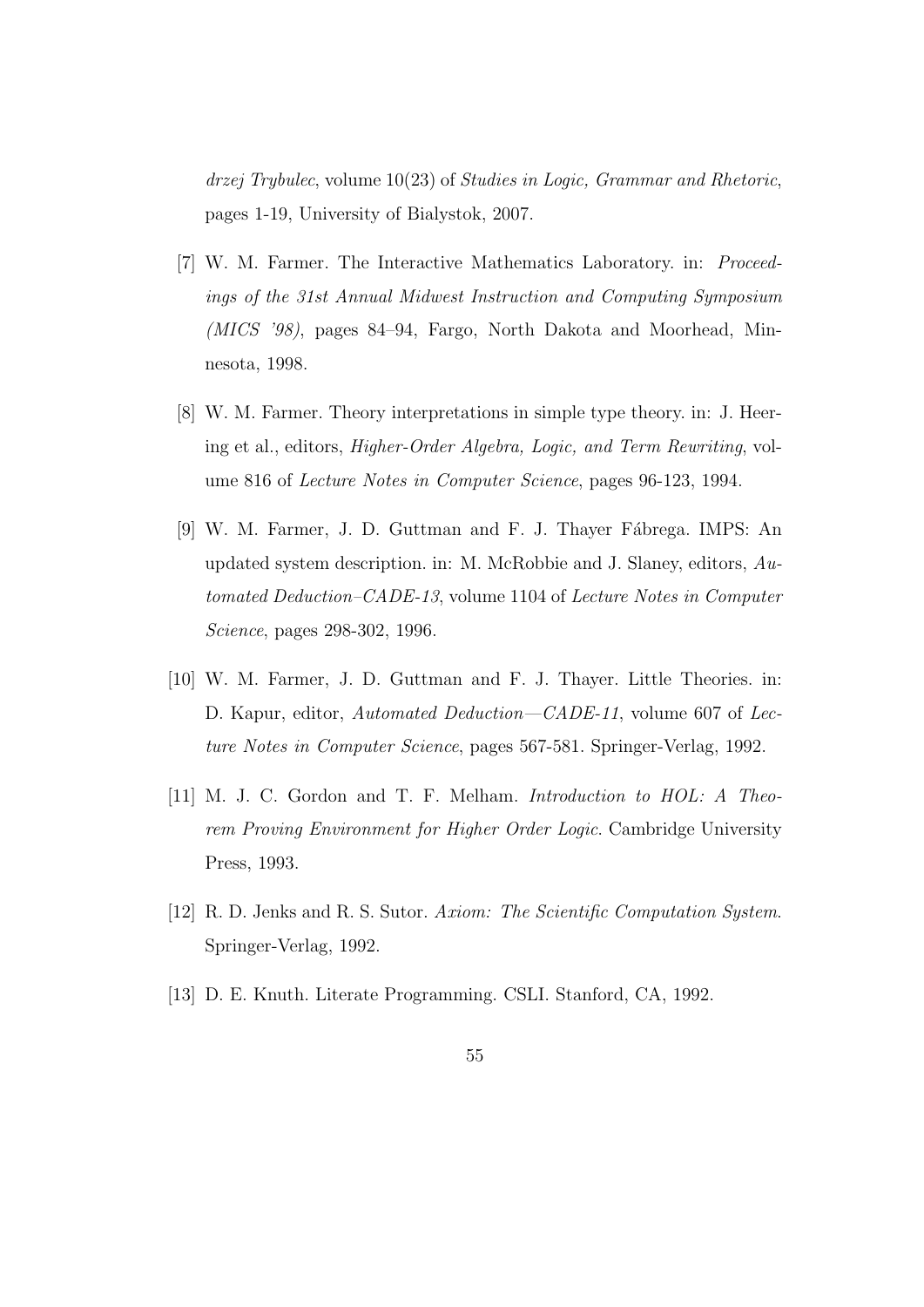drzej Trybulec, volume 10(23) of Studies in Logic, Grammar and Rhetoric, pages 1-19, University of Bialystok, 2007.

- [7] W. M. Farmer. The Interactive Mathematics Laboratory. in: Proceedings of the 31st Annual Midwest Instruction and Computing Symposium (MICS '98), pages 84–94, Fargo, North Dakota and Moorhead, Minnesota, 1998.
- [8] W. M. Farmer. Theory interpretations in simple type theory. in: J. Heering et al., editors, Higher-Order Algebra, Logic, and Term Rewriting, volume 816 of Lecture Notes in Computer Science, pages 96-123, 1994.
- [9] W. M. Farmer, J. D. Guttman and F. J. Thayer Fábrega. IMPS: An updated system description. in: M. McRobbie and J. Slaney, editors, Automated Deduction–CADE-13, volume 1104 of Lecture Notes in Computer Science, pages 298-302, 1996.
- [10] W. M. Farmer, J. D. Guttman and F. J. Thayer. Little Theories. in: D. Kapur, editor, Automated Deduction—CADE-11, volume 607 of Lecture Notes in Computer Science, pages 567-581. Springer-Verlag, 1992.
- [11] M. J. C. Gordon and T. F. Melham. Introduction to HOL: A Theorem Proving Environment for Higher Order Logic. Cambridge University Press, 1993.
- [12] R. D. Jenks and R. S. Sutor. Axiom: The Scientific Computation System. Springer-Verlag, 1992.
- [13] D. E. Knuth. Literate Programming. CSLI. Stanford, CA, 1992.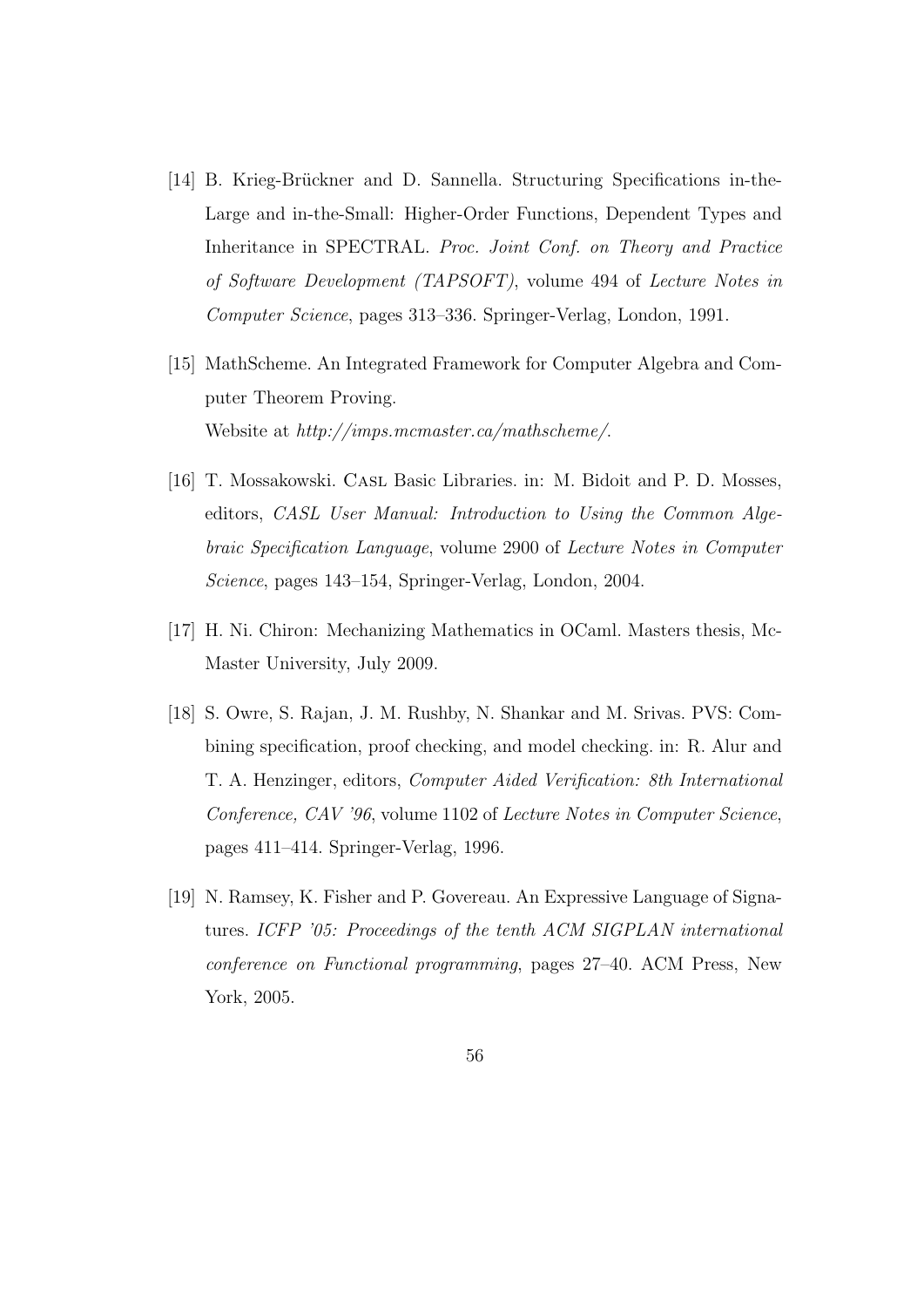- [14] B. Krieg-Brückner and D. Sannella. Structuring Specifications in-the-Large and in-the-Small: Higher-Order Functions, Dependent Types and Inheritance in SPECTRAL. Proc. Joint Conf. on Theory and Practice of Software Development (TAPSOFT), volume 494 of Lecture Notes in Computer Science, pages 313–336. Springer-Verlag, London, 1991.
- [15] MathScheme. An Integrated Framework for Computer Algebra and Computer Theorem Proving. Website at http://imps.mcmaster.ca/mathscheme/.
- [16] T. Mossakowski. CASL Basic Libraries. in: M. Bidoit and P. D. Mosses, editors, CASL User Manual: Introduction to Using the Common Algebraic Specification Language, volume 2900 of Lecture Notes in Computer Science, pages 143–154, Springer-Verlag, London, 2004.
- [17] H. Ni. Chiron: Mechanizing Mathematics in OCaml. Masters thesis, Mc-Master University, July 2009.
- [18] S. Owre, S. Rajan, J. M. Rushby, N. Shankar and M. Srivas. PVS: Combining specification, proof checking, and model checking. in: R. Alur and T. A. Henzinger, editors, Computer Aided Verification: 8th International Conference, CAV '96, volume 1102 of Lecture Notes in Computer Science, pages 411–414. Springer-Verlag, 1996.
- [19] N. Ramsey, K. Fisher and P. Govereau. An Expressive Language of Signatures. ICFP '05: Proceedings of the tenth ACM SIGPLAN international conference on Functional programming, pages 27–40. ACM Press, New York, 2005.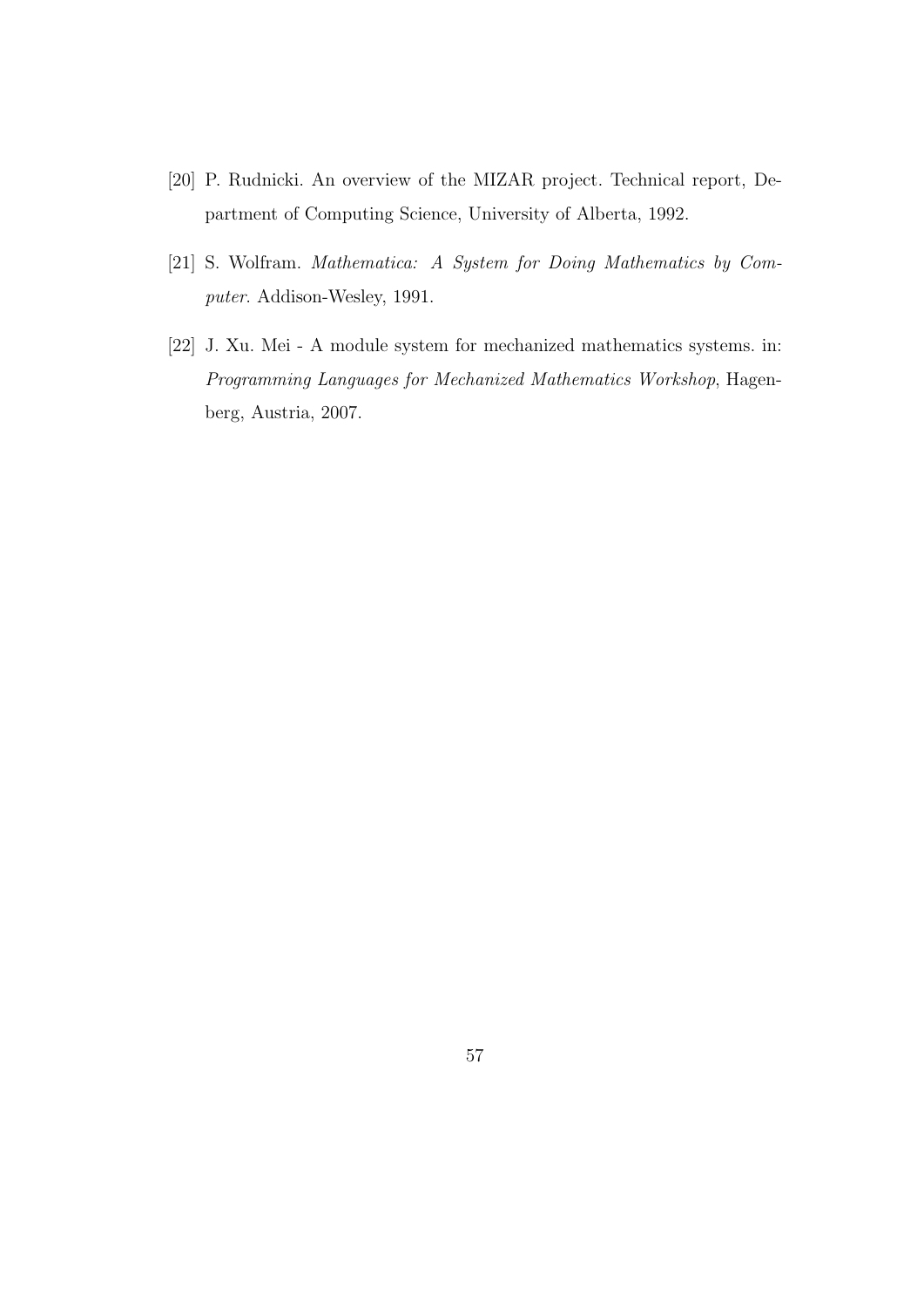- [20] P. Rudnicki. An overview of the MIZAR project. Technical report, Department of Computing Science, University of Alberta, 1992.
- [21] S. Wolfram. Mathematica: A System for Doing Mathematics by Computer. Addison-Wesley, 1991.
- [22] J. Xu. Mei A module system for mechanized mathematics systems. in: Programming Languages for Mechanized Mathematics Workshop, Hagenberg, Austria, 2007.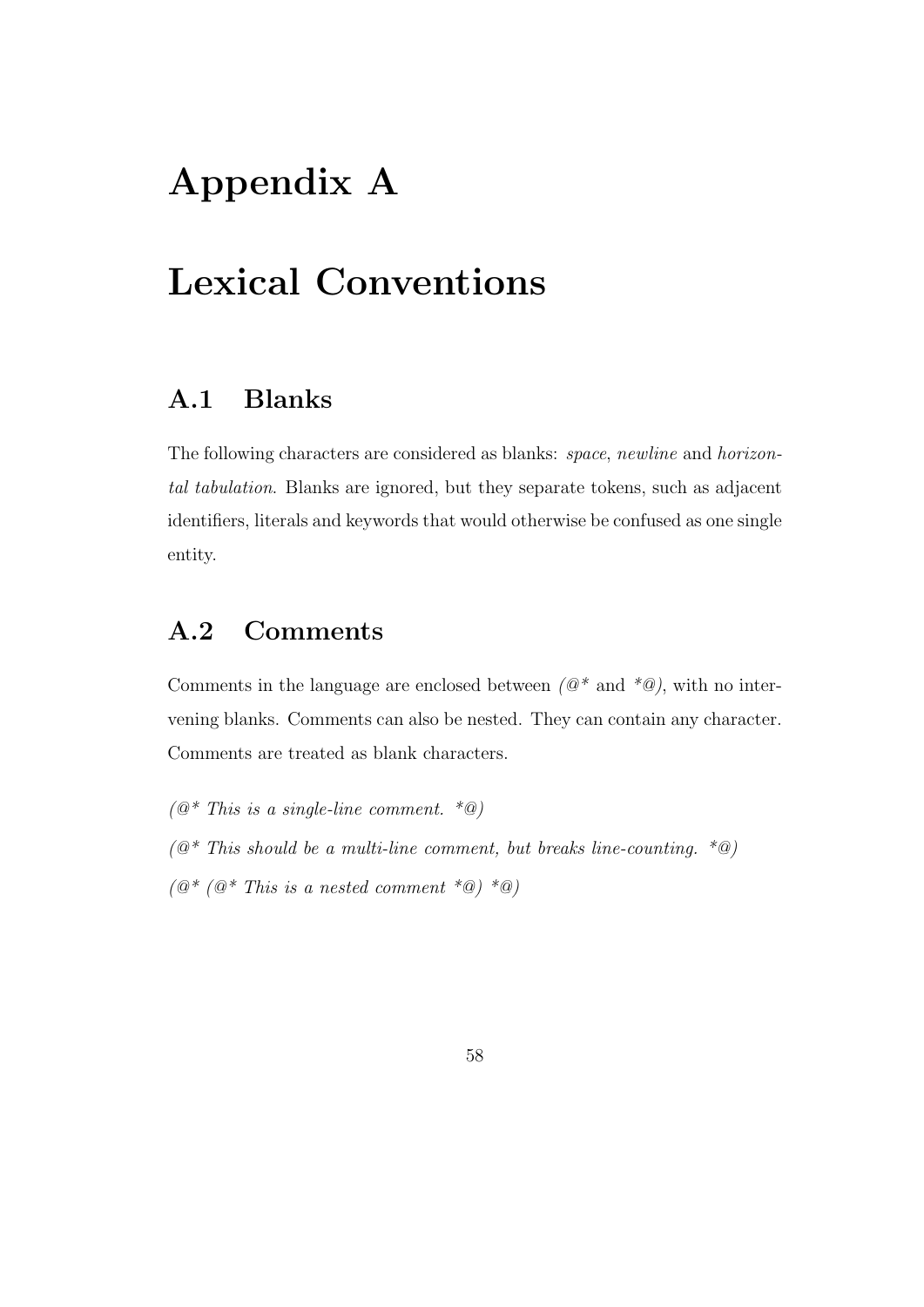# Appendix A

# Lexical Conventions

## A.1 Blanks

The following characters are considered as blanks: space, newline and horizontal tabulation. Blanks are ignored, but they separate tokens, such as adjacent identifiers, literals and keywords that would otherwise be confused as one single entity.

## A.2 Comments

Comments in the language are enclosed between  $(\mathcal{Q}^*$  and  $^*\mathcal{Q})$ , with no intervening blanks. Comments can also be nested. They can contain any character. Comments are treated as blank characters.

 $(Q^*$  This is a single-line comment.  $^*@)$  $(@* This should be a multi-line comment, but breaks line-counting. *@)$  $(\mathbb{Q}^*/\mathbb{Q}^*/\mathbb{Q}^*)$  This is a nested comment  $*\mathbb{Q}$   $*\mathbb{Q}$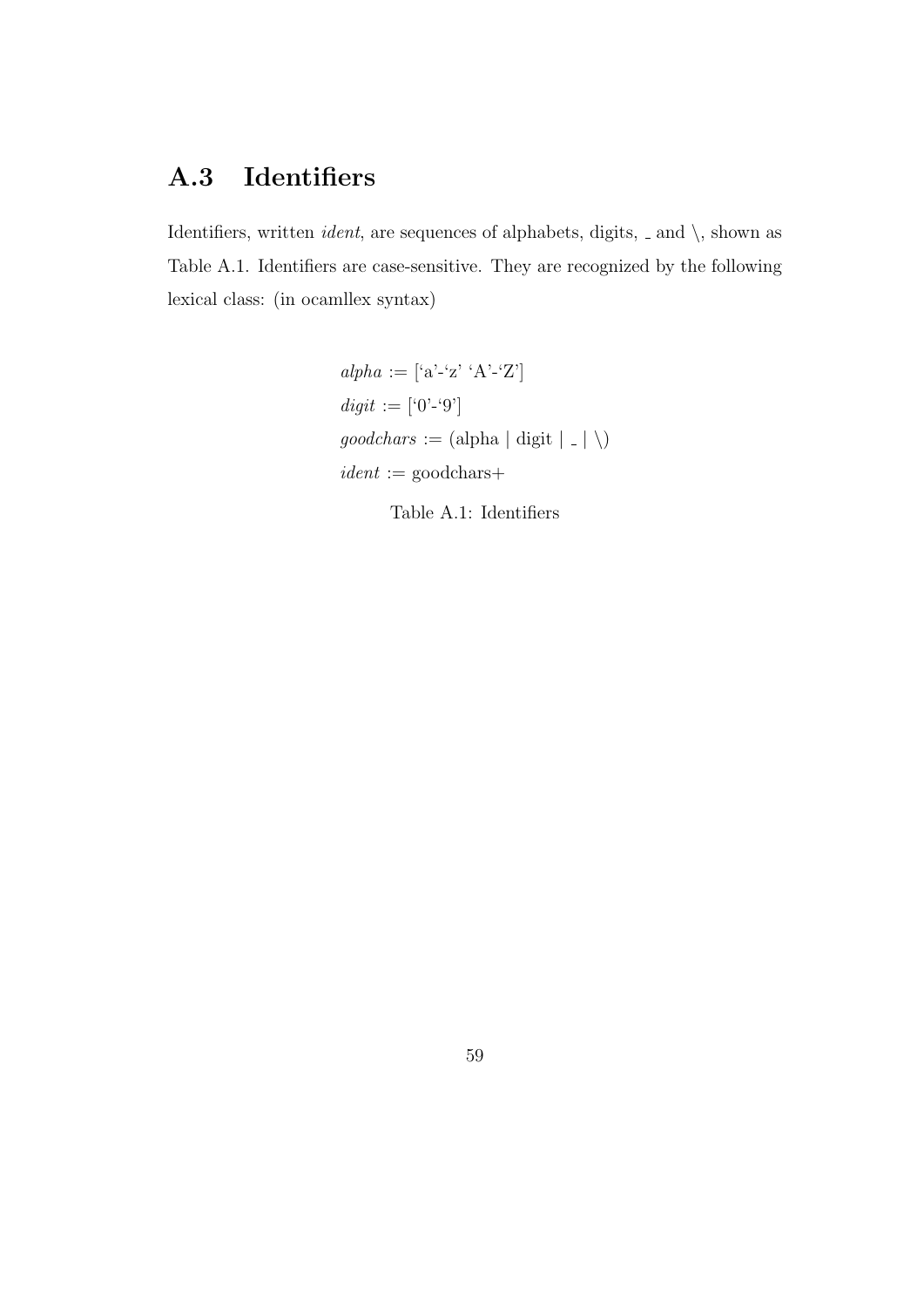# A.3 Identifiers

Identifiers, written *ident*, are sequences of alphabets, digits,  $\Box$  and  $\setminus$ , shown as Table A.1. Identifiers are case-sensitive. They are recognized by the following lexical class: (in ocamllex syntax)

> $alpha := [a - a' - a' - a' - a'']$  $\emph{digit}$  := ['0'-'9']  $\mathit{goodchars}$  := (alpha  $|$  digit  $|$  -  $|$   $\backslash)$  $ident := goodchars +$

> > Table A.1: Identifiers